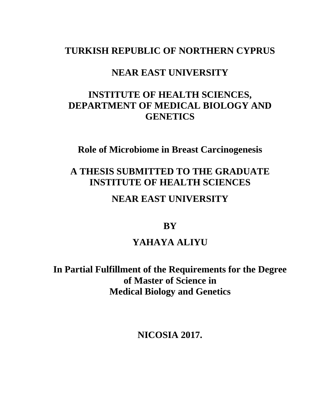## **TURKISH REPUBLIC OF NORTHERN CYPRUS**

# **NEAR EAST UNIVERSITY**

# **INSTITUTE OF HEALTH SCIENCES, DEPARTMENT OF MEDICAL BIOLOGY AND GENETICS**

**Role of Microbiome in Breast Carcinogenesis**

# **A THESIS SUBMITTED TO THE GRADUATE INSTITUTE OF HEALTH SCIENCES**

## **NEAR EAST UNIVERSITY**

## **BY**

# **YAHAYA ALIYU**

**In Partial Fulfillment of the Requirements for the Degree of Master of Science in Medical Biology and Genetics**

**NICOSIA 2017.**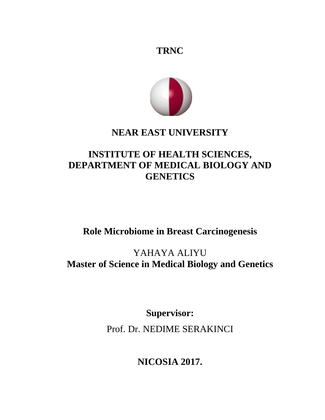



# **NEAR EAST UNIVERSITY**

# **INSTITUTE OF HEALTH SCIENCES, DEPARTMENT OF MEDICAL BIOLOGY AND GENETICS**

# **Role Microbiome in Breast Carcinogenesis**

YAHAYA ALIYU **Master of Science in Medical Biology and Genetics**

**Supervisor:**

Prof. Dr. NEDIME SERAKINCI

**NICOSIA 2017.**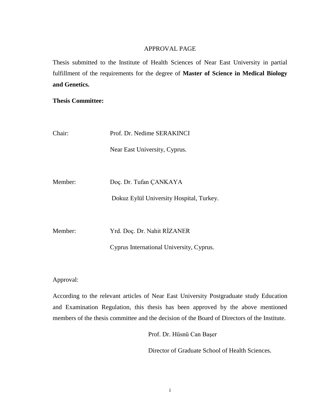### APPROVAL PAGE

<span id="page-3-0"></span>Thesis submitted to the Institute of Health Sciences of Near East University in partial fulfillment of the requirements for the degree of **Master of Science in Medical Biology and Genetics.**

**Thesis Committee:**

| Chair:  | Prof. Dr. Nedime SERAKINCI               |
|---------|------------------------------------------|
|         | Near East University, Cyprus.            |
|         |                                          |
| Member: | Doç. Dr. Tufan ÇANKAYA                   |
|         | Dokuz Eylül University Hospital, Turkey. |
|         |                                          |
| Member: | Yrd. Doc. Dr. Nahit RİZANER              |
|         | Cyprus International University, Cyprus. |

Approval:

<span id="page-3-1"></span>According to the relevant articles of Near East University Postgraduate study Education and Examination Regulation, this thesis has been approved by the above mentioned members of the thesis committee and the decision of the Board of Directors of the Institute.

Prof. Dr. Hüsnü Can Başer

Director of Graduate School of Health Sciences.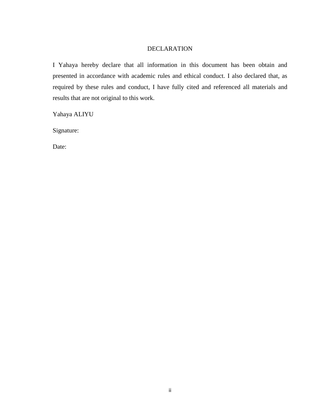### DECLARATION

I Yahaya hereby declare that all information in this document has been obtain and presented in accordance with academic rules and ethical conduct. I also declared that, as required by these rules and conduct, I have fully cited and referenced all materials and results that are not original to this work.

Yahaya ALIYU

Signature:

Date: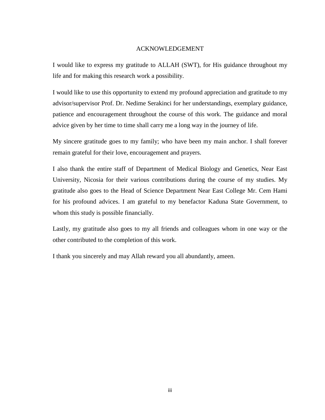#### ACKNOWLEDGEMENT

I would like to express my gratitude to ALLAH (SWT), for His guidance throughout my life and for making this research work a possibility.

I would like to use this opportunity to extend my profound appreciation and gratitude to my advisor/supervisor Prof. Dr. Nedime Serakinci for her understandings, exemplary guidance, patience and encouragement throughout the course of this work. The guidance and moral advice given by her time to time shall carry me a long way in the journey of life.

My sincere gratitude goes to my family; who have been my main anchor. I shall forever remain grateful for their love, encouragement and prayers.

I also thank the entire staff of Department of Medical Biology and Genetics, Near East University, Nicosia for their various contributions during the course of my studies. My gratitude also goes to the Head of Science Department Near East College Mr. Cem Hami for his profound advices. I am grateful to my benefactor Kaduna State Government, to whom this study is possible financially.

Lastly, my gratitude also goes to my all friends and colleagues whom in one way or the other contributed to the completion of this work.

I thank you sincerely and may Allah reward you all abundantly, ameen.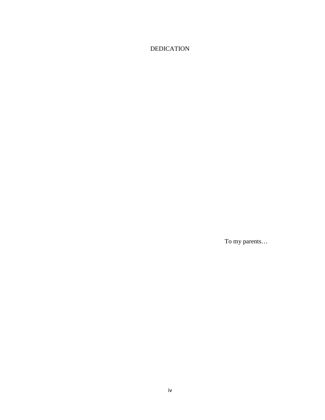## <span id="page-6-0"></span>DEDICATION

To my parents…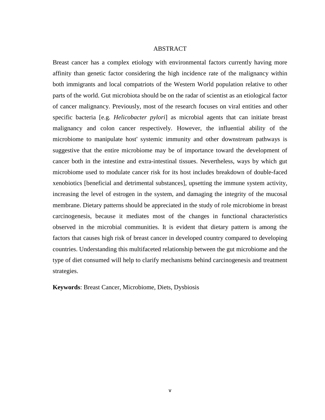#### ABSTRACT

<span id="page-7-0"></span>Breast cancer has a complex etiology with environmental factors currently having more affinity than genetic factor considering the high incidence rate of the malignancy within both immigrants and local compatriots of the Western World population relative to other parts of the world. Gut microbiota should be on the radar of scientist as an etiological factor of cancer malignancy. Previously, most of the research focuses on viral entities and other specific bacteria [e.g. *Helicobacter pylori*] as microbial agents that can initiate breast malignancy and colon cancer respectively. However, the influential ability of the microbiome to manipulate host' systemic immunity and other downstream pathways is suggestive that the entire microbiome may be of importance toward the development of cancer both in the intestine and extra-intestinal tissues. Nevertheless, ways by which gut microbiome used to modulate cancer risk for its host includes breakdown of double-faced xenobiotics [beneficial and detrimental substances], upsetting the immune system activity, increasing the level of estrogen in the system, and damaging the integrity of the mucosal membrane. Dietary patterns should be appreciated in the study of role microbiome in breast carcinogenesis, because it mediates most of the changes in functional characteristics observed in the microbial communities. It is evident that dietary pattern is among the factors that causes high risk of breast cancer in developed country compared to developing countries. Understanding this multifaceted relationship between the gut microbiome and the type of diet consumed will help to clarify mechanisms behind carcinogenesis and treatment strategies.

**Keywords**: Breast Cancer, Microbiome, Diets, Dysbiosis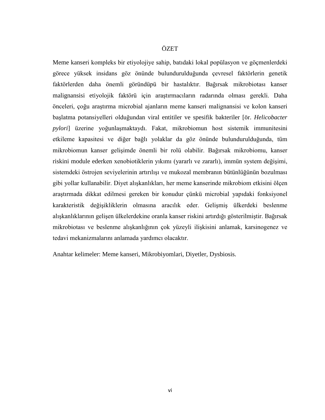#### ÖZET

<span id="page-8-0"></span>Meme kanseri kompleks bir etiyolojiye sahip, batıdaki lokal popülasyon ve göçmenlerdeki görece yüksek insidans göz önünde bulundurulduğunda çevresel faktörlerin genetik faktörlerden daha önemli göründüpü bir hastalıktır. Bağırsak mikrobiotası kanser malignansisi etiyolojik faktörü için araştırmacıların radarında olması gerekli. Daha önceleri, çoğu araştırma microbial ajanların meme kanseri malignansisi ve kolon kanseri başlatma potansiyelleri olduğundan viral entitiler ve spesifik bakteriler [ör. *Helicobacter pylori*] üzerine yoğunlaşmaktaydı. Fakat, mikrobiomun host sistemik immunitesini etkileme kapasitesi ve diğer bağlı yolaklar da göz önünde bulundurulduğunda, tüm mikrobiomun kanser gelişimde önemli bir rolü olabilir. Bağırsak mikrobiomu, kanser riskini module ederken xenobiotiklerin yıkımı (yararlı ve zararlı), immün system değişimi, sistemdeki östrojen seviyelerinin artırılışı ve mukozal membranın bütünlüğünün bozulması gibi yollar kullanabilir. Diyet alışkanlıkları, her meme kanserinde mikrobiom etkisini ölçen araştırmada dikkat edilmesi gereken bir konudur çünkü microbial yapıdaki fonksiyonel karakteristik değişikliklerin olmasına aracılık eder. Gelişmiş ülkerdeki beslenme alışkanlıklarının gelişen ülkelerdekine oranla kanser riskini artırdığı gösterilmiştir. Bağırsak mikrobiotası ve beslenme alışkanlığının çok yüzeyli ilişkisini anlamak, karsinogenez ve tedavi mekanizmalarını anlamada yardımcı olacaktır.

Anahtar kelimeler: Meme kanseri, Mikrobiyomlari, Diyetler, Dysbiosis.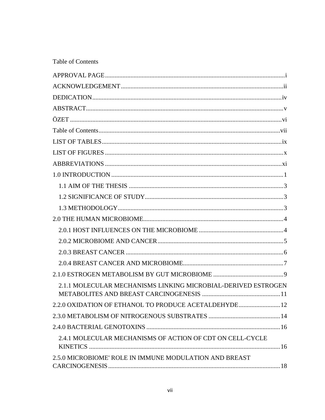<span id="page-9-0"></span>

|  | <b>Table of Contents</b> |
|--|--------------------------|
|--|--------------------------|

| 2.1.1 MOLECULAR MECHANISMS LINKING MICROBIAL-DERIVED ESTROGEN |
|---------------------------------------------------------------|
| 2.2.0 OXIDATION OF ETHANOL TO PRODUCE ACETALDEHYDE 12         |
|                                                               |
|                                                               |
| 2.4.1 MOLECULAR MECHANISMS OF ACTION OF CDT ON CELL-CYCLE     |
| 2.5.0 MICROBIOME' ROLE IN IMMUNE MODULATION AND BREAST        |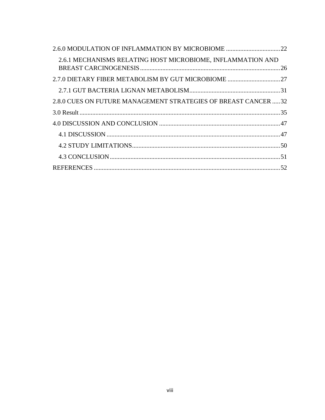| 2.6.1 MECHANISMS RELATING HOST MICROBIOME, INFLAMMATION AND    |  |
|----------------------------------------------------------------|--|
| 2.7.0 DIETARY FIBER METABOLISM BY GUT MICROBIOME 27            |  |
|                                                                |  |
| 2.8.0 CUES ON FUTURE MANAGEMENT STRATEGIES OF BREAST CANCER 32 |  |
|                                                                |  |
|                                                                |  |
|                                                                |  |
|                                                                |  |
|                                                                |  |
|                                                                |  |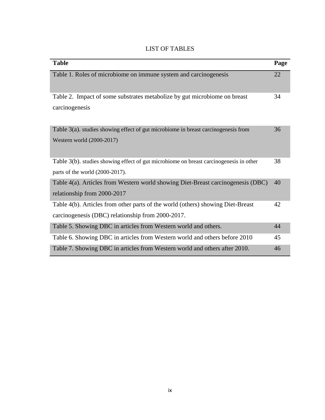| <b>LIST OF TABLES</b> |  |  |  |
|-----------------------|--|--|--|
|-----------------------|--|--|--|

<span id="page-11-0"></span>

| <b>Table</b>                                                                                                                         | Page |
|--------------------------------------------------------------------------------------------------------------------------------------|------|
| Table 1. Roles of microbiome on immune system and carcinogenesis                                                                     | 22   |
| Table 2. Impact of some substrates metabolize by gut microbiome on breast<br>carcinogenesis                                          | 34   |
| Table $3(a)$ . studies showing effect of gut microbiome in breast carcinogenesis from<br>Western world (2000-2017)                   | 36   |
| Table 3(b), studies showing effect of gut microbiome on breast carcinogenesis in other<br>parts of the world (2000-2017).            | 38   |
| Table 4(a). Articles from Western world showing Diet-Breast carcinogenesis (DBC)<br>relationship from 2000-2017                      | 40   |
| Table 4(b). Articles from other parts of the world (others) showing Diet-Breast<br>carcinogenesis (DBC) relationship from 2000-2017. | 42   |
| Table 5. Showing DBC in articles from Western world and others.                                                                      | 44   |
| Table 6. Showing DBC in articles from Western world and others before 2010                                                           | 45   |
| Table 7. Showing DBC in articles from Western world and others after 2010.                                                           | 46   |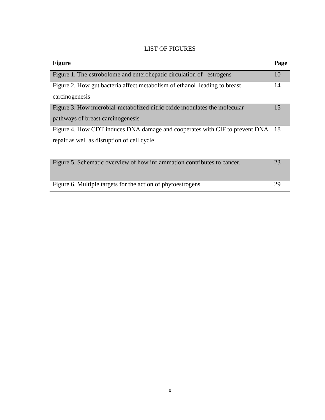<span id="page-12-0"></span>

| <b>Figure</b>                                                               | Page |
|-----------------------------------------------------------------------------|------|
| Figure 1. The estrobolome and enterohepatic circulation of estrogens        | 10   |
| Figure 2. How gut bacteria affect metabolism of ethanol leading to breast   | 14   |
| carcinogenesis                                                              |      |
| Figure 3. How microbial-metabolized nitric oxide modulates the molecular    | 15   |
| pathways of breast carcinogenesis                                           |      |
| Figure 4. How CDT induces DNA damage and cooperates with CIF to prevent DNA | 18   |
| repair as well as disruption of cell cycle                                  |      |
|                                                                             |      |
| Figure 5. Schematic overview of how inflammation contributes to cancer.     | 23   |
|                                                                             |      |
| Figure 6. Multiple targets for the action of phytoestrogens                 | 29   |

## LIST OF FIGURES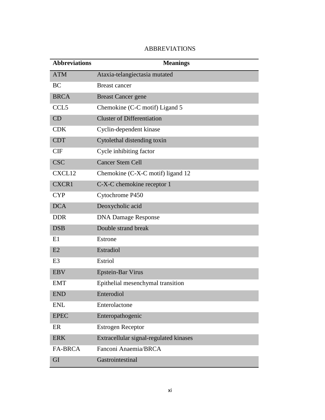<span id="page-13-0"></span>

| <b>Abbreviations</b> | <b>Meanings</b>                        |
|----------------------|----------------------------------------|
| <b>ATM</b>           | Ataxia-telangiectasia mutated          |
| BC                   | <b>Breast cancer</b>                   |
| <b>BRCA</b>          | <b>Breast Cancer gene</b>              |
| CCL <sub>5</sub>     | Chemokine (C-C motif) Ligand 5         |
| CD                   | <b>Cluster of Differentiation</b>      |
| <b>CDK</b>           | Cyclin-dependent kinase                |
| <b>CDT</b>           | Cytolethal distending toxin            |
| <b>CIF</b>           | Cycle inhibiting factor                |
| <b>CSC</b>           | <b>Cancer Stem Cell</b>                |
| CXCL12               | Chemokine (C-X-C motif) ligand 12      |
| CXCR1                | C-X-C chemokine receptor 1             |
| <b>CYP</b>           | Cytochrome P450                        |
| <b>DCA</b>           | Deoxycholic acid                       |
| <b>DDR</b>           | <b>DNA Damage Response</b>             |
| <b>DSB</b>           | Double strand break                    |
| E1                   | Estrone                                |
| E2                   | Estradiol                              |
| E <sub>3</sub>       | Estriol                                |
| <b>EBV</b>           | <b>Epstein-Bar Virus</b>               |
| <b>EMT</b>           | Epithelial mesenchymal transition      |
| END                  | Enterodiol                             |
| <b>ENL</b>           | Enterolactone                          |
| <b>EPEC</b>          | Enteropathogenic                       |
| ER                   | <b>Estrogen Receptor</b>               |
| <b>ERK</b>           | Extracellular signal-regulated kinases |
| <b>FA-BRCA</b>       | Fanconi Anaemia/BRCA                   |
| GI                   | Gastrointestinal                       |

### ABBREVIATIONS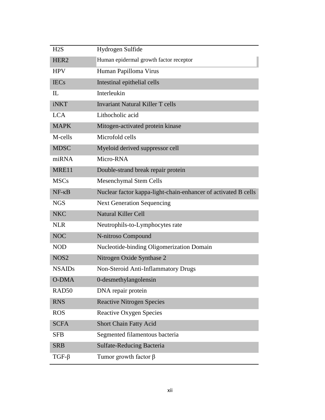| H2S               | Hydrogen Sulfide                                               |
|-------------------|----------------------------------------------------------------|
| HER <sub>2</sub>  | Human epidermal growth factor receptor                         |
| <b>HPV</b>        | Human Papilloma Virus                                          |
| <b>IECs</b>       | Intestinal epithelial cells                                    |
| IL                | Interleukin                                                    |
| iNKT              | <b>Invariant Natural Killer T cells</b>                        |
| <b>LCA</b>        | Lithocholic acid                                               |
| <b>MAPK</b>       | Mitogen-activated protein kinase                               |
| M-cells           | Microfold cells                                                |
| <b>MDSC</b>       | Myeloid derived suppressor cell                                |
| miRNA             | Micro-RNA                                                      |
| MRE11             | Double-strand break repair protein                             |
| <b>MSCs</b>       | <b>Mesenchymal Stem Cells</b>                                  |
| $NF - \kappa B$   | Nuclear factor kappa-light-chain-enhancer of activated B cells |
| <b>NGS</b>        | <b>Next Generation Sequencing</b>                              |
| <b>NKC</b>        | <b>Natural Killer Cell</b>                                     |
| <b>NLR</b>        | Neutrophils-to-Lymphocytes rate                                |
| <b>NOC</b>        | N-nitroso Compound                                             |
| <b>NOD</b>        | Nucleotide-binding Oligomerization Domain                      |
| NOS <sub>2</sub>  | Nitrogen Oxide Synthase 2                                      |
| <b>NSAIDs</b>     | Non-Steroid Anti-Inflammatory Drugs                            |
| <b>O-DMA</b>      | 0-desmethylangolensin                                          |
| RAD <sub>50</sub> | DNA repair protein                                             |
| <b>RNS</b>        | <b>Reactive Nitrogen Species</b>                               |
| <b>ROS</b>        | <b>Reactive Oxygen Species</b>                                 |
| <b>SCFA</b>       | Short Chain Fatty Acid                                         |
| <b>SFB</b>        | Segmented filamentous bacteria                                 |
| <b>SRB</b>        | <b>Sulfate-Reducing Bacteria</b>                               |
| $TGF-\beta$       | Tumor growth factor $\beta$                                    |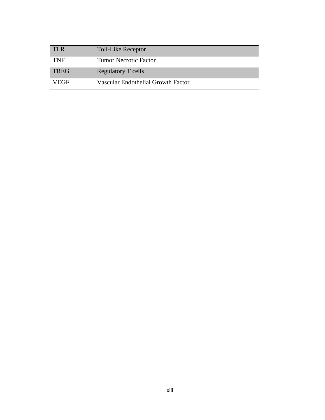| <b>TLR</b>  | <b>Toll-Like Receptor</b>          |
|-------------|------------------------------------|
| <b>TNF</b>  | <b>Tumor Necrotic Factor</b>       |
| <b>TREG</b> | Regulatory T cells                 |
| VEGF        | Vascular Endothelial Growth Factor |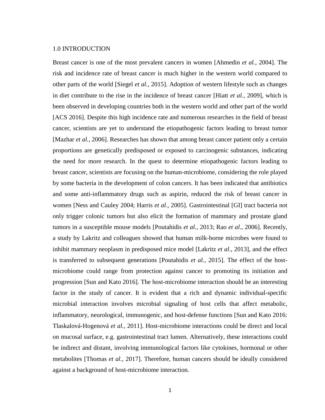#### <span id="page-16-0"></span>1.0 INTRODUCTION

Breast cancer is one of the most prevalent cancers in women [Ahmedin *et al.,* 2004]. The risk and incidence rate of breast cancer is much higher in the western world compared to other parts of the world [Siegel *et al.,* 2015]. Adoption of western lifestyle such as changes in diet contribute to the rise in the incidence of breast cancer [Hiatt *et al.,* 2009], which is been observed in developing countries both in the western world and other part of the world [ACS 2016]. Despite this high incidence rate and numerous researches in the field of breast cancer, scientists are yet to understand the etiopathogenic factors leading to breast tumor [Mazhar *et al.,* 2006]. Researches has shown that among breast cancer patient only a certain proportions are genetically predisposed or exposed to carcinogenic substances, indicating the need for more research. In the quest to determine etiopathogenic factors leading to breast cancer, scientists are focusing on the human-microbiome, considering the role played by some bacteria in the development of colon cancers. It has been indicated that antibiotics and some anti-inflammatory drugs such as aspirin, reduced the risk of breast cancer in women [Ness and Cauley 2004; Harris *et al.,* 2005]. Gastrointestinal [GI] tract bacteria not only trigger colonic tumors but also elicit the formation of mammary and prostate gland tumors in a susceptible mouse models [Poutahidis *et al.,* 2013; Rao *et al*., 2006]. Recently, a study by Lakritz and colleagues showed that human milk-borne microbes were found to inhibit mammary neoplasm in predisposed mice model [Lakritz *et al*., 2013], and the effect is transferred to subsequent generations [Poutahidis *et al.,* 2015]. The effect of the hostmicrobiome could range from protection against cancer to promoting its initiation and progression [Sun and Kato 2016]. The host-microbiome interaction should be an interesting factor in the study of cancer. It is evident that a rich and dynamic individual-specific microbial interaction involves microbial signaling of host cells that affect metabolic, inflammatory, neurological, immunogenic, and host-defense functions [Sun and Kato 2016: Tlaskalová-Hogenová *et al.,* 2011]. Host-microbiome interactions could be direct and local on mucosal surface, e.g. gastrointestinal tract lumen. Alternatively, these interactions could be indirect and distant, involving immunological factors like cytokines, hormonal or other metabolites [Thomas *et al.,* 2017]. Therefore, human cancers should be ideally considered against a background of host-microbiome interaction.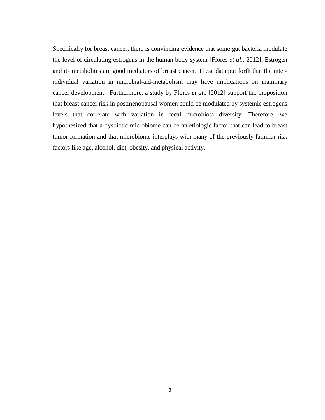Specifically for breast cancer, there is convincing evidence that some gut bacteria modulate the level of circulating estrogens in the human body system [Flores *et al.,* 2012]. Estrogen and its metabolites are good mediators of breast cancer. These data put forth that the interindividual variation in microbial-aid-metabolism may have implications on mammary cancer development. Furthermore, a study by Flores *et al*., [2012] support the proposition that breast cancer risk in postmenopausal women could be modulated by systemic estrogens levels that correlate with variation in fecal microbiota diversity. Therefore, we hypothesized that a dysbiotic microbiome can be an etiologic factor that can lead to breast tumor formation and that microbiome interplays with many of the previously familiar risk factors like age, alcohol, diet, obesity, and physical activity.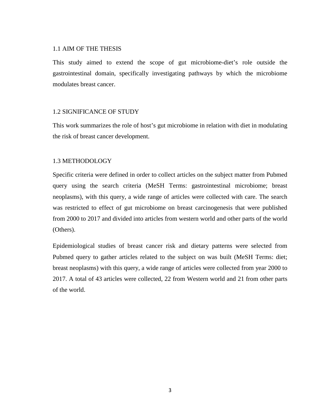#### <span id="page-18-0"></span>1.1 AIM OF THE THESIS

This study aimed to extend the scope of gut microbiome-diet's role outside the gastrointestinal domain, specifically investigating pathways by which the microbiome modulates breast cancer.

### <span id="page-18-1"></span>1.2 SIGNIFICANCE OF STUDY

This work summarizes the role of host's gut microbiome in relation with diet in modulating the risk of breast cancer development.

### <span id="page-18-2"></span>1.3 METHODOLOGY

Specific criteria were defined in order to collect articles on the subject matter from Pubmed query using the search criteria (MeSH Terms: gastrointestinal microbiome; breast neoplasms), with this query, a wide range of articles were collected with care. The search was restricted to effect of gut microbiome on breast carcinogenesis that were published from 2000 to 2017 and divided into articles from western world and other parts of the world (Others).

Epidemiological studies of breast cancer risk and dietary patterns were selected from Pubmed query to gather articles related to the subject on was built (MeSH Terms: diet; breast neoplasms) with this query, a wide range of articles were collected from year 2000 to 2017. A total of 43 articles were collected, 22 from Western world and 21 from other parts of the world.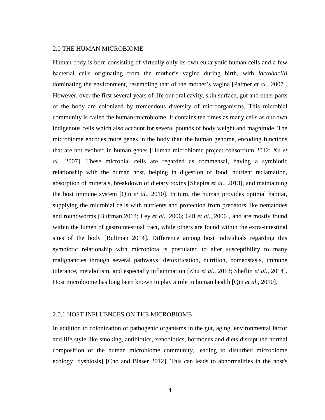#### <span id="page-19-0"></span>2.0 THE HUMAN MICROBIOME

Human body is born consisting of virtually only its own eukaryotic human cells and a few bacterial cells originating from the mother's vagina during birth, with *lactobacilli* dominating the environment, resembling that of the mother's vagina [Palmer *et al.,* 2007]. However, over the first several years of life our oral cavity, skin surface, gut and other parts of the body are colonized by tremendous diversity of microorganisms. This microbial community is called the human-microbiome. It contains ten times as many cells as our own indigenous cells which also account for several pounds of body weight and magnitude. The microbiome encodes more genes in the body than the human genome, encoding functions that are not evolved in human genes [Human microbiome project consortium 2012; Xu *et al.,* 2007]. These microbial cells are regarded as commensal, having a symbiotic relationship with the human host, helping in digestion of food, nutrient reclamation, absorption of minerals, breakdown of dietary toxins [Shapira *et al.,* 2013], and maintaining the host immune system [Qin *et al.,* 2010]. In turn, the human provides optimal habitat, supplying the microbial cells with nutrients and protection from predators like nematodes and roundworms [Bultman 2014; Ley *et al.,* 2006; Gill *et al.,* 2006], and are mostly found within the lumen of gastrointestinal tract, while others are found within the extra-intestinal sites of the body [Bultman 2014]. Difference among host individuals regarding this symbiotic relationship with microbiota is postulated to alter susceptibility to many malignancies through several pathways: detoxification, nutrition, homeostasis, immune tolerance, metabolism, and especially inflammation [Zhu *et al.,* 2013; Sheflin *et al.,* 2014]. Host microbiome has long been known to play a role in human health [Qin *et al.,* 2010].

#### <span id="page-19-1"></span>2.0.1 HOST INFLUENCES ON THE MICROBIOME

In addition to colonization of pathogenic organisms in the gut, aging, environmental factor and life style like smoking, antibiotics, xenobiotics, hormones and diets disrupt the normal composition of the human microbiome community, leading to disturbed microbiome ecology [dysbiosis] [Cho and Blaser 2012]. This can leads to abnormalities in the host's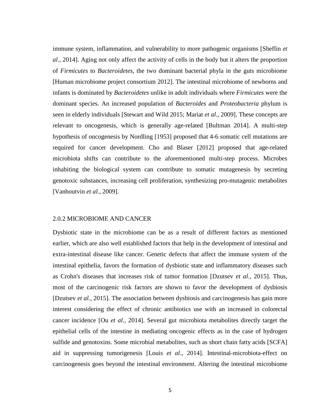immune system, inflammation, and vulnerability to more pathogenic organisms [Sheflin *et al*., 2014]. Aging not only affect the activity of cells in the body but it alters the proportion of *Firmicutes* to *Bacteroidetes*, the two dominant bacterial phyla in the guts microbiome [Human microbiome project consortium 2012]. The intestinal microbiome of newborns and infants is dominated by *Bacteroidetes* unlike in adult individuals where *Firmicutes* were the dominant species. An increased population of *Bacteroides* and *Proteobacteria* phylum is seen in elderly individuals [Stewart and Wild 2015; Mariat *et al*., 2009]. These concepts are relevant to oncogenesis, which is generally age-related [Bultman 2014]. A multi-step hypothesis of oncogenesis by Nordling [1953] proposed that 4-6 somatic cell mutations are required for cancer development. Cho and Blaser [2012] proposed that age-related microbiota shifts can contribute to the aforementioned multi-step process. Microbes inhabiting the biological system can contribute to somatic mutagenesis by secreting genotoxic substances, increasing cell proliferation, synthesizing pro-mutagenic metabolites [Vanhoutvin *et al*., 2009].

#### <span id="page-20-0"></span>2.0.2 MICROBIOME AND CANCER

Dysbiotic state in the microbiome can be as a result of different factors as mentioned earlier, which are also well established factors that help in the development of intestinal and extra-intestinal disease like cancer. Genetic defects that affect the immune system of the intestinal epithelia, favors the formation of dysbiotic state and inflammatory diseases such as Crohn's diseases that increases risk of tumor formation [Dzutsev *et al.,* 2015]. Thus, most of the carcinogenic risk factors are shown to favor the development of dysbiosis [Dzutsev *et al.,* 2015]. The association between dysbiosis and carcinogenesis has gain more interest considering the effect of chronic antibiotics use with an increased in colorectal cancer incidence [Ou *et al.,* 2014]. Several gut microbiota metabolites directly target the epithelial cells of the intestine in mediating oncogenic effects as in the case of hydrogen sulfide and genotoxins. Some microbial metabolites, such as short chain fatty acids [SCFA] aid in suppressing tumorigenesis [Louis *et al*., 2014]. Intestinal-microbiota-effect on carcinogenesis goes beyond the intestinal environment. Altering the intestinal microbiome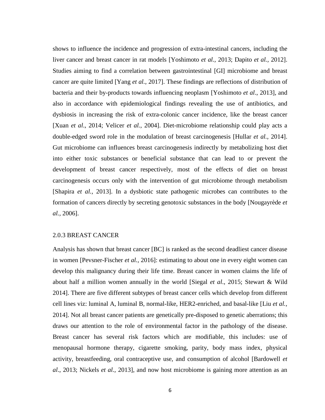shows to influence the incidence and progression of extra-intestinal cancers, including the liver cancer and breast cancer in rat models [Yoshimoto *et al.,* 2013; Dapito *et al.,* 2012]. Studies aiming to find a correlation between gastrointestinal [GI] microbiome and breast cancer are quite limited [Yang *et al.,* 2017]. These findings are reflections of distribution of bacteria and their by-products towards influencing neoplasm [Yoshimoto *et al*., 2013], and also in accordance with epidemiological findings revealing the use of antibiotics, and dysbiosis in increasing the risk of extra-colonic cancer incidence, like the breast cancer [Xuan *et al*., 2014; Velicer *et al.*, 2004]. Diet-microbiome relationship could play acts a double-edged sword role in the modulation of breast carcinogenesis [Hullar *et al.,* 2014]. Gut microbiome can influences breast carcinogenesis indirectly by metabolizing host diet into either toxic substances or beneficial substance that can lead to or prevent the development of breast cancer respectively, most of the effects of diet on breast carcinogenesis occurs only with the intervention of gut microbiome through metabolism [Shapira *et al.,* 2013]. In a dysbiotic state pathogenic microbes can contributes to the formation of cancers directly by secreting genotoxic substances in the body [Nougayrède *et al.,* 2006].

#### <span id="page-21-0"></span>2.0.3 BREAST CANCER

Analysis has shown that breast cancer [BC] is ranked as the second deadliest cancer disease in women [Pevsner-Fischer *et al.,* 2016]: estimating to about one in every eight women can develop this malignancy during their life time. Breast cancer in women claims the life of about half a million women annually in the world [Siegal *et al*., 2015; Stewart & Wild 2014]. There are five different subtypes of breast cancer cells which develop from different cell lines viz: luminal A, luminal B, normal-like, HER2-enriched, and basal-like [Liu *et al.,* 2014]. Not all breast cancer patients are genetically pre-disposed to genetic aberrations; this draws our attention to the role of environmental factor in the pathology of the disease. Breast cancer has several risk factors which are modifiable, this includes: use of menopausal hormone therapy, cigarette smoking, parity, body mass index, physical activity, breastfeeding, oral contraceptive use, and consumption of alcohol [Bardowell *et al*., 2013; Nickels *et al.,* 2013], and now host microbiome is gaining more attention as an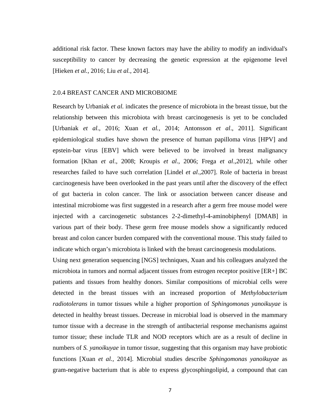additional risk factor. These known factors may have the ability to modify an individual's susceptibility to cancer by decreasing the genetic expression at the epigenome level [Hieken *et al.,* 2016; Liu *et al.,* 2014].

#### <span id="page-22-0"></span>2.0.4 BREAST CANCER AND MICROBIOME

Research by Urbaniak *et al.* indicates the presence of microbiota in the breast tissue, but the relationship between this microbiota with breast carcinogenesis is yet to be concluded [Urbaniak *et al*., 2016; Xuan *et al.,* 2014; Antonsson *et al*., 2011]. Significant epidemiological studies have shown the presence of human papilloma virus [HPV] and epstein-bar virus [EBV] which were believed to be involved in breast malignancy formation [Khan *et al*., 2008; Kroupis *et al*., 2006; Frega *et al*.,2012], while other researches failed to have such correlation [Lindel *et al*.,2007]. Role of bacteria in breast carcinogenesis have been overlooked in the past years until after the discovery of the effect of gut bacteria in colon cancer. The link or association between cancer disease and intestinal microbiome was first suggested in a research after a germ free mouse model were injected with a carcinogenetic substances 2-2-dimethyl-4-aminobiphenyl [DMAB] in various part of their body. These germ free mouse models show a significantly reduced breast and colon cancer burden compared with the conventional mouse. This study failed to indicate which organ's microbiota is linked with the breast carcinogenesis modulations.

Using next generation sequencing [NGS] techniques, Xuan and his colleagues analyzed the microbiota in tumors and normal adjacent tissues from estrogen receptor positive [ER+] BC patients and tissues from healthy donors. Similar compositions of microbial cells were detected in the breast tissues with an increased proportion of *Methylobacterium radiotolerans* in tumor tissues while a higher proportion of *Sphingomonas yanoikuyae* is detected in healthy breast tissues. Decrease in microbial load is observed in the mammary tumor tissue with a decrease in the strength of antibacterial response mechanisms against tumor tissue; these include TLR and NOD receptors which are as a result of decline in numbers of *S. yanoikuyae* in tumor tissue, suggesting that this organism may have probiotic functions [Xuan *et al.,* 2014]. Microbial studies describe *Sphingomonas yanoikuyae* as gram-negative bacterium that is able to express glycosphingolipid, a compound that can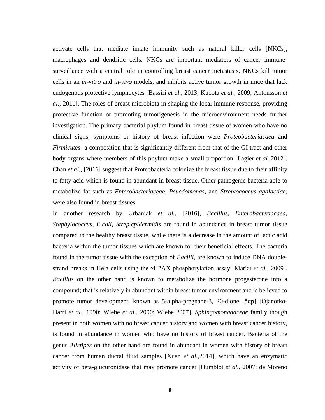activate cells that mediate innate immunity such as natural killer cells [NKCs], macrophages and dendritic cells. NKCs are important mediators of cancer immunesurveillance with a central role in controlling breast cancer metastasis. NKCs kill tumor cells in an *in-vitro* and *in-vivo* models, and inhibits active tumor growth in mice that lack endogenous protective lymphocytes [Bassiri *et al*., 2013; Kubota *et al.,* 2009; Antonsson *et al*., 2011]. The roles of breast microbiota in shaping the local immune response, providing protective function or promoting tumorigenesis in the microenvironment needs further investigation. The primary bacterial phylum found in breast tissue of women who have no clinical signs, symptoms or history of breast infection were *Proteobacteriacaea* and *Firmicutes*- a composition that is significantly different from that of the GI tract and other body organs where members of this phylum make a small proportion [Lagier *et al.,*2012]. Chan *et al.,* [2016] suggest that Proteobacteria colonize the breast tissue due to their affinity to fatty acid which is found in abundant in breast tissue. Other pathogenic bacteria able to metabolize fat such as *Enterobacteriaceae, Psuedomonas*, and *Streptococcus agalactiae,* were also found in breast tissues.

In another research by Urbaniak *et al.,* [2016], *Bacillus, Enterobacteriacaea, Staphylococcus, E.coli, Strep.epidermidis* are found in abundance in breast tumor tissue compared to the healthy breast tissue, while there is a decrease in the amount of lactic acid bacteria within the tumor tissues which are known for their beneficial effects. The bacteria found in the tumor tissue with the exception of *Bacilli*, are known to induce DNA doublestrand breaks in Hela cells using the γH2AX phosphorylation assay [Mariat *et al.,* 2009]. *Bacillus* on the other hand is known to metabolize the hormone progesterone into a compound; that is relatively in abundant within breast tumor environment and is believed to promote tumor development, known as 5-alpha-pregnane-3, 20-dione [5αp] [Ojanotko-Harri *et al.,* 1990; Wiebe *et al.,* 2000; Wiebe 2007]. *Sphingomonadaceae* family though present in both women with no breast cancer history and women with breast cancer history, is found in abundance in women who have no history of breast cancer. Bacteria of the genus *Alistipes* on the other hand are found in abundant in women with history of breast cancer from human ductal fluid samples [Xuan *et al.,*2014], which have an enzymatic activity of beta-glucuronidase that may promote cancer [Humblot *et al.,* 2007; de Moreno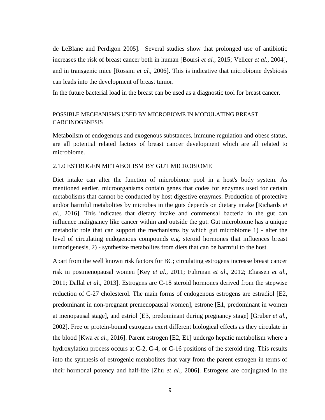de LeBlanc and Perdigon 2005]. Several studies show that prolonged use of antibiotic increases the risk of breast cancer both in human [Boursi *et al.,* 2015; Velicer *et al.,* 2004], and in transgenic mice [Rossini *et al.,* 2006]. This is indicative that microbiome dysbiosis can leads into the development of breast tumor.

In the future bacterial load in the breast can be used as a diagnostic tool for breast cancer.

### POSSIBLE MECHANISMS USED BY MICROBIOME IN MODULATING BREAST **CARCINOGENESIS**

Metabolism of endogenous and exogenous substances, immune regulation and obese status, are all potential related factors of breast cancer development which are all related to microbiome.

### <span id="page-24-0"></span>2.1.0 ESTROGEN METABOLISM BY GUT MICROBIOME

Diet intake can alter the function of microbiome pool in a host's body system. As mentioned earlier, microorganisms contain genes that codes for enzymes used for certain metabolisms that cannot be conducted by host digestive enzymes. Production of protective and/or harmful metabolites by microbes in the guts depends on dietary intake [Richards *et al.,* 2016]. This indicates that dietary intake and commensal bacteria in the gut can influence malignancy like cancer within and outside the gut. Gut microbiome has a unique metabolic role that can support the mechanisms by which gut microbiome 1) - alter the level of circulating endogenous compounds e.g. steroid hormones that influences breast tumorigenesis, 2) - synthesize metabolites from diets that can be harmful to the host.

Apart from the well known risk factors for BC; circulating estrogens increase breast cancer risk in postmenopausal women [Key *et al*., 2011; Fuhrman *et al*., 2012; Eliassen *et al.,* 2011; Dallal *et al*., 2013]. Estrogens are C-18 steroid hormones derived from the stepwise reduction of C-27 cholesterol. The main forms of endogenous estrogens are estradiol [E2, predominant in non-pregnant premenopausal women], estrone [E1, predominant in women at menopausal stage], and estriol [E3, predominant during pregnancy stage] [Gruber *et al.,* 2002]. Free or protein-bound estrogens exert different biological effects as they circulate in the blood [Kwa *et al.,* 2016]. Parent estrogen [E2, E1] undergo hepatic metabolism where a hydroxylation process occurs at C-2, C-4, or C-16 positions of the steroid ring. This results into the synthesis of estrogenic metabolites that vary from the parent estrogen in terms of their hormonal potency and half-life [Zhu *et al.,* 2006]. Estrogens are conjugated in the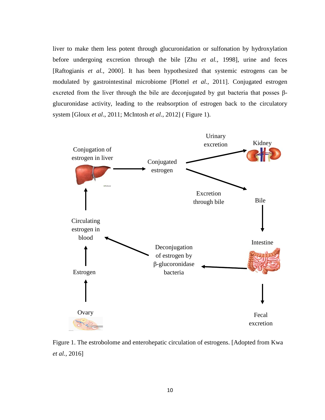liver to make them less potent through glucuronidation or sulfonation by hydroxylation before undergoing excretion through the bile [Zhu *et al.,* 1998], urine and feces [Raftogianis *et al.,* 2000]. It has been hypothesized that systemic estrogens can be modulated by gastrointestinal microbiome [Plottel *et al.,* 2011]. Conjugated estrogen excreted from the liver through the bile are deconjugated by gut bacteria that posses βglucuronidase activity, leading to the reabsorption of estrogen back to the circulatory system [Gloux *et al*., 2011; McIntosh *et al*., 2012] ( Figure 1).



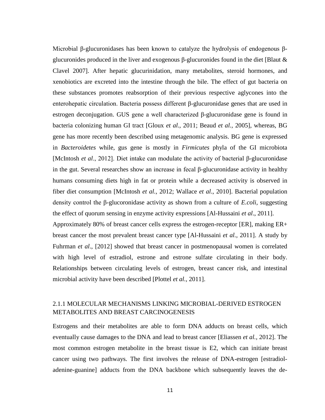Microbial β-glucuronidases has been known to catalyze the hydrolysis of endogenous βglucuronides produced in the liver and exogenous β-glucuronides found in the diet [Blaut & Clavel 2007]. After hepatic glucurinidation, many metabolites, steroid hormones, and xenobiotics are excreted into the intestine through the bile. The effect of gut bacteria on these substances promotes reabsorption of their previous respective aglycones into the enterohepatic circulation. Bacteria possess different β-glucuronidase genes that are used in estrogen deconjugation. GUS gene a well characterized β-glucuronidase gene is found in bacteria colonizing human GI tract [Gloux *et al.,* 2011; Beaud *et al.,* 2005], whereas, BG gene has more recently been described using metagenomic analysis. BG gene is expressed in *Bacteroidetes* while, gus gene is mostly in *Firmicutes* phyla of the GI microbiota [McIntosh *et al*., 2012]. Diet intake can modulate the activity of bacterial β-glucuronidase in the gut. Several researches show an increase in fecal β-glucuronidase activity in healthy humans consuming diets high in fat or protein while a decreased activity is observed in fiber diet consumption [McIntosh *et al.,* 2012; Wallace *et al*., 2010]. Bacterial population density control the β-glucoronidase activity as shown from a culture of *E.coli*, suggesting the effect of quorum sensing in enzyme activity expressions [Al-Hussaini *et al*., 2011].

Approximately 80% of breast cancer cells express the estrogen-receptor [ER], making ER+ breast cancer the most prevalent breast cancer type [Al-Hussaini *et al.,* 2011]. A study by Fuhrman *et al*., [2012] showed that breast cancer in postmenopausal women is correlated with high level of estradiol, estrone and estrone sulfate circulating in their body. Relationships between circulating levels of estrogen, breast cancer risk, and intestinal microbial activity have been described [Plottel *et al.,* 2011].

### <span id="page-26-0"></span>2.1.1 MOLECULAR MECHANISMS LINKING MICROBIAL-DERIVED ESTROGEN METABOLITES AND BREAST CARCINOGENESIS

Estrogens and their metabolites are able to form DNA adducts on breast cells, which eventually cause damages to the DNA and lead to breast cancer [Eliassen *et al.,* 2012]. The most common estrogen metabolite in the breast tissue is E2, which can initiate breast cancer using two pathways. The first involves the release of DNA-estrogen [estradioladenine-guanine] adducts from the DNA backbone which subsequently leaves the de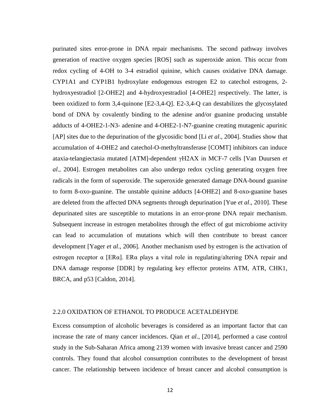purinated sites error-prone in DNA repair mechanisms. The second pathway involves generation of reactive oxygen species [ROS] such as superoxide anion. This occur from redox cycling of 4-OH to 3-4 estradiol quinine, which causes oxidative DNA damage. CYP1A1 and CYP1B1 hydroxylate endogenous estrogen E2 to catechol estrogens, 2 hydroxyestradiol [2-OHE2] and 4-hydroxyestradiol [4-OHE2] respectively. The latter, is been oxidized to form 3,4-quinone [E2-3,4-Q]. E2-3,4-Q can destabilizes the glycosylated bond of DNA by covalently binding to the adenine and/or guanine producing unstable adducts of 4-OHE2-1-N3- adenine and 4-OHE2-1-N7-guanine creating mutagenic apurinic [AP] sites due to the depurination of the glycosidic bond [Li *et al*., 2004]. Studies show that accumulation of 4-OHE2 and catechol-O-methyltransferase [COMT] inhibitors can induce ataxia-telangiectasia mutated [ATM]-dependent γH2AX in MCF-7 cells [Van Duursen *et al*., 2004]. Estrogen metabolites can also undergo redox cycling generating oxygen free radicals in the form of superoxide. The superoxide generated damage DNA-bound guanine to form 8-oxo-guanine. The unstable quinine adducts [4-OHE2] and 8-oxo-guanine bases are deleted from the affected DNA segments through depurination [Yue *et al*., 2010]. These depurinated sites are susceptible to mutations in an error-prone DNA repair mechanism. Subsequent increase in estrogen metabolites through the effect of gut microbiome activity can lead to accumulation of mutations which will then contribute to breast cancer development [Yager *et al*., 2006]. Another mechanism used by estrogen is the activation of estrogen receptor α [ERα]. ERα plays a vital role in regulating/altering DNA repair and DNA damage response [DDR] by regulating key effector proteins ATM, ATR, CHK1, BRCA, and p53 [Caldon, 2014].

#### <span id="page-27-0"></span>2.2.0 OXIDATION OF ETHANOL TO PRODUCE ACETALDEHYDE

Excess consumption of alcoholic beverages is considered as an important factor that can increase the rate of many cancer incidences. Qian *et al.,* [2014], performed a case control study in the Sub-Saharan Africa among 2139 women with invasive breast cancer and 2590 controls. They found that alcohol consumption contributes to the development of breast cancer. The relationship between incidence of breast cancer and alcohol consumption is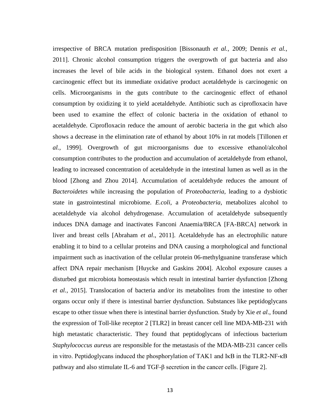irrespective of BRCA mutation predisposition [Bissonauth *et al.,* 2009; Dennis *et al.,* 2011]. Chronic alcohol consumption triggers the overgrowth of gut bacteria and also increases the level of bile acids in the biological system. Ethanol does not exert a carcinogenic effect but its immediate oxidative product acetaldehyde is carcinogenic on cells. Microorganisms in the guts contribute to the carcinogenic effect of ethanol consumption by oxidizing it to yield acetaldehyde. Antibiotic such as ciprofloxacin have been used to examine the effect of colonic bacteria in the oxidation of ethanol to acetaldehyde. Ciprofloxacin reduce the amount of aerobic bacteria in the gut which also shows a decrease in the elimination rate of ethanol by about 10% in rat models [Tillonen *et al.,* 1999]. Overgrowth of gut microorganisms due to excessive ethanol/alcohol consumption contributes to the production and accumulation of acetaldehyde from ethanol, leading to increased concentration of acetaldehyde in the intestinal lumen as well as in the blood [Zhong and Zhou 2014]. Accumulation of acetaldehyde reduces the amount of *Bacteroidetes* while increasing the population of *Proteobacteria*, leading to a dysbiotic state in gastrointestinal microbiome. *E.coli*, a *Proteobacteria*, metabolizes alcohol to acetaldehyde via alcohol dehydrogenase. Accumulation of acetaldehyde subsequently induces DNA damage and inactivates Fanconi Anaemia/BRCA [FA-BRCA] network in liver and breast cells [Abraham *et al*., 2011]. Acetaldehyde has an electrophilic nature enabling it to bind to a cellular proteins and DNA causing a morphological and functional impairment such as inactivation of the cellular protein 06-methylguanine transferase which affect DNA repair mechanism [Huycke and Gaskins 2004]. Alcohol exposure causes a disturbed gut microbiota homeostasis which result in intestinal barrier dysfunction [Zhong *et al.,* 2015]. Translocation of bacteria and/or its metabolites from the intestine to other organs occur only if there is intestinal barrier dysfunction. Substances like peptidoglycans escape to other tissue when there is intestinal barrier dysfunction. Study by Xie *et al*., found the expression of Toll-like receptor 2 [TLR2] in breast cancer cell line MDA-MB-231 with high metastatic characteristic. They found that peptidoglycans of infectious bacterium *Staphylococcus aureus* are responsible for the metastasis of the MDA-MB-231 cancer cells in vitro. Peptidoglycans induced the phosphorylation of TAK1 and IκB in the TLR2-NF-κB pathway and also stimulate IL-6 and TGF-β secretion in the cancer cells. [Figure 2].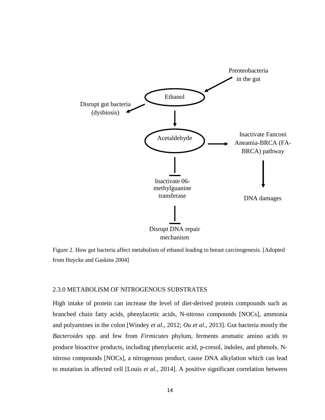

Figure 2. How gut bacteria affect metabolism of ethanol leading to breast carcinogenesis. [Adopted from Huycke and Gaskins 2004]

### <span id="page-29-0"></span>2.3.0 METABOLISM OF NITROGENOUS SUBSTRATES

High intake of protein can increase the level of diet-derived protein compounds such as branched chain fatty acids, phenylacetic acids, N-nitroso compounds [NOCs], ammonia and polyamines in the colon [Windey *et al*., 2012; *Ou et al*., 2013]. Gut bacteria mostly the *Bacteroides* spp. and few from *Firmicutes* phylum, ferments aromatic amino acids to produce bioactive products, including phenylacetic acid, p-cresol, indoles, and phenols. Nnitroso compounds [NOCs], a nitrogenous product, cause DNA alkylation which can lead to mutation in affected cell [Louis *et al.,* 2014]. A positive significant correlation between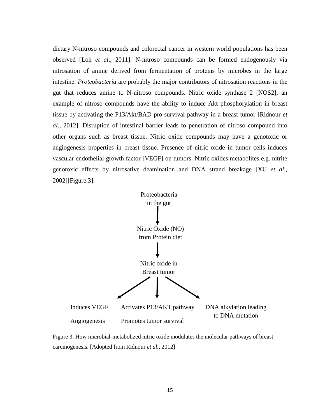dietary N-nitroso compounds and colorectal cancer in western world populations has been observed [Loh *et al*., 2011]. N-nitroso compounds can be formed endogenously via nitrosation of amine derived from fermentation of proteins by microbes in the large intestine. *Proteobacteria* are probably the major contributors of nitrosation reactions in the gut that reduces amine to N-nitroso compounds. Nitric oxide synthase 2 [NOS2], an example of nitroso compounds have the ability to induce Akt phosphorylation in breast tissue by activating the P13/Akt/BAD pro-survival pathway in a breast tumor [Ridnour *et al*., 2012]. Disruption of intestinal barrier leads to penetration of nitroso compound into other organs such as breast tissue. Nitric oxide compounds may have a genotoxic or angiogenesis properties in breast tissue. Presence of nitric oxide in tumor cells induces vascular endothelial growth factor [VEGF] on tumors. Nitric oxides metabolites e.g. nitrite genotoxic effects by nitrosative deamination and DNA strand breakage [XU *et al*., 2002][Figure.3].



<span id="page-30-0"></span>Figure 3. How microbial-metabolized nitric oxide modulates the molecular pathways of breast carcinogenesis. [Adopted from Ridnour *et al.,* 2012]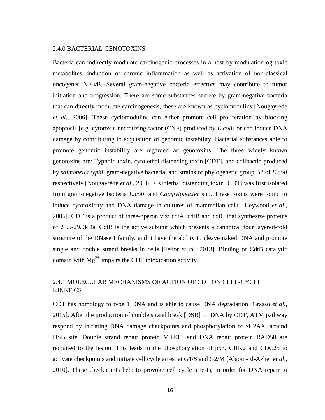#### 2.4.0 BACTERIAL GENOTOXINS

Bacteria can indirectly modulate carcinogenic processes in a host by modulation og toxic metabolites, induction of chronic inflammation as well as activation of non-classical oncogenes NF-κB. Several gram-negative bacteria effectors may contribute to tumor initiation and progression. There are some substances secrete by gram-negative bacteria that can directly modulate carcinogenesis, these are known as cyclomodulins [Nougayrède *et al*., 2006]. These cyclomodulins can either promote cell proliferation by blocking apoptosis [e.g. cytotoxic necrotizing factor (CNF) produced by *E.coli*] or can induce DNA damage by contributing to acquisition of genomic instability. Bacterial substances able to promote genomic instability are regarded as genotoxins. The three widely known genotoxins are: Typhoid toxin, cytolethal distending toxin [CDT], and colibactin produced by *salmonella typhi*, gram-negative bacteria, and strains of phylogenetic group B2 of *E.coli*  respectively [Nougayrède *et al*., 2006]. Cytolethal distending toxin [CDT] was first isolated from gram-negative bacteria *E.coli*, and *Campylobacter* spp. These toxins were found to induce cytotoxicity and DNA damage in cultures of mammalian cells [Heywood *et al*., 2005]. CDT is a product of three-operon viz: cdtA, cdtB and cdtC that synthesize proteins of 25.5-29.9kDa. CdtB is the active subunit which presents a canonical four layered-fold structure of the DNase I family, and it have the ability to cleave naked DNA and promote single and double strand breaks in cells [Fedor *et al*., 2013]. Binding of CdtB catalytic domain with  $Mg^{2+}$  impairs the CDT intoxication activity.

### <span id="page-31-0"></span>2.4.1 MOLECULAR MECHANISMS OF ACTION OF CDT ON CELL-CYCLE KINETICS

CDT has homology to type 1 DNA and is able to cause DNA degradation [Grasso *et al.,* 2015]. After the production of double strand break [DSB] on DNA by CDT, ATM pathway respond by initiating DNA damage checkpoints and phosphorylation of γH2AX, around DSB site. Double strand repair protein MRE11 and DNA repair protein RAD50 are recruited to the lesion. This leads to the phosphorylation of p53, CHK2 and CDC25 to activate checkpoints and initiate cell cycle arrest at G1/S and G2/M [Alaoui-El-Azher *et al*., 2010]. These checkpoints help to provoke cell cycle arrests, in order for DNA repair to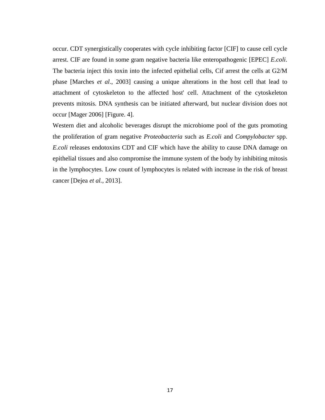occur. CDT synergistically cooperates with cycle inhibiting factor [CIF] to cause cell cycle arrest. CIF are found in some gram negative bacteria like enteropathogenic [EPEC] *E.coli*. The bacteria inject this toxin into the infected epithelial cells, Cif arrest the cells at G2/M phase [Marches *et al*., 2003] causing a unique alterations in the host cell that lead to attachment of cytoskeleton to the affected host' cell. Attachment of the cytoskeleton prevents mitosis. DNA synthesis can be initiated afterward, but nuclear division does not occur [Mager 2006] [Figure. 4].

Western diet and alcoholic beverages disrupt the microbiome pool of the guts promoting the proliferation of gram negative *Proteobacteria* such as *E.coli* and *Compylobacter* spp. *E.coli* releases endotoxins CDT and CIF which have the ability to cause DNA damage on epithelial tissues and also compromise the immune system of the body by inhibiting mitosis in the lymphocytes. Low count of lymphocytes is related with increase in the risk of breast cancer [Dejea *et al.,* 2013].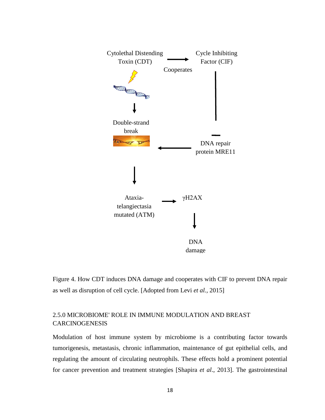

Figure 4. How CDT induces DNA damage and cooperates with CIF to prevent DNA repair as well as disruption of cell cycle. [Adopted from Levi *et al.,* 2015]

### <span id="page-33-0"></span>2.5.0 MICROBIOME' ROLE IN IMMUNE MODULATION AND BREAST CARCINOGENESIS

Modulation of host immune system by microbiome is a contributing factor towards tumorigenesis, metastasis, chronic inflammation, maintenance of gut epithelial cells, and regulating the amount of circulating neutrophils. These effects hold a prominent potential for cancer prevention and treatment strategies [Shapira *et al*., 2013]. The gastrointestinal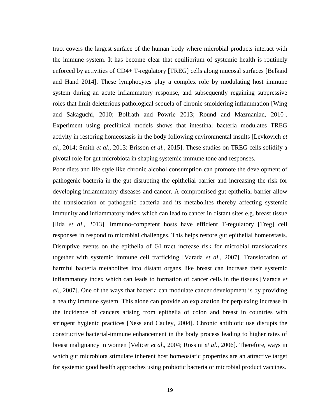tract covers the largest surface of the human body where microbial products interact with the immune system. It has become clear that equilibrium of systemic health is routinely enforced by activities of CD4+ T-regulatory [TREG] cells along mucosal surfaces [Belkaid and Hand 2014]. These lymphocytes play a complex role by modulating host immune system during an acute inflammatory response, and subsequently regaining suppressive roles that limit deleterious pathological sequela of chronic smoldering inflammation [Wing and Sakaguchi, 2010; Bollrath and Powrie 2013; Round and Mazmanian, 2010]. Experiment using preclinical models shows that intestinal bacteria modulates TREG activity in restoring homeostasis in the body following environmental insults [Levkovich *et al*., 2014; Smith *et al*., 2013; Brisson *et al.,* 2015]. These studies on TREG cells solidify a pivotal role for gut microbiota in shaping systemic immune tone and responses.

Poor diets and life style like chronic alcohol consumption can promote the development of pathogenic bacteria in the gut disrupting the epithelial barrier and increasing the risk for developing inflammatory diseases and cancer. A compromised gut epithelial barrier allow the translocation of pathogenic bacteria and its metabolites thereby affecting systemic immunity and inflammatory index which can lead to cancer in distant sites e.g. breast tissue [Iida *et al*., 2013]. Immuno-competent hosts have efficient T-regulatory [Treg] cell responses in respond to microbial challenges. This helps restore gut epithelial homeostasis. Disruptive events on the epithelia of GI tract increase risk for microbial translocations together with systemic immune cell trafficking [Varada *et al*., 2007]. Translocation of harmful bacteria metabolites into distant organs like breast can increase their systemic inflammatory index which can leads to formation of cancer cells in the tissues [Varada *et al*., 2007]. One of the ways that bacteria can modulate cancer development is by providing a healthy immune system. This alone can provide an explanation for perplexing increase in the incidence of cancers arising from epithelia of colon and breast in countries with stringent hygienic practices [Ness and Cauley, 2004]. Chronic antibiotic use disrupts the constructive bacterial-immune enhancement in the body process leading to higher rates of breast malignancy in women [Velicer *et al*., 2004; Rossini *et al.,* 2006]. Therefore, ways in which gut microbiota stimulate inherent host homeostatic properties are an attractive target for systemic good health approaches using probiotic bacteria or microbial product vaccines.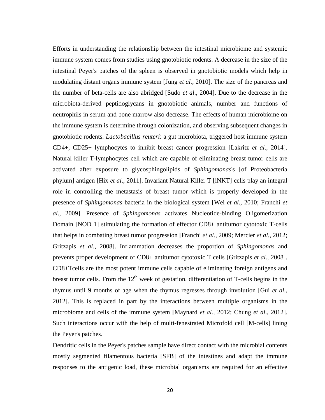Efforts in understanding the relationship between the intestinal microbiome and systemic immune system comes from studies using gnotobiotic rodents. A decrease in the size of the intestinal Peyer's patches of the spleen is observed in gnotobiotic models which help in modulating distant organs immune system [Jung *et al.,* 2010]. The size of the pancreas and the number of beta-cells are also abridged [Sudo *et al*., 2004]. Due to the decrease in the microbiota-derived peptidoglycans in gnotobiotic animals, number and functions of neutrophils in serum and bone marrow also decrease. The effects of human microbiome on the immune system is determine through colonization, and observing subsequent changes in gnotobiotic rodents. *Lactobacillus reuteri*: a gut microbiota, triggered host immune system CD4+, CD25+ lymphocytes to inhibit breast cancer progression [Lakritz *et al.,* 2014]. Natural killer T-lymphocytes cell which are capable of eliminating breast tumor cells are activated after exposure to glycosphingolipids of *Sphingomonas*'s [of Proteobacteria phylum] antigen [Hix *et al*., 2011]. Invariant Natural Killer T [iNKT] cells play an integral role in controlling the metastasis of breast tumor which is properly developed in the presence of *Sphingomonas* bacteria in the biological system [Wei *et al*., 2010; Franchi *et al*., 2009]. Presence of *Sphingomonas* activates Nucleotide-binding Oligomerization Domain [NOD 1] stimulating the formation of effector CD8+ antitumor cytotoxic T-cells that helps in combating breast tumor progression [Franchi *et al*., 2009; Mercier *et al.,* 2012; Gritzapis *et al*., 2008]. Inflammation decreases the proportion of *Sphingomonas* and prevents proper development of CD8+ antitumor cytotoxic T cells [Gritzapis *et al*., 2008]. CD8+Tcells are the most potent immune cells capable of eliminating foreign antigens and breast tumor cells. From the  $12<sup>th</sup>$  week of gestation, differentiation of T-cells begins in the thymus until 9 months of age when the thymus regresses through involution [Gui *et al.,* 2012]. This is replaced in part by the interactions between multiple organisms in the microbiome and cells of the immune system [Maynard *et al.,* 2012; Chung *et al*., 2012]. Such interactions occur with the help of multi-fenestrated Microfold cell [M-cells] lining the Peyer's patches.

Dendritic cells in the Peyer's patches sample have direct contact with the microbial contents mostly segmented filamentous bacteria [SFB] of the intestines and adapt the immune responses to the antigenic load, these microbial organisms are required for an effective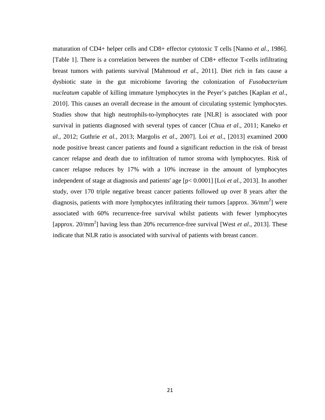maturation of CD4+ helper cells and CD8+ effector cytotoxic T cells [Nanno *et al.,* 1986]. [Table 1]. There is a correlation between the number of CD8+ effector T-cells infiltrating breast tumors with patients survival [Mahmoud *et al*., 2011]. Diet rich in fats cause a dysbiotic state in the gut microbiome favoring the colonization of *Fusobacterium nucleatum* capable of killing immature lymphocytes in the Peyer's patches [Kaplan *et al*., 2010]. This causes an overall decrease in the amount of circulating systemic lymphocytes. Studies show that high neutrophils-to-lymphocytes rate [NLR] is associated with poor survival in patients diagnosed with several types of cancer [Chua *et al*., 2011; Kaneko *et al.,* 2012; Guthrie *et al.*, 2013; Margolis *et al*., 2007]. Loi *et al*., [2013] examined 2000 node positive breast cancer patients and found a significant reduction in the risk of breast cancer relapse and death due to infiltration of tumor stroma with lymphocytes. Risk of cancer relapse reduces by 17% with a 10% increase in the amount of lymphocytes independent of stage at diagnosis and patients' age [p< 0.0001] [Loi *et al.,* 2013]. In another study, over 170 triple negative breast cancer patients followed up over 8 years after the diagnosis, patients with more lymphocytes infiltrating their tumors [approx.  $36/mm^2$ ] were associated with 60% recurrence-free survival whilst patients with fewer lymphocytes [approx. 20/mm<sup>2</sup>] having less than 20% recurrence-free survival [West *et al.*, 2013]. These indicate that NLR ratio is associated with survival of patients with breast cancer.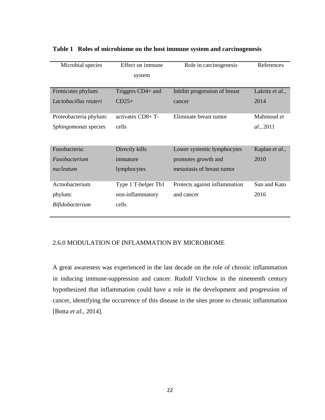| Microbial species      | Effect on immune    | Role in carcinogenesis        | References      |
|------------------------|---------------------|-------------------------------|-----------------|
|                        | system              |                               |                 |
|                        |                     |                               |                 |
| Firmicutes phylum:     | Triggers CD4+ and   | Inhibit progression of breast | Lakritz et al., |
| Lactobacillus reuteri  | $CD25+$             | cancer                        | 2014            |
|                        |                     |                               |                 |
| Proteobacteria phylum: | activates CD8+T-    | Eliminate breast tumor        | Mahmoud et      |
| Sphingomonas species   | cells               |                               | al., 2011       |
|                        |                     |                               |                 |
| Fusobacteria:          | Directly kills      | Lower systemic lymphocytes    | Kaplan et al.,  |
|                        |                     |                               |                 |
| Fusobacterium          | immature            | promotes growth and           | 2010            |
| nucleatum              | lymphocytes         | metastasis of breast tumor    |                 |
|                        |                     |                               |                 |
| Actnobacterium         | Type 1 T-helper Th1 | Protects against inflammation | Sun and Kato    |
| phylum:                | non-inflammatory    | and cancer                    | 2016            |
| <i>Bifidobacterium</i> | cells               |                               |                 |
|                        |                     |                               |                 |

# **Table 1 Roles of microbiome on the host immune system and carcinogenesis**

# 2.6.0 MODULATION OF INFLAMMATION BY MICROBIOME

A great awareness was experienced in the last decade on the role of chronic inflammation in inducing immune-suppression and cancer. Rudolf Virchow in the nineteenth century hypothesized that inflammation could have a role in the development and progression of cancer, identifying the occurrence of this disease in the sites prone to chronic inflammation [Botta *et al.,* 2014].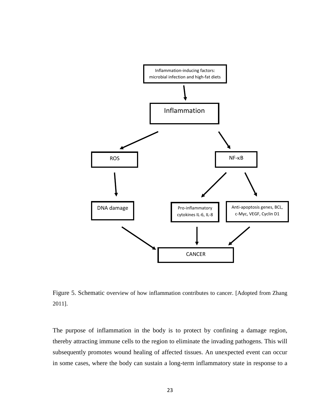

Figure 5. Schematic overview of how inflammation contributes to cancer. [Adopted from Zhang 2011].

The purpose of inflammation in the body is to protect by confining a damage region, thereby attracting immune cells to the region to eliminate the invading pathogens. This will subsequently promotes wound healing of affected tissues. An unexpected event can occur in some cases, where the body can sustain a long-term inflammatory state in response to a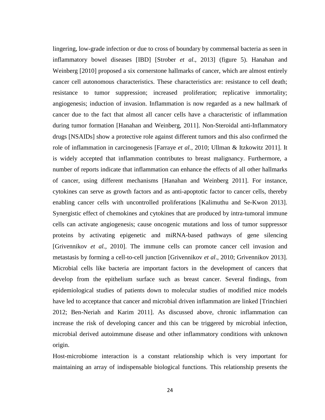lingering, low-grade infection or due to cross of boundary by commensal bacteria as seen in inflammatory bowel diseases [IBD] [Strober *et al*., 2013] (figure 5). Hanahan and Weinberg [2010] proposed a six cornerstone hallmarks of cancer, which are almost entirely cancer cell autonomous characteristics. These characteristics are: resistance to cell death; resistance to tumor suppression; increased proliferation; replicative immortality; angiogenesis; induction of invasion. Inflammation is now regarded as a new hallmark of cancer due to the fact that almost all cancer cells have a characteristic of inflammation during tumor formation [Hanahan and Weinberg, 2011]. Non-Steroidal anti-Inflammatory drugs [NSAIDs] show a protective role against different tumors and this also confirmed the role of inflammation in carcinogenesis [Farraye *et al.,* 2010; Ullman & Itzkowitz 2011]. It is widely accepted that inflammation contributes to breast malignancy. Furthermore, a number of reports indicate that inflammation can enhance the effects of all other hallmarks of cancer, using different mechanisms [Hanahan and Weinberg 2011]. For instance, cytokines can serve as growth factors and as anti-apoptotic factor to cancer cells, thereby enabling cancer cells with uncontrolled proliferations [Kalimuthu and Se-Kwon 2013]. Synergistic effect of chemokines and cytokines that are produced by intra-tumoral immune cells can activate angiogenesis; cause oncogenic mutations and loss of tumor suppressor proteins by activating epigenetic and miRNA-based pathways of gene silencing [Grivennikov *et al.,* 2010]. The immune cells can promote cancer cell invasion and metastasis by forming a cell-to-cell junction [Grivennikov *et al*., 2010; Grivennikov 2013]. Microbial cells like bacteria are important factors in the development of cancers that develop from the epithelium surface such as breast cancer. Several findings, from epidemiological studies of patients down to molecular studies of modified mice models have led to acceptance that cancer and microbial driven inflammation are linked [Trinchieri 2012; Ben-Neriah and Karim 2011]. As discussed above, chronic inflammation can increase the risk of developing cancer and this can be triggered by microbial infection, microbial derived autoimmune disease and other inflammatory conditions with unknown origin.

Host-microbiome interaction is a constant relationship which is very important for maintaining an array of indispensable biological functions. This relationship presents the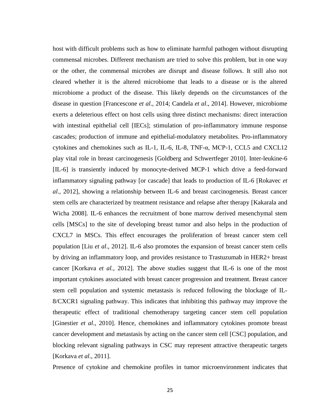host with difficult problems such as how to eliminate harmful pathogen without disrupting commensal microbes. Different mechanism are tried to solve this problem, but in one way or the other, the commensal microbes are disrupt and disease follows. It still also not cleared whether it is the altered microbiome that leads to a disease or is the altered microbiome a product of the disease. This likely depends on the circumstances of the disease in question [Francescone *et al*., 2014; Candela *et al*., 2014]. However, microbiome exerts a deleterious effect on host cells using three distinct mechanisms: direct interaction with intestinal epithelial cell [IECs]; stimulation of pro-inflammatory immune response cascades; production of immune and epithelial-modulatory metabolites. Pro-inflammatory cytokines and chemokines such as IL-1, IL-6, IL-8, TNF-α, MCP-1, CCL5 and CXCL12 play vital role in breast carcinogenesis [Goldberg and Schwertfeger 2010]. Inter-leukine-6 [IL-6] is transiently induced by monocyte-derived MCP-1 which drive a feed-forward inflammatory signaling pathway [or cascade] that leads to production of IL-6 [Rokavec *et al*., 2012], showing a relationship between IL-6 and breast carcinogenesis. Breast cancer stem cells are characterized by treatment resistance and relapse after therapy [Kakarala and Wicha 2008]. IL-6 enhances the recruitment of bone marrow derived mesenchymal stem cells [MSCs] to the site of developing breast tumor and also helps in the production of CXCL7 in MSCs. This effect encourages the proliferation of breast cancer stem cell population [Liu *et al*., 2012]. IL-6 also promotes the expansion of breast cancer stem cells by driving an inflammatory loop, and provides resistance to Trastuzumab in HER2+ breast cancer [Korkava *et al.,* 2012]. The above studies suggest that IL-6 is one of the most important cytokines associated with breast cancer progression and treatment. Breast cancer stem cell population and systemic metastasis is reduced following the blockage of IL-8/CXCR1 signaling pathway. This indicates that inhibiting this pathway may improve the therapeutic effect of traditional chemotherapy targeting cancer stem cell population [Ginestier *et al*., 2010]. Hence, chemokines and inflammatory cytokines promote breast cancer development and metastasis by acting on the cancer stem cell [CSC] population, and blocking relevant signaling pathways in CSC may represent attractive therapeutic targets [Korkava *et al*., 2011].

Presence of cytokine and chemokine profiles in tumor microenvironment indicates that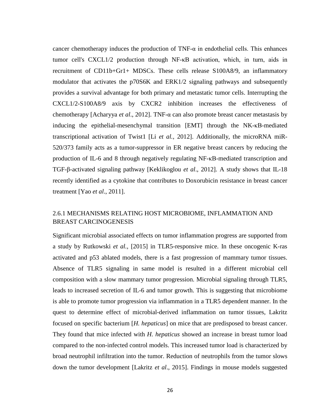cancer chemotherapy induces the production of TNF-α in endothelial cells. This enhances tumor cell's CXCL1/2 production through NF-κB activation, which, in turn, aids in recruitment of CD11b+Gr1+ MDSCs. These cells release S100A8/9, an inflammatory modulator that activates the p70S6K and ERK1/2 signaling pathways and subsequently provides a survival advantage for both primary and metastatic tumor cells. Interrupting the CXCL1/2-S100A8/9 axis by CXCR2 inhibition increases the effectiveness of chemotherapy [Acharyya *et al*., 2012]. TNF-α can also promote breast cancer metastasis by inducing the epithelial-mesenchymal transition [EMT] through the NK-κB-mediated transcriptional activation of Twist1 [Li *et al.,* 2012]. Additionally, the microRNA miR-520/373 family acts as a tumor-suppressor in ER negative breast cancers by reducing the production of IL-6 and 8 through negatively regulating NF-κB-mediated transcription and TGF-β-activated signaling pathway [Keklikoglou *et al*., 2012]. A study shows that IL-18 recently identified as a cytokine that contributes to Doxorubicin resistance in breast cancer treatment [Yao *et al*., 2011].

# 2.6.1 MECHANISMS RELATING HOST MICROBIOME, INFLAMMATION AND BREAST CARCINOGENESIS

Significant microbial associated effects on tumor inflammation progress are supported from a study by Rutkowski *et al.,* [2015] in TLR5-responsive mice. In these oncogenic K-ras activated and p53 ablated models, there is a fast progression of mammary tumor tissues. Absence of TLR5 signaling in same model is resulted in a different microbial cell composition with a slow mammary tumor progression. Microbial signaling through TLR5, leads to increased secretion of IL-6 and tumor growth. This is suggesting that microbiome is able to promote tumor progression via inflammation in a TLR5 dependent manner. In the quest to determine effect of microbial-derived inflammation on tumor tissues, Lakritz focused on specific bacterium [*H. hepaticus*] on mice that are predisposed to breast cancer. They found that mice infected with *H. hepaticus* showed an increase in breast tumor load compared to the non-infected control models. This increased tumor load is characterized by broad neutrophil infiltration into the tumor. Reduction of neutrophils from the tumor slows down the tumor development [Lakritz *et al*., 2015]. Findings in mouse models suggested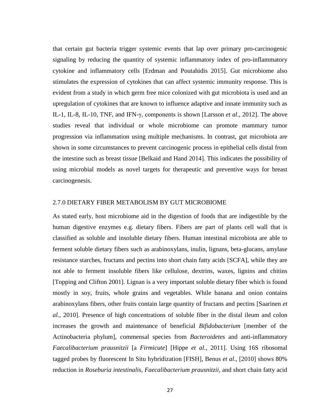that certain gut bacteria trigger systemic events that lap over primary pro-carcinogenic signaling by reducing the quantity of systemic inflammatory index of pro-inflammatory cytokine and inflammatory cells [Erdman and Poutahidis 2015]. Gut microbiome also stimulates the expression of cytokines that can affect systemic immunity response. This is evident from a study in which germ free mice colonized with gut microbiota is used and an upregulation of cytokines that are known to influence adaptive and innate immunity such as IL-1, IL-8, IL-10, TNF, and IFN-γ, components is shown [Larsson *et al*., 2012]. The above studies reveal that individual or whole microbiome can promote mammary tumor progression via inflammation using multiple mechanisms. In contrast, gut microbiota are shown in some circumstances to prevent carcinogenic process in epithelial cells distal from the intestine such as breast tissue [Belkaid and Hand 2014]. This indicates the possibility of using microbial models as novel targets for therapeutic and preventive ways for breast carcinogenesis.

## 2.7.0 DIETARY FIBER METABOLISM BY GUT MICROBIOME

As stated early, host microbiome aid in the digestion of foods that are indigestible by the human digestive enzymes e.g. dietary fibers. Fibers are part of plants cell wall that is classified as soluble and insoluble dietary fibers. Human intestinal microbiota are able to ferment soluble dietary fibers such as arabinoxylans, inulin, lignans, beta-glucans, amylase resistance starches, fructans and pectins into short chain fatty acids [SCFA], while they are not able to ferment insoluble fibers like cellulose, dextrins, waxes, lignins and chitins [Topping and Clifton 2001]. Lignan is a very important soluble dietary fiber which is found mostly in soy, fruits, whole grains and vegetables. While banana and onion contains arabinoxylans fibers, other fruits contain large quantity of fructans and pectins [Saarinen *et al.,* 2010]. Presence of high concentrations of soluble fiber in the distal ileum and colon increases the growth and maintenance of beneficial *Bifidobacterium* [member of the Actinobacteria phylum], commensal species from *Bacteroidetes* and anti-inflammatory *Faecalibacterium prausnitzii* [a *Firmicute*] [Hippe *et al.,* 2011]. Using 16S ribosomal tagged probes by fluorescent In Situ hybridization [FISH], Benus *et al*., [2010] shows 80% reduction in *Roseburia intestinalis*, *Faecalibacterium prausnitzii,* and short chain fatty acid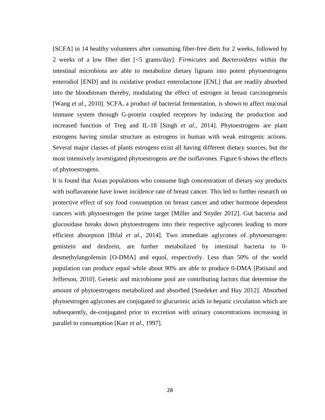[SCFA] in 14 healthy volunteers after consuming fiber-free diets for 2 weeks, followed by 2 weeks of a low fiber diet [<5 grams/day]. *Firmicutes* and *Bacteroidetes* within the intestinal microbiota are able to metabolize dietary lignans into potent phytoestrogens enterodiol [END] and its oxidative product enterolactone [ENL] that are readily absorbed into the bloodstream thereby, modulating the effect of estrogen in breast carcinogenesis [Wang *et al*., 2010]. SCFA, a product of bacterial fermentation, is shown to affect mucosal immune system through G-protein coupled receptors by inducing the production and increased function of Treg and IL-18 [Singh *et al.,* 2014]. Phytoestrogens are plant estrogens having similar structure as estrogens in human with weak estrogenic actions. Several major classes of plants estrogens exist all having different dietary sources, but the most intensively investigated phytoestrogens are the isoflavones. Figure 6 shows the effects of phytoestrogens.

It is found that Asian populations who consume high concentration of dietary soy products with isoflavanone have lower incidence rate of breast cancer. This led to further research on protective effect of soy food consumption on breast cancer and other hormone dependent cancers with phytoestrogen the prime target [Miller and Snyder 2012]. Gut bacteria and glucosidase breaks down phytoestrogens into their respective aglycones leading to more efficient absorption [Bilal *et al*., 2014]. Two immediate aglycones of phytoestrogen: genistein and deidzein, are further metabolized by intestinal bacteria to 0 desmethylangolensin [O-DMA] and equol, respectively. Less than 50% of the world population can produce equol while about 90% are able to produce 0-DMA [Patisaul and Jefferson, 2010]. Genetic and microbiome pool are contributing factors that determine the amount of phytoestrogens metabolized and absorbed [Snedeker and Hay 2012]. Absorbed phytoestrogen aglycones are conjugated to glucuronic acids in hepatic circulation which are subsequently, de-conjugated prior to excretion with urinary concentrations increasing in parallel to consumption [Karr *et al*., 1997].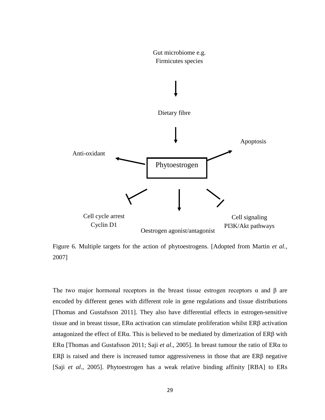

Figure 6. Multiple targets for the action of phytoestrogens. [Adopted from Martin *et al.,* 2007]

The two major hormonal receptors in the breast tissue estrogen receptors  $\alpha$  and  $\beta$  are encoded by different genes with different role in gene regulations and tissue distributions [Thomas and Gustafsson 2011]. They also have differential effects in estrogen-sensitive tissue and in breast tissue, ERα activation can stimulate proliferation whilst ERβ activation antagonized the effect of ERα. This is believed to be mediated by dimerization of ERβ with ERα [Thomas and Gustafsson 2011; Saji *et al*., 2005]. In breast tumour the ratio of ERα to ERβ is raised and there is increased tumor aggressiveness in those that are  $ERβ$  negative [Saji *et al*., 2005]. Phytoestrogen has a weak relative binding affinity [RBA] to ERs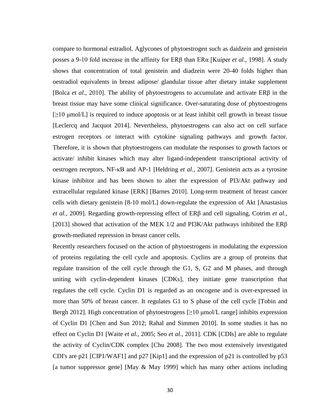compare to hormonal estradiol. Aglycones of phytoestrogen such as daidzein and genistein posses a 9-10 fold increase in the affinity for ERβ than ERα [Kuiper *et al.,* 1998]. A study shows that concentration of total genistein and diadzein were 20-40 folds higher than oestradiol equivalents in breast adipose/ glandular tissue after dietary intake supplement [Bolca *et al.,* 2010]. The ability of phytoestrogens to accumulate and activate ERβ in the breast tissue may have some clinical significance. Over-saturating dose of phytoestrogens  $[\geq]10 \text{ }\mu\text{mol/L}]$  is required to induce apoptosis or at least inhibit cell growth in breast tissue [Leclercq and Jacquot 2014]. Nevertheless, phytoestrogens can also act on cell surface estrogen receptors or interact with cytokine signaling pathways and growth factor. Therefore, it is shown that phytoestrogens can modulate the responses to growth factors or activate/ inhibit kinases which may alter ligand-independent transcriptional activity of oestrogen receptors, NF-κB and AP-1 [Heldring *et al.,* 2007]. Genistein acts as a tyrosine kinase inhibitor and has been shown to alter the expression of PI3/Akt pathway and extracellular regulated kinase [ERK] [Barnes 2010]. Long-term treatment of breast cancer cells with dietary genistein [8-10 mol/L] down-regulate the expression of Akt [Anastasius *et al.,* 2009]. Regarding growth-repressing effect of ERβ and cell signaling, Cotrim *et al.,* [2013] showed that activation of the MEK 1/2 and PI3K/Akt pathways inhibited the  $ER\beta$ growth-mediated repression in breast cancer cells.

Recently researchers focused on the action of phytoestrogens in modulating the expression of proteins regulating the cell cycle and apoptosis. Cyclins are a group of proteins that regulate transition of the cell cycle through the G1, S, G2 and M phases, and through uniting with cyclin-dependent kinases [CDKs], they initiate gene transcription that regulates the cell cycle. Cyclin D1 is regarded as an oncogene and is over-expressed in more than 50% of breast cancer. It regulates G1 to S phase of the cell cycle [Tobin and Bergh 2012]. High concentration of phytoestrogens  $[\geq]10 \mu$ mol/L range] inhibits expression of Cyclin D1 [Chen and Sun 2012; Rahal and Simmen 2010]. In some studies it has no effect on Cyclin D1 [Waite *et al.,* 2005; Seo *et al.,* 2011]. CDK [CDIs] are able to regulate the activity of Cyclin/CDK complex [Chu 2008]. The two most extensively investigated CDI's are p21 [CIP1/WAF1] and p27 [Kip1] and the expression of p21 is controlled by p53 [a tumor suppressor gene] [May & May 1999] which has many other actions including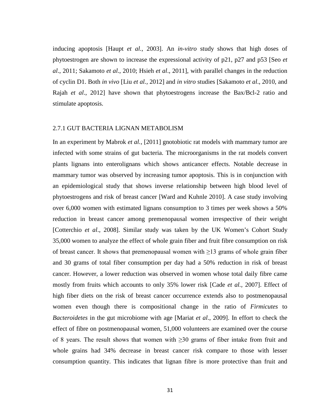inducing apoptosis [Haupt *et al.,* 2003]. An *in-vitro* study shows that high doses of phytoestrogen are shown to increase the expressional activity of p21, p27 and p53 [Seo *et al*., 2011; Sakamoto *et al*., 2010; Hsieh *et al*., 2011], with parallel changes in the reduction of cyclin D1. Both *in vivo* [Liu *et al.,* 2012] and *in vitro* studies [Sakamoto *et al*., 2010, and Rajah *et al*., 2012] have shown that phytoestrogens increase the Bax/Bcl-2 ratio and stimulate apoptosis.

## 2.7.1 GUT BACTERIA LIGNAN METABOLISM

In an experiment by Mabrok *et al.,* [2011] gnotobiotic rat models with mammary tumor are infected with some strains of gut bacteria. The microorganisms in the rat models convert plants lignans into enterolignans which shows anticancer effects. Notable decrease in mammary tumor was observed by increasing tumor apoptosis. This is in conjunction with an epidemiological study that shows inverse relationship between high blood level of phytoestrogens and risk of breast cancer [Ward and Kuhnle 2010]. A case study involving over 6,000 women with estimated lignans consumption to 3 times per week shows a 50% reduction in breast cancer among premenopausal women irrespective of their weight [Cotterchio *et al*., 2008]. Similar study was taken by the UK Women's Cohort Study 35,000 women to analyze the effect of whole grain fiber and fruit fibre consumption on risk of breast cancer. It shows that premenopausal women with  $\geq$ 13 grams of whole grain fiber and 30 grams of total fiber consumption per day had a 50% reduction in risk of breast cancer. However, a lower reduction was observed in women whose total daily fibre came mostly from fruits which accounts to only 35% lower risk [Cade *et al.,* 2007]. Effect of high fiber diets on the risk of breast cancer occurrence extends also to postmenopausal women even though there is compositional change in the ratio of *Firmicutes* to *Bacteroidetes* in the gut microbiome with age [Mariat *et al*., 2009]. In effort to check the effect of fibre on postmenopausal women, 51,000 volunteers are examined over the course of 8 years. The result shows that women with  $\geq 30$  grams of fiber intake from fruit and whole grains had 34% decrease in breast cancer risk compare to those with lesser consumption quantity. This indicates that lignan fibre is more protective than fruit and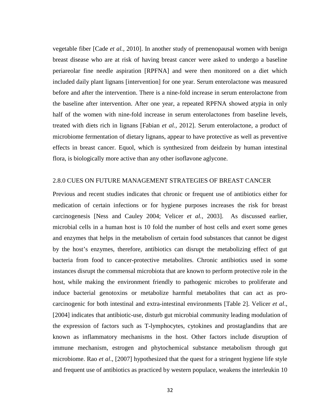vegetable fiber [Cade *et al.,* 2010]. In another study of premenopausal women with benign breast disease who are at risk of having breast cancer were asked to undergo a baseline periareolar fine needle aspiration [RPFNA] and were then monitored on a diet which included daily plant lignans [intervention] for one year. Serum enterolactone was measured before and after the intervention. There is a nine-fold increase in serum enterolactone from the baseline after intervention. After one year, a repeated RPFNA showed atypia in only half of the women with nine-fold increase in serum enterolactones from baseline levels, treated with diets rich in lignans [Fabian *et al.,* 2012]. Serum enterolactone, a product of microbiome fermentation of dietary lignans, appear to have protective as well as preventive effects in breast cancer. Equol, which is synthesized from deidzein by human intestinal flora, is biologically more active than any other isoflavone aglycone.

#### 2.8.0 CUES ON FUTURE MANAGEMENT STRATEGIES OF BREAST CANCER

Previous and recent studies indicates that chronic or frequent use of antibiotics either for medication of certain infections or for hygiene purposes increases the risk for breast carcinogenesis [Ness and Cauley 2004; Velicer *et al.,* 2003]. As discussed earlier, microbial cells in a human host is 10 fold the number of host cells and exert some genes and enzymes that helps in the metabolism of certain food substances that cannot be digest by the host's enzymes, therefore, antibiotics can disrupt the metabolizing effect of gut bacteria from food to cancer-protective metabolites. Chronic antibiotics used in some instances disrupt the commensal microbiota that are known to perform protective role in the host, while making the environment friendly to pathogenic microbes to proliferate and induce bacterial genotoxins or metabolize harmful metabolites that can act as procarcinogenic for both intestinal and extra-intestinal environments [Table 2]. Velicer *et al*., [2004] indicates that antibiotic-use, disturb gut microbial community leading modulation of the expression of factors such as T-lymphocytes, cytokines and prostaglandins that are known as inflammatory mechanisms in the host. Other factors include disruption of immune mechanism, estrogen and phytochemical substance metabolism through gut microbiome. Rao *et al*., [2007] hypothesized that the quest for a stringent hygiene life style and frequent use of antibiotics as practiced by western populace, weakens the interleukin 10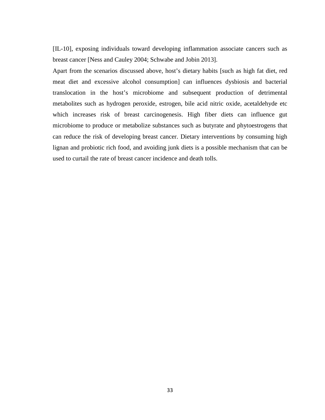[IL-10], exposing individuals toward developing inflammation associate cancers such as breast cancer [Ness and Cauley 2004; Schwabe and Jobin 2013].

Apart from the scenarios discussed above, host's dietary habits [such as high fat diet, red meat diet and excessive alcohol consumption] can influences dysbiosis and bacterial translocation in the host's microbiome and subsequent production of detrimental metabolites such as hydrogen peroxide, estrogen, bile acid nitric oxide, acetaldehyde etc which increases risk of breast carcinogenesis. High fiber diets can influence gut microbiome to produce or metabolize substances such as butyrate and phytoestrogens that can reduce the risk of developing breast cancer. Dietary interventions by consuming high lignan and probiotic rich food, and avoiding junk diets is a possible mechanism that can be used to curtail the rate of breast cancer incidence and death tolls.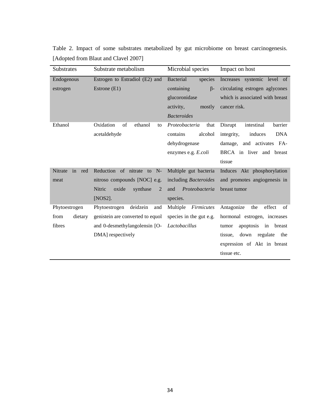Table 2. Impact of some substrates metabolized by gut microbiome on breast carcinogenesis. [Adopted from Blaut and Clavel 2007]

| Substrates           | Substrate metabolism<br>Microbial species |                               | Impact on host                      |  |
|----------------------|-------------------------------------------|-------------------------------|-------------------------------------|--|
| Endogenous           | Estrogen to Estradiol (E2) and            | <b>Bacterial</b><br>species   | Increases systemic level of         |  |
| estrogen             | Estrone (E1)                              | $\beta$ -<br>containing       | circulating estrogen aglycones      |  |
|                      |                                           | glucoronidase                 | which is associated with breast     |  |
|                      |                                           | activity,<br>mostly           | cancer risk.                        |  |
|                      |                                           | <b>Bacteroides</b>            |                                     |  |
| Ethanol              | Oxidation<br>of<br>ethanol<br>to          | Proteobacteria<br>that        | Disrupt<br>intestinal<br>barrier    |  |
|                      | acetaldehyde                              | alcohol<br>contains           | induces<br><b>DNA</b><br>integrity, |  |
|                      |                                           | dehydrogenase                 | damage, and activates FA-           |  |
|                      |                                           | enzymes e.g. E.coli           | BRCA in liver and breast            |  |
|                      |                                           |                               | tissue                              |  |
| in<br>Nitrate<br>red | Reduction of nitrate<br>$N-$<br>to        | Multiple gut bacteria         | Induces Akt phosphorylation         |  |
| meat                 | nitroso compounds [NOC] e.g.              | including Bacteroides         | and promotes angiogenesis in        |  |
|                      | Nitric<br>oxide<br>synthase<br>2          | and<br>Proteobacteria         | breast tumor                        |  |
|                      | $[NOS2]$ .                                | species.                      |                                     |  |
| Phytoestrogen        | deidzein<br>Phytoestrogen<br>and          | <b>Firmicutes</b><br>Multiple | effect<br>Antagonize<br>the<br>of   |  |
| from<br>dietary      | genistein are converted to equol          | species in the gut e.g.       | hormonal estrogen, increases        |  |
| fibres               | and 0-desmethylangolensin [O-             | Lactobacillus                 | apoptosis<br>in<br>breast<br>tumor  |  |
|                      | DMA] respectively                         |                               | tissue.<br>down<br>regulate<br>the  |  |
|                      |                                           |                               | expression of Akt in breast         |  |
|                      |                                           |                               | tissue etc.                         |  |
|                      |                                           |                               |                                     |  |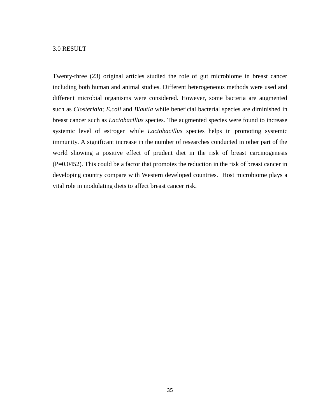#### 3.0 RESULT

Twenty-three (23) original articles studied the role of gut microbiome in breast cancer including both human and animal studies. Different heterogeneous methods were used and different microbial organisms were considered. However, some bacteria are augmented such as *Closteridia*; *E.coli* and *Blautia* while beneficial bacterial species are diminished in breast cancer such as *Lactobacillus* species. The augmented species were found to increase systemic level of estrogen while *Lactobacillus* species helps in promoting systemic immunity. A significant increase in the number of researches conducted in other part of the world showing a positive effect of prudent diet in the risk of breast carcinogenesis (P=0.0452). This could be a factor that promotes the reduction in the risk of breast cancer in developing country compare with Western developed countries. Host microbiome plays a vital role in modulating diets to affect breast cancer risk.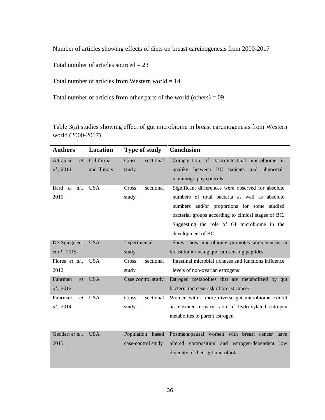Number of articles showing effects of diets on breast carcinogenesis from 2000-2017

Total number of articles sourced  $= 23$ 

Total number of articles from Western world  $= 14$ 

Total number of articles from other parts of the world (others) = 09

Table 3(a) studies showing effect of gut microbiome in breast carcinogenesis from Western world (2000-2017)

| <b>Authors</b>    | Location     | <b>Type of study</b> | <b>Conclusion</b>                                     |
|-------------------|--------------|----------------------|-------------------------------------------------------|
| Attraplsi<br>et   | California   | sectional<br>Cross   | Composition of gastrointestinal microbiome is         |
| al., 2014         | and Illinois | study                | unalike between BC patients<br>and<br>abnormal-       |
|                   |              |                      | mammography controls.                                 |
| Bard<br>al.<br>et | <b>USA</b>   | sectional<br>Cross   | Significant differences were observed for absolute    |
| 2015              |              | study                | numbers of total bacteria as well as absolute         |
|                   |              |                      | numbers and/or proportions for some studied           |
|                   |              |                      | bacterial groups according to clinical stages of BC.  |
|                   |              |                      | Suggesting the role of GI microbiome in the           |
|                   |              |                      | development of BC.                                    |
| De Spiegeleer     | <b>USA</b>   | Experimental         | Shows how microbiome promotes angiogenesis in         |
| et al., 2015      |              | study                | breast tumor using quorum sensing peptides.           |
| Flores et al.,    | <b>USA</b>   | sectional<br>Cross   | Intestinal microbial richness and functions influence |
| 2012              |              | study                | levels of non-ovarian estrogens                       |
| Fuhrman<br>et     | <b>USA</b>   | Case control study   | Estrogen metabolites that are metabolized by gut      |
| al., 2012         |              |                      | bacteria increase risk of breast cancer.              |
| Fuhrman<br>et     | <b>USA</b>   | Cross<br>sectional   | Women with a more diverse gut microbiome exhibit      |
| al., 2014         |              | study                | an elevated urinary ratio of hydroxylated estrogen    |
|                   |              |                      | metabolites to parent estrogen                        |
|                   |              |                      |                                                       |
| Geodart et al.,   | <b>USA</b>   | Population based     | Postmenopausal women with breast cancer have          |
| 2015              |              | case-control study   | altered composition and estrogen-dependent low        |
|                   |              |                      | diversity of their gut microbiota                     |
|                   |              |                      |                                                       |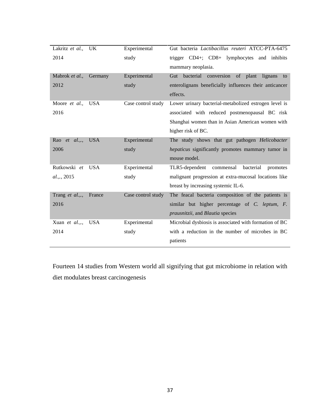| Lakritz et al.,   | <b>UK</b>  | Experimental       | Gut bacteria Lactibacillus reuteri ATCC-PTA-6475       |
|-------------------|------------|--------------------|--------------------------------------------------------|
| 2014              |            | study              | trigger CD4+; CD8+ lymphocytes and inhibits            |
|                   |            |                    | mammary neoplasia.                                     |
| Mabrok et al.,    | Germany    | Experimental       | Gut bacterial conversion of plant lignans<br>to        |
| 2012              |            | study              | enterolignans beneficially influences their anticancer |
|                   |            |                    | effects.                                               |
| Moore et al.,     | <b>USA</b> | Case control study | Lower urinary bacterial-metabolized estrogen level is  |
| 2016              |            |                    | associated with reduced postmenopausal BC risk         |
|                   |            |                    | Shanghai women than in Asian American women with       |
|                   |            |                    | higher risk of BC.                                     |
| Rao et al.,., USA |            | Experimental       | The study shows that gut pathogen Helicobacter         |
| 2006              |            | study              | hepaticus significantly promotes mammary tumor in      |
|                   |            |                    | mouse model.                                           |
| Rutkowski et      | <b>USA</b> | Experimental       | TLR5-dependent<br>commensal<br>bacterial<br>promotes   |
| al.,., 2015       |            | study              | malignant progression at extra-mucosal locations like  |
|                   |            |                    | breast by increasing systemic IL-6.                    |
| Trang et al.,.,   | France     | Case control study | The feacal bacteria composition of the patients is     |
| 2016              |            |                    | similar but higher percentage of C. leptum, F.         |
|                   |            |                    | <i>prausnitzii</i> , and <i>Blautia</i> species        |
| Xuan et al.,.,    | <b>USA</b> | Experimental       | Microbial dysbiosis is associated with formation of BC |
| 2014              |            | study              | with a reduction in the number of microbes in BC       |
|                   |            |                    | patients                                               |

Fourteen 14 studies from Western world all signifying that gut microbiome in relation with diet modulates breast carcinogenesis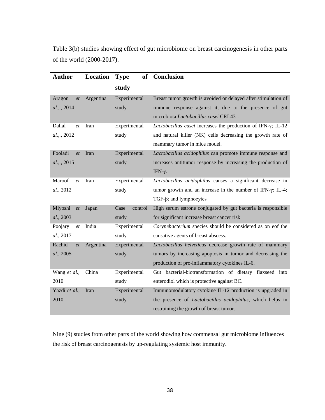Table 3(b) studies showing effect of gut microbiome on breast carcinogenesis in other parts of the world (2000-2017).

| Author               | Location  | <b>of</b><br><b>Type</b> | <b>Conclusion</b>                                                   |
|----------------------|-----------|--------------------------|---------------------------------------------------------------------|
|                      |           | study                    |                                                                     |
| Aragon<br>et         | Argentina | Experimental             | Breast tumor growth is avoided or delayed after stimulation of      |
| al.,., 2014          |           | study                    | immune response against it, due to the presence of gut              |
|                      |           |                          | microbiota Lactobacillus casei CRL431.                              |
| Dallal<br>et         | Iran      | Experimental             | Lactobacillus casei increases the production of IFN-y; IL-12        |
| al.,., 2012          |           | study                    | and natural killer (NK) cells decreasing the growth rate of         |
|                      |           |                          | mammary tumor in mice model.                                        |
| Fooladi<br>et        | Iran      | Experimental             | Lactobacillus acidophilus can promote immune response and           |
| al.,., 2015          |           | study                    | increases antitumor response by increasing the production of        |
|                      |           |                          | IFN-γ.                                                              |
| Maroof<br>et         | Iran      | Experimental             | Lactobacillus acidophilus causes a significant decrease in          |
| al., 2012            |           | study                    | tumor growth and an increase in the number of IFN- $\gamma$ ; IL-4; |
|                      |           |                          | $TGF-\beta; and lymphocytes$                                        |
| Miyoshi<br><i>et</i> | Japan     | Case<br>control          | High serum estrone conjugated by gut bacteria is responsible        |
| al., 2003            |           | study                    | for significant increase breast cancer risk                         |
| Poojary<br>et        | India     | Experimental             | Corynebacterium species should be considered as on eof the          |
| al., 2017            |           | study                    | causative agents of breast abscess.                                 |
| Rachid<br>et         | Argentina | Experimental             | Lactobacillus helveticus decrease growth rate of mammary            |
| al., 2005            |           | study                    | tumors by increasing apoptosis in tumor and decreasing the          |
|                      |           |                          | production of pro-inflammatory cytokines IL-6.                      |
| Wang et al.,         | China     | Experimental             | Gut bacterial-biotransformation of dietary flaxseed into            |
| 2010                 |           | study                    | enterodiol which is protective against BC.                          |
| Yazdi et al.,        | Iran      | Experimental             | Immunomodulatory cytokine IL-12 production is upgraded in           |
| 2010                 |           | study                    | the presence of Lactobacillus acidophilus, which helps in           |
|                      |           |                          | restraining the growth of breast tumor.                             |

Nine (9) studies from other parts of the world showing how commensal gut microbiome influences the risk of breast carcinogenesis by up-regulating systemic host immunity.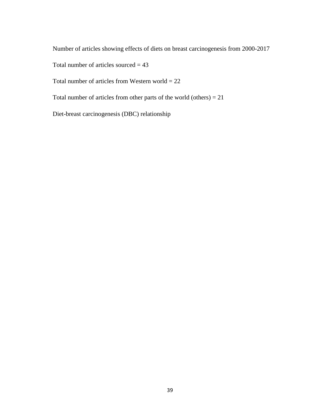Number of articles showing effects of diets on breast carcinogenesis from 2000-2017

Total number of articles sourced  $= 43$ 

Total number of articles from Western world  $= 22$ 

Total number of articles from other parts of the world (others) = 21

Diet-breast carcinogenesis (DBC) relationship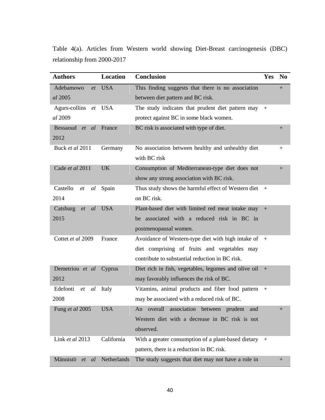Table 4(a). Articles from Western world showing Diet-Breast carcinogenesis (DBC) relationship from 2000-2017

| <b>Authors</b>                     | <b>Location</b> | <b>Conclusion</b>                                        | Yes | N <sub>0</sub>   |
|------------------------------------|-----------------|----------------------------------------------------------|-----|------------------|
| Adebamowo<br>et                    | <b>USA</b>      | This finding suggests that there is no association       |     | $^{+}$           |
| al 2005                            |                 | between diet pattern and BC risk.                        |     |                  |
| Agurs-collins<br>et                | <b>USA</b>      | The study indicates that prudent diet pattern may        | $+$ |                  |
| al 2009                            |                 | protect against BC in some black women.                  |     |                  |
| Bessaoud <i>et</i><br><i>al</i>    | France          | BC risk is associated with type of diet.                 |     | $+$              |
| 2012                               |                 |                                                          |     |                  |
| Buck et al 2011                    | Germany         | No association between healthy and unhealthy diet        |     | $^{+}$           |
|                                    |                 | with BC risk                                             |     |                  |
| Cade et al 2011                    | <b>UK</b>       | Consumption of Mediterranean-type diet does not          |     | $\boldsymbol{+}$ |
|                                    |                 | show any strong association with BC risk.                |     |                  |
| Castello<br>al<br>$et$             | Spain           | Thus study shows the harmful effect of Western diet      | $+$ |                  |
| 2014                               |                 | on BC risk.                                              |     |                  |
| Catsburg<br><sub>al</sub><br>et    | <b>USA</b>      | Plant-based diet with limited red meat intake may +      |     |                  |
| 2015                               |                 | be associated with a reduced risk in BC in               |     |                  |
|                                    |                 | postmenopausal women.                                    |     |                  |
| Cottet et al 2009                  | France          | Avoidance of Western-type diet with high intake of $+$   |     |                  |
|                                    |                 | diet comprising of fruits and vegetables may             |     |                  |
|                                    |                 | contribute to substantial reduction in BC risk.          |     |                  |
| Demetriou et al                    | Cyprus          | Diet rich in fish, vegetables, legumes and olive oil $+$ |     |                  |
| 2012                               |                 | may favorably influences the risk of BC.                 |     |                  |
| Edefonti<br>al<br>$et\hskip-6.5cm$ | Italy           | Vitamins, animal products and fiber food pattern         | $+$ |                  |
| 2008                               |                 | may be associated with a reduced risk of BC.             |     |                  |
| Fung et al 2005                    | <b>USA</b>      | An overall association between prudent and               |     |                  |
|                                    |                 | Western diet with a decrease in BC risk is not           |     |                  |
|                                    |                 | observed.                                                |     |                  |
| Link et al 2013                    | California      | With a greater consumption of a plant-based dietary      | $+$ |                  |
|                                    |                 | pattern, there is a reduction in BC risk.                |     |                  |
| Männistö<br><i>al</i><br>et        | Netherlands     | The study suggests that diet may not have a role in      |     | $+$              |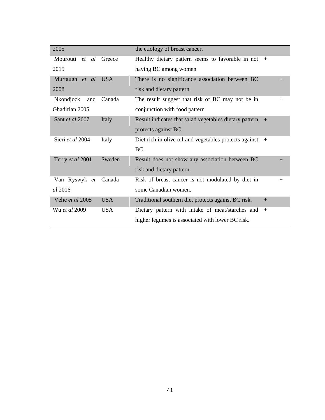| 2005                  |            | the etiology of breast cancer.                             |     |
|-----------------------|------------|------------------------------------------------------------|-----|
| Mourouti et al Greece |            | Healthy dietary pattern seems to favorable in not          | $+$ |
| 2015                  |            | having BC among women                                      |     |
| Murtaugh et al        | <b>USA</b> | There is no significance association between BC            | $+$ |
| 2008                  |            | risk and dietary pattern                                   |     |
| Nkondjock<br>and      | Canada     | The result suggest that risk of BC may not be in           | $+$ |
| Ghadirian 2005        |            | conjunction with food pattern                              |     |
| Sant et al 2007       | Italy      | Result indicates that salad vegetables dietary pattern     | $+$ |
|                       |            | protects against BC.                                       |     |
| Sieri et al 2004      | Italy      | Diet rich in olive oil and vegetables protects against $+$ |     |
|                       |            | BC.                                                        |     |
| Terry et al 2001      | Sweden     | Result does not show any association between BC            | $+$ |
|                       |            | risk and dietary pattern                                   |     |
| Van Ryswyk et Canada  |            | Risk of breast cancer is not modulated by diet in          | $+$ |
| <i>al</i> 2016        |            | some Canadian women.                                       |     |
| Velie et al 2005      | <b>USA</b> | Traditional southern diet protects against BC risk.        | $+$ |
| Wu <i>et al</i> 2009  | <b>USA</b> | Dietary pattern with intake of meat/starches and           | $+$ |
|                       |            | higher legumes is associated with lower BC risk.           |     |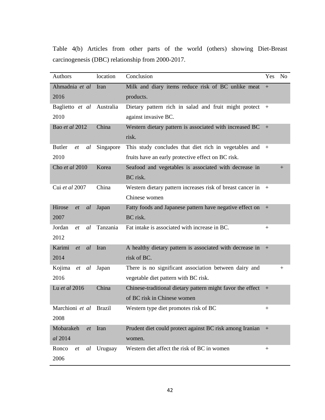Table 4(b) Articles from other parts of the world (others) showing Diet-Breast carcinogenesis (DBC) relationship from 2000-2017.

| Authors                   | location  | Conclusion                                                 | Yes                | <b>No</b>    |
|---------------------------|-----------|------------------------------------------------------------|--------------------|--------------|
| Ahmadnia et al            | Iran      | Milk and diary items reduce risk of BC unlike meat         | $+$                |              |
| 2016                      |           | products.                                                  |                    |              |
| Baglietto et al           | Australia | Dietary pattern rich in salad and fruit might protect      | $+$                |              |
| 2010                      |           | against invasive BC.                                       |                    |              |
| Bao et al 2012            | China     | Western dietary pattern is associated with increased BC    | $+$                |              |
|                           |           | risk.                                                      |                    |              |
| <b>Butler</b><br>et<br>al | Singapore | This study concludes that diet rich in vegetables and      | $+$                |              |
| 2010                      |           | fruits have an early protective effect on BC risk.         |                    |              |
| Cho et al 2010            | Korea     | Seafood and vegetables is associated with decrease in      |                    | $^{+}$       |
|                           |           | BC risk.                                                   |                    |              |
| Cui et al 2007            | China     | Western dietary pattern increases risk of breast cancer in | $+$                |              |
|                           |           | Chinese women                                              |                    |              |
| Hirose<br>al<br>et        | Japan     | Fatty foods and Japanese pattern have negative effect on   | $+$                |              |
| 2007                      |           | BC risk.                                                   |                    |              |
| Jordan<br>al<br>et        | Tanzania  | Fat intake is associated with increase in BC.              | $\hspace{0.1mm} +$ |              |
| 2012                      |           |                                                            |                    |              |
| Karimi<br>et<br>al        | Iran      | A healthy dietary pattern is associated with decrease in   | $+$                |              |
| 2014                      |           | risk of BC.                                                |                    |              |
| Kojima<br>et<br>al        | Japan     | There is no significant association between dairy and      |                    | $\mathrm{+}$ |
| 2016                      |           | vegetable diet pattern with BC risk.                       |                    |              |
| Lu et al 2016             | China     | Chinese-traditional dietary pattern might favor the effect | $+$                |              |
|                           |           | of BC risk in Chinese women                                |                    |              |
| Marchioni et al Brazil    |           | Western type diet promotes risk of BC                      |                    |              |
| 2008                      |           |                                                            |                    |              |
| Mobarakeh<br>et           | Iran      | Prudent diet could protect against BC risk among Iranian   | $+$                |              |
| al 2014                   |           | women.                                                     |                    |              |
| Ronco<br>al<br>et         | Uruguay   | Western diet affect the risk of BC in women                | $+$                |              |
| 2006                      |           |                                                            |                    |              |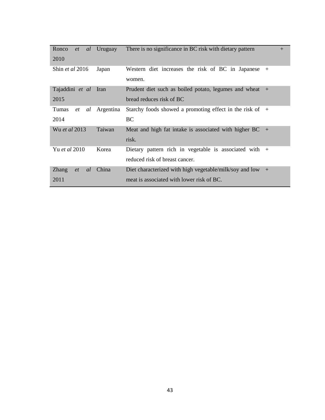| Ronco<br>et              | <i>al</i> Uruguay | There is no significance in BC risk with dietary pattern    | $+$ |
|--------------------------|-------------------|-------------------------------------------------------------|-----|
| 2010                     |                   |                                                             |     |
| Shin <i>et al</i> 2016   | Japan             | Western diet increases the risk of BC in Japanese $+$       |     |
|                          |                   | women.                                                      |     |
| Tajaddini et al Iran     |                   | Prudent diet such as boiled potato, legumes and wheat +     |     |
| 2015                     |                   | bread reduces risk of BC                                    |     |
| Tumas<br>al<br>et        | Argentina         | Starchy foods showed a promoting effect in the risk of $+$  |     |
| 2014                     |                   | BC.                                                         |     |
| Wu et al 2013            | Taiwan            | Meat and high fat intake is associated with higher $BC +$   |     |
|                          |                   | risk.                                                       |     |
| Yu et al 2010            | Korea             | Dietary pattern rich in vegetable is associated with $+$    |     |
|                          |                   | reduced risk of breast cancer.                              |     |
| <b>Zhang</b><br>et<br>al | China             | Diet characterized with high vegetable/milk/soy and low $+$ |     |
| 2011                     |                   | meat is associated with lower risk of BC.                   |     |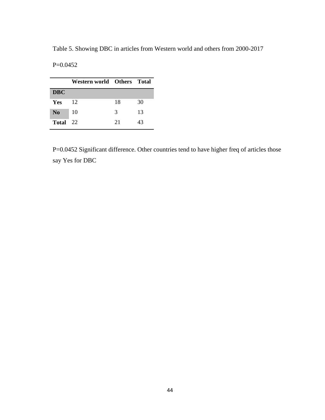Table 5. Showing DBC in articles from Western world and others from 2000-2017

| $P=0.0452$ |
|------------|
|            |
|            |

|                | Western world Others Total |    |    |
|----------------|----------------------------|----|----|
| <b>DBC</b>     |                            |    |    |
| Yes            | 12                         | 18 | 30 |
| N <sub>0</sub> | 10                         | 3  | 13 |
| Total          | 22                         | 21 | 43 |

P=0.0452 Significant difference. Other countries tend to have higher freq of articles those say Yes for DBC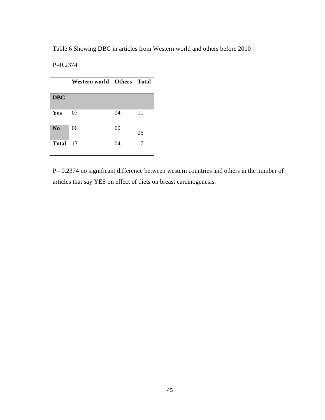Table 6 Showing DBC in articles from Western world and others before 2010

P=0.2374

|                | Western world Others Total |    |    |
|----------------|----------------------------|----|----|
| <b>DBC</b>     |                            |    |    |
| Yes            | 07                         | 04 | 11 |
| N <sub>0</sub> | 06                         | 00 | 06 |
| <b>Total</b>   | 13                         | 04 | 17 |

P= 0.2374 no significant difference between western countries and others in the number of articles that say YES on effect of diets on breast carcinogenesis.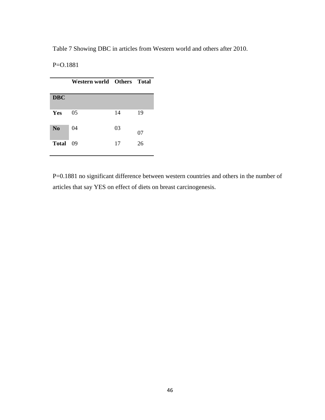Table 7 Showing DBC in articles from Western world and others after 2010.

P=O.1881

|                | Western world Others Total |    |    |
|----------------|----------------------------|----|----|
| <b>DBC</b>     |                            |    |    |
| Yes            | 05                         | 14 | 19 |
| N <sub>0</sub> | 04                         | 03 | 07 |
| <b>Total</b>   | 09                         | 17 | 26 |

P=0.1881 no significant difference between western countries and others in the number of articles that say YES on effect of diets on breast carcinogenesis.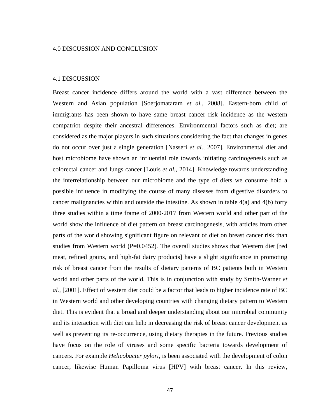#### 4.1 DISCUSSION

Breast cancer incidence differs around the world with a vast difference between the Western and Asian population [Soerjomataram *et al.,* 2008]. Eastern-born child of immigrants has been shown to have same breast cancer risk incidence as the western compatriot despite their ancestral differences. Environmental factors such as diet; are considered as the major players in such situations considering the fact that changes in genes do not occur over just a single generation [Nasseri *et al.,* 2007]. Environmental diet and host microbiome have shown an influential role towards initiating carcinogenesis such as colorectal cancer and lungs cancer [Louis *et al.,* 2014]. Knowledge towards understanding the interrelationship between our microbiome and the type of diets we consume hold a possible influence in modifying the course of many diseases from digestive disorders to cancer malignancies within and outside the intestine. As shown in table  $4(a)$  and  $4(b)$  forty three studies within a time frame of 2000-2017 from Western world and other part of the world show the influence of diet pattern on breast carcinogenesis, with articles from other parts of the world showing significant figure on relevant of diet on breast cancer risk than studies from Western world (P=0.0452). The overall studies shows that Western diet [red meat, refined grains, and high-fat dairy products] have a slight significance in promoting risk of breast cancer from the results of dietary patterns of BC patients both in Western world and other parts of the world. This is in conjunction with study by Smith-Warner *et al.,* [2001]. Effect of western diet could be a factor that leads to higher incidence rate of BC in Western world and other developing countries with changing dietary pattern to Western diet. This is evident that a broad and deeper understanding about our microbial community and its interaction with diet can help in decreasing the risk of breast cancer development as well as preventing its re-occurrence, using dietary therapies in the future. Previous studies have focus on the role of viruses and some specific bacteria towards development of cancers. For example *Helicobacter pylori*, is been associated with the development of colon cancer, likewise Human Papilloma virus [HPV] with breast cancer. In this review,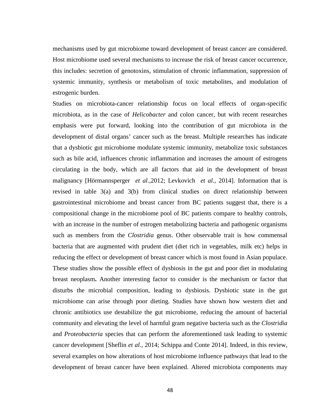mechanisms used by gut microbiome toward development of breast cancer are considered. Host microbiome used several mechanisms to increase the risk of breast cancer occurrence, this includes: secretion of genotoxins, stimulation of chronic inflammation, suppression of systemic immunity, synthesis or metabolism of toxic metabolites, and modulation of estrogenic burden.

Studies on microbiota-cancer relationship focus on local effects of organ-specific microbiota, as in the case of *Helicobacter* and colon cancer, but with recent researches emphasis were put forward, looking into the contribution of gut microbiota in the development of distal organs' cancer such as the breast. Multiple researches has indicate that a dysbiotic gut microbiome modulate systemic immunity, metabolize toxic substances such as bile acid, influences chronic inflammation and increases the amount of estrogens circulating in the body, which are all factors that aid in the development of breast malignancy [Hörmannsperger *et al.,*2012; Levkovich *et al.,* 2014]. Information that is revised in table 3(a) and 3(b) from clinical studies on direct relationship between gastrointestinal microbiome and breast cancer from BC patients suggest that, there is a compositional change in the microbiome pool of BC patients compare to healthy controls, with an increase in the number of estrogen metabolizing bacteria and pathogenic organisms such as members from the *Clostridia* genus. Other observable trait is how commensal bacteria that are augmented with prudent diet (diet rich in vegetables, milk etc) helps in reducing the effect or development of breast cancer which is most found in Asian populace. These studies show the possible effect of dysbiosis in the gut and poor diet in modulating breast neoplasm**.** Another interesting factor to consider is the mechanism or factor that disturbs the microbial composition, leading to dysbiosis. Dysbiotic state in the gut microbiome can arise through poor dieting. Studies have shown how western diet and chronic antibiotics use destabilize the gut microbiome, reducing the amount of bacterial community and elevating the level of harmful gram negative bacteria such as the *Clostridia* and *Proteobacteria* species that can perform the aforementioned task leading to systemic cancer development [Sheflin *et al.,* 2014; Schippa and Conte 2014]. Indeed, in this review, several examples on how alterations of host microbiome influence pathways that lead to the development of breast cancer have been explained. Altered microbiota components may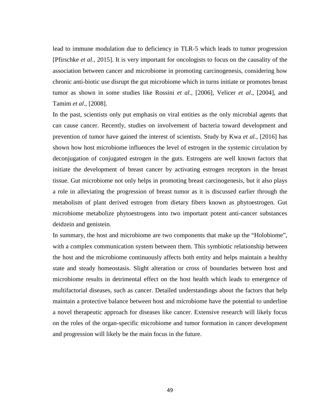lead to immune modulation due to deficiency in TLR-5 which leads to tumor progression [Pfirschke *et al.,* 2015]. It is very important for oncologists to focus on the causality of the association between cancer and microbiome in promoting carcinogenesis, considering how chronic anti-biotic use disrupt the gut microbiome which in turns initiate or promotes breast tumor as shown in some studies like Rossini *et al.,* [2006], Velicer *et al*., [2004], and Tamim *et al*., [2008].

In the past, scientists only put emphasis on viral entities as the only microbial agents that can cause cancer. Recently, studies on involvement of bacteria toward development and prevention of tumor have gained the interest of scientists. Study by Kwa *et al.,* [2016] has shown how host microbiome influences the level of estrogen in the systemic circulation by deconjugation of conjugated estrogen in the guts. Estrogens are well known factors that initiate the development of breast cancer by activating estrogen receptors in the breast tissue. Gut microbiome not only helps in promoting breast carcinogenesis, but it also plays a role in alleviating the progression of breast tumor as it is discussed earlier through the metabolism of plant derived estrogen from dietary fibers known as phytoestrogen. Gut microbiome metabolize phytoestrogens into two important potent anti-cancer substances deidzein and genistein.

In summary, the host and microbiome are two components that make up the "Holobiome", with a complex communication system between them. This symbiotic relationship between the host and the microbiome continuously affects both entity and helps maintain a healthy state and steady homeostasis. Slight alteration or cross of boundaries between host and microbiome results in detrimental effect on the host health which leads to emergence of multifactorial diseases, such as cancer. Detailed understandings about the factors that help maintain a protective balance between host and microbiome have the potential to underline a novel therapeutic approach for diseases like cancer. Extensive research will likely focus on the roles of the organ-specific microbiome and tumor formation in cancer development and progression will likely be the main focus in the future.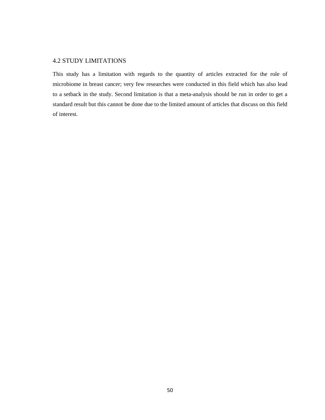# 4.2 STUDY LIMITATIONS

This study has a limitation with regards to the quantity of articles extracted for the role of microbiome in breast cancer; very few researches were conducted in this field which has also lead to a setback in the study. Second limitation is that a meta-analysis should be run in order to get a standard result but this cannot be done due to the limited amount of articles that discuss on this field of interest.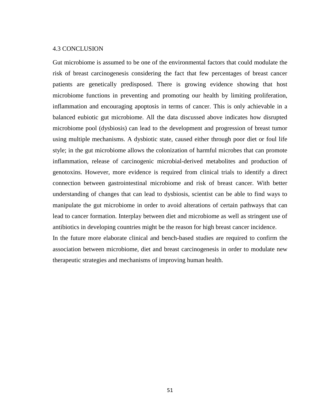#### 4.3 CONCLUSION

Gut microbiome is assumed to be one of the environmental factors that could modulate the risk of breast carcinogenesis considering the fact that few percentages of breast cancer patients are genetically predisposed. There is growing evidence showing that host microbiome functions in preventing and promoting our health by limiting proliferation, inflammation and encouraging apoptosis in terms of cancer. This is only achievable in a balanced eubiotic gut microbiome. All the data discussed above indicates how disrupted microbiome pool (dysbiosis) can lead to the development and progression of breast tumor using multiple mechanisms. A dysbiotic state, caused either through poor diet or foul life style; in the gut microbiome allows the colonization of harmful microbes that can promote inflammation, release of carcinogenic microbial-derived metabolites and production of genotoxins. However, more evidence is required from clinical trials to identify a direct connection between gastrointestinal microbiome and risk of breast cancer. With better understanding of changes that can lead to dysbiosis, scientist can be able to find ways to manipulate the gut microbiome in order to avoid alterations of certain pathways that can lead to cancer formation. Interplay between diet and microbiome as well as stringent use of antibiotics in developing countries might be the reason for high breast cancer incidence.

In the future more elaborate clinical and bench-based studies are required to confirm the association between microbiome, diet and breast carcinogenesis in order to modulate new therapeutic strategies and mechanisms of improving human health.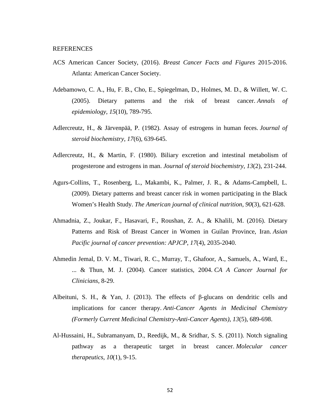#### REFERENCES

- ACS American Cancer Society, (2016). *Breast Cancer Facts and Figures* 2015-2016. Atlanta: American Cancer Society.
- Adebamowo, C. A., Hu, F. B., Cho, E., Spiegelman, D., Holmes, M. D., & Willett, W. C. (2005). Dietary patterns and the risk of breast cancer. *Annals of epidemiology*, *15*(10), 789-795.
- Adlercreutz, H., & Järvenpää, P. (1982). Assay of estrogens in human feces. *Journal of steroid biochemistry*, *17*(6), 639-645.
- Adlercreutz, H., & Martin, F. (1980). Biliary excretion and intestinal metabolism of progesterone and estrogens in man. *Journal of steroid biochemistry*, *13*(2), 231-244.
- Agurs-Collins, T., Rosenberg, L., Makambi, K., Palmer, J. R., & Adams-Campbell, L. (2009). Dietary patterns and breast cancer risk in women participating in the Black Women's Health Study. *The American journal of clinical nutrition*, *90*(3), 621-628.
- Ahmadnia, Z., Joukar, F., Hasavari, F., Roushan, Z. A., & Khalili, M. (2016). Dietary Patterns and Risk of Breast Cancer in Women in Guilan Province, Iran. *Asian Pacific journal of cancer prevention: APJCP*, *17*(4), 2035-2040.
- Ahmedin Jemal, D. V. M., Tiwari, R. C., Murray, T., Ghafoor, A., Samuels, A., Ward, E., ... & Thun, M. J. (2004). Cancer statistics, 2004. *CA A Cancer Journal for Clinicians*, 8-29.
- Albeituni, S. H., & Yan, J. (2013). The effects of  $\beta$ -glucans on dendritic cells and implications for cancer therapy. *Anti-Cancer Agents in Medicinal Chemistry (Formerly Current Medicinal Chemistry-Anti-Cancer Agents)*, *13*(5), 689-698.
- Al-Hussaini, H., Subramanyam, D., Reedijk, M., & Sridhar, S. S. (2011). Notch signaling pathway as a therapeutic target in breast cancer. *Molecular cancer therapeutics*, *10*(1), 9-15.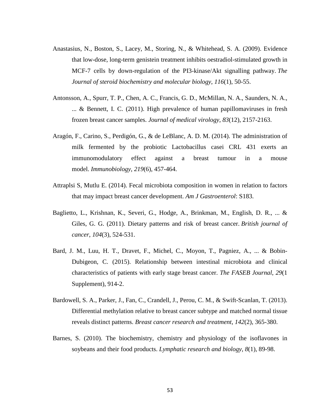- Anastasius, N., Boston, S., Lacey, M., Storing, N., & Whitehead, S. A. (2009). Evidence that low-dose, long-term genistein treatment inhibits oestradiol-stimulated growth in MCF-7 cells by down-regulation of the PI3-kinase/Akt signalling pathway. *The Journal of steroid biochemistry and molecular biology*, *116*(1), 50-55.
- Antonsson, A., Spurr, T. P., Chen, A. C., Francis, G. D., McMillan, N. A., Saunders, N. A., ... & Bennett, I. C. (2011). High prevalence of human papillomaviruses in fresh frozen breast cancer samples. *Journal of medical virology*, *83*(12), 2157-2163.
- Aragón, F., Carino, S., Perdigón, G., & de LeBlanc, A. D. M. (2014). The administration of milk fermented by the probiotic Lactobacillus casei CRL 431 exerts an immunomodulatory effect against a breast tumour in a mouse model. *Immunobiology*, *219*(6), 457-464.
- Attraplsi S, Mutlu E. (2014). Fecal microbiota composition in women in relation to factors that may impact breast cancer development. *Am J Gastroenterol*: S183.
- Baglietto, L., Krishnan, K., Severi, G., Hodge, A., Brinkman, M., English, D. R., ... & Giles, G. G. (2011). Dietary patterns and risk of breast cancer. *British journal of cancer*, *104*(3), 524-531.
- Bard, J. M., Luu, H. T., Dravet, F., Michel, C., Moyon, T., Pagniez, A., ... & Bobin-Dubigeon, C. (2015). Relationship between intestinal microbiota and clinical characteristics of patients with early stage breast cancer. *The FASEB Journal*, *29*(1 Supplement), 914-2.
- Bardowell, S. A., Parker, J., Fan, C., Crandell, J., Perou, C. M., & Swift-Scanlan, T. (2013). Differential methylation relative to breast cancer subtype and matched normal tissue reveals distinct patterns. *Breast cancer research and treatment*, *142*(2), 365-380.
- Barnes, S. (2010). The biochemistry, chemistry and physiology of the isoflavones in soybeans and their food products. *Lymphatic research and biology*, *8*(1), 89-98.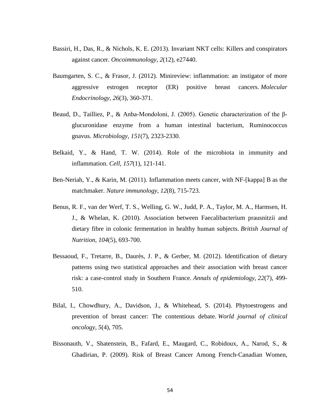- Bassiri, H., Das, R., & Nichols, K. E. (2013). Invariant NKT cells: Killers and conspirators against cancer. *Oncoimmunology*, *2*(12), e27440.
- Baumgarten, S. C., & Frasor, J. (2012). Minireview: inflammation: an instigator of more aggressive estrogen receptor (ER) positive breast cancers. *Molecular Endocrinology*, *26*(3), 360-371.
- Beaud, D., Tailliez, P., & Anba-Mondoloni, J. (2005). Genetic characterization of the βglucuronidase enzyme from a human intestinal bacterium, Ruminococcus gnavus. *Microbiology*, *151*(7), 2323-2330.
- Belkaid, Y., & Hand, T. W. (2014). Role of the microbiota in immunity and inflammation. *Cell*, *157*(1), 121-141.
- Ben-Neriah, Y., & Karin, M. (2011). Inflammation meets cancer, with NF-[kappa] B as the matchmaker. *Nature immunology*, *12*(8), 715-723.
- Benus, R. F., van der Werf, T. S., Welling, G. W., Judd, P. A., Taylor, M. A., Harmsen, H. J., & Whelan, K. (2010). Association between Faecalibacterium prausnitzii and dietary fibre in colonic fermentation in healthy human subjects. *British Journal of Nutrition*, *104*(5), 693-700.
- Bessaoud, F., Tretarre, B., Daurès, J. P., & Gerber, M. (2012). Identification of dietary patterns using two statistical approaches and their association with breast cancer risk: a case-control study in Southern France. *Annals of epidemiology*, *22*(7), 499- 510.
- Bilal, I., Chowdhury, A., Davidson, J., & Whitehead, S. (2014). Phytoestrogens and prevention of breast cancer: The contentious debate. *World journal of clinical oncology*, *5*(4), 705.
- Bissonauth, V., Shatenstein, B., Fafard, E., Maugard, C., Robidoux, A., Narod, S., & Ghadirian, P. (2009). Risk of Breast Cancer Among French‐Canadian Women,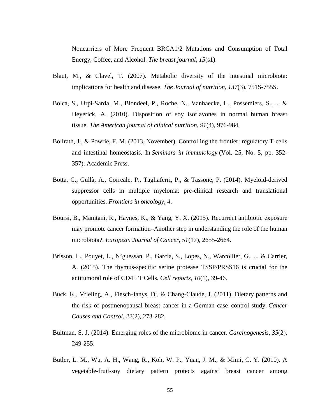Noncarriers of More Frequent BRCA1/2 Mutations and Consumption of Total Energy, Coffee, and Alcohol. *The breast journal*, *15*(s1).

- Blaut, M., & Clavel, T. (2007). Metabolic diversity of the intestinal microbiota: implications for health and disease. *The Journal of nutrition*, *137*(3), 751S-755S.
- Bolca, S., Urpi-Sarda, M., Blondeel, P., Roche, N., Vanhaecke, L., Possemiers, S., ... & Heyerick, A. (2010). Disposition of soy isoflavones in normal human breast tissue. *The American journal of clinical nutrition*, *91*(4), 976-984.
- Bollrath, J., & Powrie, F. M. (2013, November). Controlling the frontier: regulatory T-cells and intestinal homeostasis. In *Seminars in immunology* (Vol. 25, No. 5, pp. 352- 357). Academic Press.
- Botta, C., Gullà, A., Correale, P., Tagliaferri, P., & Tassone, P. (2014). Myeloid-derived suppressor cells in multiple myeloma: pre-clinical research and translational opportunities. *Frontiers in oncology*, *4*.
- Boursi, B., Mamtani, R., Haynes, K., & Yang, Y. X. (2015). Recurrent antibiotic exposure may promote cancer formation–Another step in understanding the role of the human microbiota?. *European Journal of Cancer*, *51*(17), 2655-2664.
- Brisson, L., Pouyet, L., N'guessan, P., Garcia, S., Lopes, N., Warcollier, G., ... & Carrier, A. (2015). The thymus-specific serine protease TSSP/PRSS16 is crucial for the antitumoral role of CD4+ T Cells. *Cell reports*, *10*(1), 39-46.
- Buck, K., Vrieling, A., Flesch-Janys, D., & Chang-Claude, J. (2011). Dietary patterns and the risk of postmenopausal breast cancer in a German case–control study. *Cancer Causes and Control*, *22*(2), 273-282.
- Bultman, S. J. (2014). Emerging roles of the microbiome in cancer. *Carcinogenesis*, *35*(2), 249-255.
- Butler, L. M., Wu, A. H., Wang, R., Koh, W. P., Yuan, J. M., & Mimi, C. Y. (2010). A vegetable-fruit-soy dietary pattern protects against breast cancer among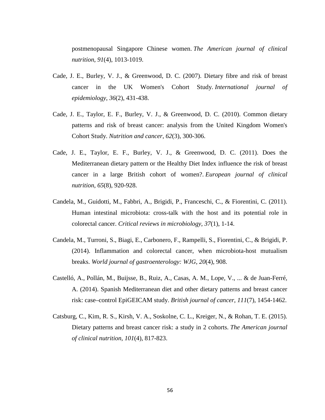postmenopausal Singapore Chinese women. *The American journal of clinical nutrition*, *91*(4), 1013-1019.

- Cade, J. E., Burley, V. J., & Greenwood, D. C. (2007). Dietary fibre and risk of breast cancer in the UK Women's Cohort Study. *International journal of epidemiology*, *36*(2), 431-438.
- Cade, J. E., Taylor, E. F., Burley, V. J., & Greenwood, D. C. (2010). Common dietary patterns and risk of breast cancer: analysis from the United Kingdom Women's Cohort Study. *Nutrition and cancer*, *62*(3), 300-306.
- Cade, J. E., Taylor, E. F., Burley, V. J., & Greenwood, D. C. (2011). Does the Mediterranean dietary pattern or the Healthy Diet Index influence the risk of breast cancer in a large British cohort of women?. *European journal of clinical nutrition*, *65*(8), 920-928.
- Candela, M., Guidotti, M., Fabbri, A., Brigidi, P., Franceschi, C., & Fiorentini, C. (2011). Human intestinal microbiota: cross-talk with the host and its potential role in colorectal cancer. *Critical reviews in microbiology*, *37*(1), 1-14.
- Candela, M., Turroni, S., Biagi, E., Carbonero, F., Rampelli, S., Fiorentini, C., & Brigidi, P. (2014). Inflammation and colorectal cancer, when microbiota-host mutualism breaks. *World journal of gastroenterology: WJG*, *20*(4), 908.
- Castelló, A., Pollán, M., Buijsse, B., Ruiz, A., Casas, A. M., Lope, V., ... & de Juan-Ferré, A. (2014). Spanish Mediterranean diet and other dietary patterns and breast cancer risk: case–control EpiGEICAM study. *British journal of cancer*, *111*(7), 1454-1462.
- Catsburg, C., Kim, R. S., Kirsh, V. A., Soskolne, C. L., Kreiger, N., & Rohan, T. E. (2015). Dietary patterns and breast cancer risk: a study in 2 cohorts. *The American journal of clinical nutrition*, *101*(4), 817-823.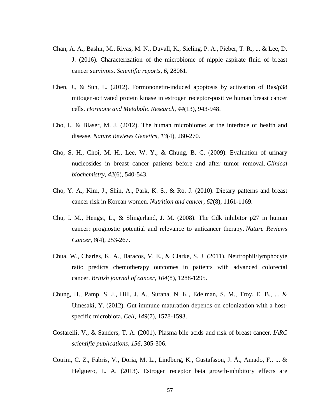- Chan, A. A., Bashir, M., Rivas, M. N., Duvall, K., Sieling, P. A., Pieber, T. R., ... & Lee, D. J. (2016). Characterization of the microbiome of nipple aspirate fluid of breast cancer survivors. *Scientific reports*, *6*, 28061.
- Chen, J., & Sun, L. (2012). Formononetin-induced apoptosis by activation of Ras/p38 mitogen-activated protein kinase in estrogen receptor-positive human breast cancer cells. *Hormone and Metabolic Research*, *44*(13), 943-948.
- Cho, I., & Blaser, M. J. (2012). The human microbiome: at the interface of health and disease. *Nature Reviews Genetics*, *13*(4), 260-270.
- Cho, S. H., Choi, M. H., Lee, W. Y., & Chung, B. C. (2009). Evaluation of urinary nucleosides in breast cancer patients before and after tumor removal. *Clinical biochemistry*, *42*(6), 540-543.
- Cho, Y. A., Kim, J., Shin, A., Park, K. S., & Ro, J. (2010). Dietary patterns and breast cancer risk in Korean women. *Nutrition and cancer*, *62*(8), 1161-1169.
- Chu, I. M., Hengst, L., & Slingerland, J. M. (2008). The Cdk inhibitor p27 in human cancer: prognostic potential and relevance to anticancer therapy. *Nature Reviews Cancer*, *8*(4), 253-267.
- Chua, W., Charles, K. A., Baracos, V. E., & Clarke, S. J. (2011). Neutrophil/lymphocyte ratio predicts chemotherapy outcomes in patients with advanced colorectal cancer. *British journal of cancer*, *104*(8), 1288-1295.
- Chung, H., Pamp, S. J., Hill, J. A., Surana, N. K., Edelman, S. M., Troy, E. B., ... & Umesaki, Y. (2012). Gut immune maturation depends on colonization with a hostspecific microbiota. *Cell*, *149*(7), 1578-1593.
- Costarelli, V., & Sanders, T. A. (2001). Plasma bile acids and risk of breast cancer. *IARC scientific publications*, *156*, 305-306.
- Cotrim, C. Z., Fabris, V., Doria, M. L., Lindberg, K., Gustafsson, J. Å., Amado, F., ... & Helguero, L. A. (2013). Estrogen receptor beta growth-inhibitory effects are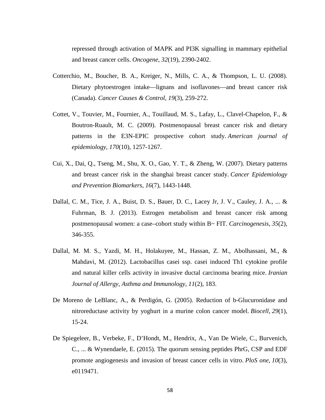repressed through activation of MAPK and PI3K signalling in mammary epithelial and breast cancer cells. *Oncogene*, *32*(19), 2390-2402.

- Cotterchio, M., Boucher, B. A., Kreiger, N., Mills, C. A., & Thompson, L. U. (2008). Dietary phytoestrogen intake—lignans and isoflavones—and breast cancer risk (Canada). *Cancer Causes & Control*, *19*(3), 259-272.
- Cottet, V., Touvier, M., Fournier, A., Touillaud, M. S., Lafay, L., Clavel-Chapelon, F., & Boutron-Ruault, M. C. (2009). Postmenopausal breast cancer risk and dietary patterns in the E3N-EPIC prospective cohort study. *American journal of epidemiology*, *170*(10), 1257-1267.
- Cui, X., Dai, Q., Tseng, M., Shu, X. O., Gao, Y. T., & Zheng, W. (2007). Dietary patterns and breast cancer risk in the shanghai breast cancer study. *Cancer Epidemiology and Prevention Biomarkers*, *16*(7), 1443-1448.
- Dallal, C. M., Tice, J. A., Buist, D. S., Bauer, D. C., Lacey Jr, J. V., Cauley, J. A., ... & Fuhrman, B. J. (2013). Estrogen metabolism and breast cancer risk among postmenopausal women: a case–cohort study within B~ FIT. *Carcinogenesis*, *35*(2), 346-355.
- Dallal, M. M. S., Yazdi, M. H., Holakuyee, M., Hassan, Z. M., Abolhassani, M., & Mahdavi, M. (2012). Lactobacillus casei ssp. casei induced Th1 cytokine profile and natural killer cells activity in invasive ductal carcinoma bearing mice. *Iranian Journal of Allergy, Asthma and Immunology*, *11*(2), 183.
- De Moreno de LeBlanc, A., & Perdigón, G. (2005). Reduction of b-Glucuronidase and nitroreductase activity by yoghurt in a murine colon cancer model. *Biocell*, *29*(1), 15-24.
- De Spiegeleer, B., Verbeke, F., D'Hondt, M., Hendrix, A., Van De Wiele, C., Burvenich, C., ... & Wynendaele, E. (2015). The quorum sensing peptides PhrG, CSP and EDF promote angiogenesis and invasion of breast cancer cells in vitro. *PloS one*, *10*(3), e0119471.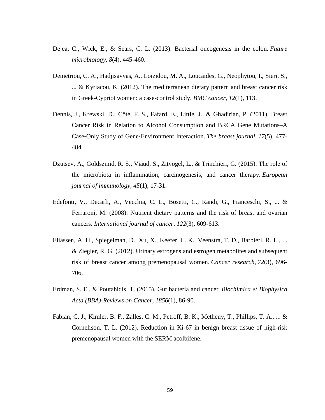- Dejea, C., Wick, E., & Sears, C. L. (2013). Bacterial oncogenesis in the colon. *Future microbiology*, *8*(4), 445-460.
- Demetriou, C. A., Hadjisavvas, A., Loizidou, M. A., Loucaides, G., Neophytou, I., Sieri, S., ... & Kyriacou, K. (2012). The mediterranean dietary pattern and breast cancer risk in Greek-Cypriot women: a case-control study. *BMC cancer*, *12*(1), 113.
- Dennis, J., Krewski, D., Côté, F. S., Fafard, E., Little, J., & Ghadirian, P. (2011). Breast Cancer Risk in Relation to Alcohol Consumption and BRCA Gene Mutations–A Case‐Only Study of Gene‐Environment Interaction. *The breast journal*, *17*(5), 477- 484.
- Dzutsev, A., Goldszmid, R. S., Viaud, S., Zitvogel, L., & Trinchieri, G. (2015). The role of the microbiota in inflammation, carcinogenesis, and cancer therapy. *European journal of immunology*, *45*(1), 17-31.
- Edefonti, V., Decarli, A., Vecchia, C. L., Bosetti, C., Randi, G., Franceschi, S., ... & Ferraroni, M. (2008). Nutrient dietary patterns and the risk of breast and ovarian cancers. *International journal of cancer*, *122*(3), 609-613.
- Eliassen, A. H., Spiegelman, D., Xu, X., Keefer, L. K., Veenstra, T. D., Barbieri, R. L., ... & Ziegler, R. G. (2012). Urinary estrogens and estrogen metabolites and subsequent risk of breast cancer among premenopausal women. *Cancer research*, *72*(3), 696- 706.
- Erdman, S. E., & Poutahidis, T. (2015). Gut bacteria and cancer. *Biochimica et Biophysica Acta (BBA)-Reviews on Cancer*, *1856*(1), 86-90.
- Fabian, C. J., Kimler, B. F., Zalles, C. M., Petroff, B. K., Metheny, T., Phillips, T. A., ... & Cornelison, T. L. (2012). Reduction in Ki-67 in benign breast tissue of high-risk premenopausal women with the SERM acolbifene.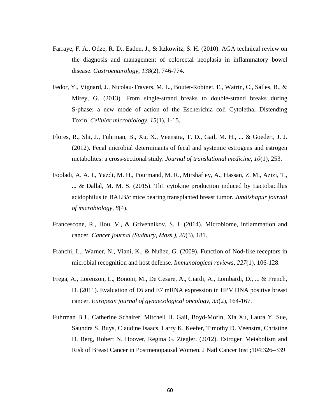- Farraye, F. A., Odze, R. D., Eaden, J., & Itzkowitz, S. H. (2010). AGA technical review on the diagnosis and management of colorectal neoplasia in inflammatory bowel disease. *Gastroenterology*, *138*(2), 746-774.
- Fedor, Y., Vignard, J., Nicolau‐Travers, M. L., Boutet‐Robinet, E., Watrin, C., Salles, B., & Mirey, G. (2013). From single‐strand breaks to double‐strand breaks during S-phase: a new mode of action of the Escherichia coli Cytolethal Distending Toxin. *Cellular microbiology*, *15*(1), 1-15.
- Flores, R., Shi, J., Fuhrman, B., Xu, X., Veenstra, T. D., Gail, M. H., ... & Goedert, J. J. (2012). Fecal microbial determinants of fecal and systemic estrogens and estrogen metabolites: a cross-sectional study. *Journal of translational medicine*, *10*(1), 253.
- Fooladi, A. A. I., Yazdi, M. H., Pourmand, M. R., Mirshafiey, A., Hassan, Z. M., Azizi, T., ... & Dallal, M. M. S. (2015). Th1 cytokine production induced by Lactobacillus acidophilus in BALB/c mice bearing transplanted breast tumor. *Jundishapur journal of microbiology*, *8*(4).
- Francescone, R., Hou, V., & Grivennikov, S. I. (2014). Microbiome, inflammation and cancer. *Cancer journal (Sudbury, Mass.)*, *20*(3), 181.
- Franchi, L., Warner, N., Viani, K., & Nuñez, G. (2009). Function of Nod‐like receptors in microbial recognition and host defense. *Immunological reviews*, *227*(1), 106-128.
- Frega, A., Lorenzon, L., Bononi, M., De Cesare, A., Ciardi, A., Lombardi, D., ... & French, D. (2011). Evaluation of E6 and E7 mRNA expression in HPV DNA positive breast cancer. *European journal of gynaecological oncology*, *33*(2), 164-167.
- Fuhrman B.J., Catherine Schairer, Mitchell H. Gail, Boyd-Morin, Xia Xu, Laura Y. Sue, Saundra S. Buys, Claudine Isaacs, Larry K. Keefer, Timothy D. Veenstra, Christine D. Berg, Robert N. Hoover, Regina G. Ziegler. (2012). Estrogen Metabolism and Risk of Breast Cancer in Postmenopausal Women. J Natl Cancer Inst ;104:326–339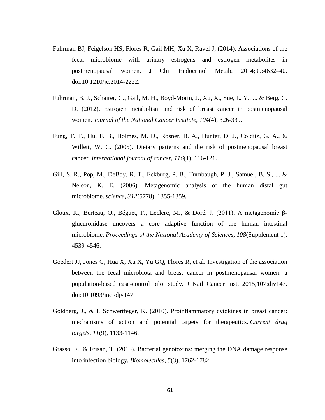- Fuhrman BJ, Feigelson HS, Flores R, Gail MH, Xu X, Ravel J, (2014). Associations of the fecal microbiome with urinary estrogens and estrogen metabolites in postmenopausal women. J Clin Endocrinol Metab. 2014;99:4632–40. doi:10.1210/jc.2014-2222.
- Fuhrman, B. J., Schairer, C., Gail, M. H., Boyd-Morin, J., Xu, X., Sue, L. Y., ... & Berg, C. D. (2012). Estrogen metabolism and risk of breast cancer in postmenopausal women. *Journal of the National Cancer Institute*, *104*(4), 326-339.
- Fung, T. T., Hu, F. B., Holmes, M. D., Rosner, B. A., Hunter, D. J., Colditz, G. A., & Willett, W. C. (2005). Dietary patterns and the risk of postmenopausal breast cancer. *International journal of cancer*, *116*(1), 116-121.
- Gill, S. R., Pop, M., DeBoy, R. T., Eckburg, P. B., Turnbaugh, P. J., Samuel, B. S., ... & Nelson, K. E. (2006). Metagenomic analysis of the human distal gut microbiome. *science*, *312*(5778), 1355-1359.
- Gloux, K., Berteau, O., Béguet, F., Leclerc, M., & Doré, J. (2011). A metagenomic βglucuronidase uncovers a core adaptive function of the human intestinal microbiome. *Proceedings of the National Academy of Sciences*, *108*(Supplement 1), 4539-4546.
- Goedert JJ, Jones G, Hua X, Xu X, Yu GQ, Flores R, et al. Investigation of the association between the fecal microbiota and breast cancer in postmenopausal women: a population-based case-control pilot study. J Natl Cancer Inst. 2015;107:djv147. doi:10.1093/jnci/djv147.
- Goldberg, J., & L Schwertfeger, K. (2010). Proinflammatory cytokines in breast cancer: mechanisms of action and potential targets for therapeutics. *Current drug targets*, *11*(9), 1133-1146.
- Grasso, F., & Frisan, T. (2015). Bacterial genotoxins: merging the DNA damage response into infection biology. *Biomolecules*, *5*(3), 1762-1782.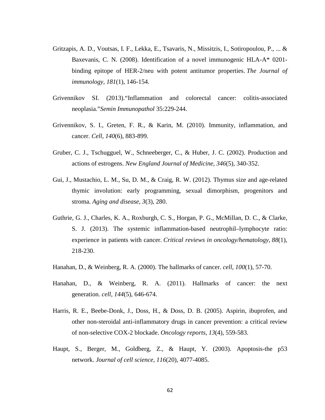- Gritzapis, A. D., Voutsas, I. F., Lekka, E., Tsavaris, N., Missitzis, I., Sotiropoulou, P., ... & Baxevanis, C. N. (2008). Identification of a novel immunogenic HLA-A\* 0201 binding epitope of HER-2/neu with potent antitumor properties. *The Journal of immunology*, *181*(1), 146-154.
- Grivennikov SI. (2013)."Inflammation and colorectal cancer: colitis-associated neoplasia."*Semin Immunopathol* 35:229-244.
- Grivennikov, S. I., Greten, F. R., & Karin, M. (2010). Immunity, inflammation, and cancer. *Cell*, *140*(6), 883-899.
- Gruber, C. J., Tschugguel, W., Schneeberger, C., & Huber, J. C. (2002). Production and actions of estrogens. *New England Journal of Medicine*, *346*(5), 340-352.
- Gui, J., Mustachio, L. M., Su, D. M., & Craig, R. W. (2012). Thymus size and age-related thymic involution: early programming, sexual dimorphism, progenitors and stroma. *Aging and disease*, *3*(3), 280.
- Guthrie, G. J., Charles, K. A., Roxburgh, C. S., Horgan, P. G., McMillan, D. C., & Clarke, S. J. (2013). The systemic inflammation-based neutrophil–lymphocyte ratio: experience in patients with cancer. *Critical reviews in oncology/hematology*, *88*(1), 218-230.
- Hanahan, D., & Weinberg, R. A. (2000). The hallmarks of cancer. *cell*, *100*(1), 57-70.
- Hanahan, D., & Weinberg, R. A. (2011). Hallmarks of cancer: the next generation. *cell*, *144*(5), 646-674.
- Harris, R. E., Beebe-Donk, J., Doss, H., & Doss, D. B. (2005). Aspirin, ibuprofen, and other non-steroidal anti-inflammatory drugs in cancer prevention: a critical review of non-selective COX-2 blockade. *Oncology reports*, *13*(4), 559-583.
- Haupt, S., Berger, M., Goldberg, Z., & Haupt, Y. (2003). Apoptosis-the p53 network. *Journal of cell science*, *116*(20), 4077-4085.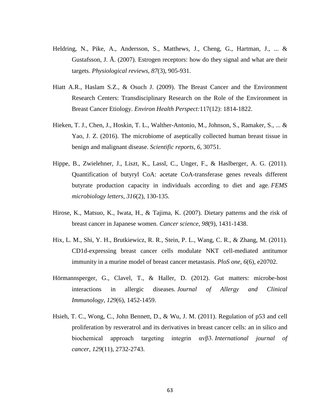- Heldring, N., Pike, A., Andersson, S., Matthews, J., Cheng, G., Hartman, J., ... & Gustafsson, J. Å. (2007). Estrogen receptors: how do they signal and what are their targets. *Physiological reviews*, *87*(3), 905-931.
- Hiatt A.R., Haslam S.Z., & Osuch J. (2009). The Breast Cancer and the Environment Research Centers: Transdisciplinary Research on the Role of the Environment in Breast Cancer Etiology. *Environ Health Perspect:*117(12): 1814-1822.
- Hieken, T. J., Chen, J., Hoskin, T. L., Walther-Antonio, M., Johnson, S., Ramaker, S., ... & Yao, J. Z. (2016). The microbiome of aseptically collected human breast tissue in benign and malignant disease. *Scientific reports*, *6*, 30751.
- Hippe, B., Zwielehner, J., Liszt, K., Lassl, C., Unger, F., & Haslberger, A. G. (2011). Quantification of butyryl CoA: acetate CoA-transferase genes reveals different butyrate production capacity in individuals according to diet and age. *FEMS microbiology letters*, *316*(2), 130-135.
- Hirose, K., Matsuo, K., Iwata, H., & Tajima, K. (2007). Dietary patterns and the risk of breast cancer in Japanese women. *Cancer science*, *98*(9), 1431-1438.
- Hix, L. M., Shi, Y. H., Brutkiewicz, R. R., Stein, P. L., Wang, C. R., & Zhang, M. (2011). CD1d-expressing breast cancer cells modulate NKT cell-mediated antitumor immunity in a murine model of breast cancer metastasis. *PloS one*, *6*(6), e20702.
- Hörmannsperger, G., Clavel, T., & Haller, D. (2012). Gut matters: microbe-host interactions in allergic diseases. *Journal of Allergy and Clinical Immunology*, *129*(6), 1452-1459.
- Hsieh, T. C., Wong, C., John Bennett, D., & Wu, J. M. (2011). Regulation of p53 and cell proliferation by resveratrol and its derivatives in breast cancer cells: an in silico and biochemical approach targeting integrin αvβ3. *International journal of cancer*, *129*(11), 2732-2743.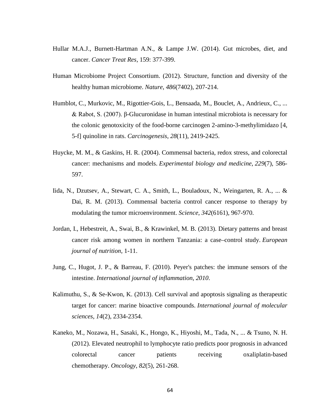- Hullar M.A.J., Burnett-Hartman A.N., & Lampe J.W. (2014). Gut microbes, diet, and cancer. *Cancer Treat Res,* 159: 377-399.
- Human Microbiome Project Consortium. (2012). Structure, function and diversity of the healthy human microbiome. *Nature*, *486*(7402), 207-214.
- Humblot, C., Murkovic, M., Rigottier-Gois, L., Bensaada, M., Bouclet, A., Andrieux, C., ... & Rabot, S. (2007). β-Glucuronidase in human intestinal microbiota is necessary for the colonic genotoxicity of the food-borne carcinogen 2-amino-3-methylimidazo [4, 5-f] quinoline in rats. *Carcinogenesis*, *28*(11), 2419-2425.
- Huycke, M. M., & Gaskins, H. R. (2004). Commensal bacteria, redox stress, and colorectal cancer: mechanisms and models. *Experimental biology and medicine*, *229*(7), 586- 597.
- Iida, N., Dzutsev, A., Stewart, C. A., Smith, L., Bouladoux, N., Weingarten, R. A., ... & Dai, R. M. (2013). Commensal bacteria control cancer response to therapy by modulating the tumor microenvironment. *Science*, *342*(6161), 967-970.
- Jordan, I., Hebestreit, A., Swai, B., & Krawinkel, M. B. (2013). Dietary patterns and breast cancer risk among women in northern Tanzania: a case–control study. *European journal of nutrition*, 1-11.
- Jung, C., Hugot, J. P., & Barreau, F. (2010). Peyer's patches: the immune sensors of the intestine. *International journal of inflammation*, *2010*.
- Kalimuthu, S., & Se-Kwon, K. (2013). Cell survival and apoptosis signaling as therapeutic target for cancer: marine bioactive compounds. *International journal of molecular sciences*, *14*(2), 2334-2354.
- Kaneko, M., Nozawa, H., Sasaki, K., Hongo, K., Hiyoshi, M., Tada, N., ... & Tsuno, N. H. (2012). Elevated neutrophil to lymphocyte ratio predicts poor prognosis in advanced colorectal cancer patients receiving oxaliplatin-based chemotherapy. *Oncology*, *82*(5), 261-268.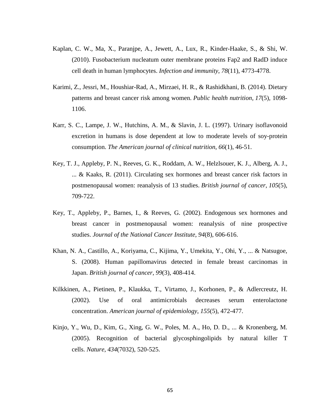- Kaplan, C. W., Ma, X., Paranjpe, A., Jewett, A., Lux, R., Kinder-Haake, S., & Shi, W. (2010). Fusobacterium nucleatum outer membrane proteins Fap2 and RadD induce cell death in human lymphocytes. *Infection and immunity*, *78*(11), 4773-4778.
- Karimi, Z., Jessri, M., Houshiar-Rad, A., Mirzaei, H. R., & Rashidkhani, B. (2014). Dietary patterns and breast cancer risk among women. *Public health nutrition*, *17*(5), 1098- 1106.
- Karr, S. C., Lampe, J. W., Hutchins, A. M., & Slavin, J. L. (1997). Urinary isoflavonoid excretion in humans is dose dependent at low to moderate levels of soy-protein consumption. *The American journal of clinical nutrition*, *66*(1), 46-51.
- Key, T. J., Appleby, P. N., Reeves, G. K., Roddam, A. W., Helzlsouer, K. J., Alberg, A. J., ... & Kaaks, R. (2011). Circulating sex hormones and breast cancer risk factors in postmenopausal women: reanalysis of 13 studies. *British journal of cancer*, *105*(5), 709-722.
- Key, T., Appleby, P., Barnes, I., & Reeves, G. (2002). Endogenous sex hormones and breast cancer in postmenopausal women: reanalysis of nine prospective studies. *Journal of the National Cancer Institute*, *94*(8), 606-616.
- Khan, N. A., Castillo, A., Koriyama, C., Kijima, Y., Umekita, Y., Ohi, Y., ... & Natsugoe, S. (2008). Human papillomavirus detected in female breast carcinomas in Japan. *British journal of cancer*, *99*(3), 408-414.
- Kilkkinen, A., Pietinen, P., Klaukka, T., Virtamo, J., Korhonen, P., & Adlercreutz, H. (2002). Use of oral antimicrobials decreases serum enterolactone concentration. *American journal of epidemiology*, *155*(5), 472-477.
- Kinjo, Y., Wu, D., Kim, G., Xing, G. W., Poles, M. A., Ho, D. D., ... & Kronenberg, M. (2005). Recognition of bacterial glycosphingolipids by natural killer T cells. *Nature*, *434*(7032), 520-525.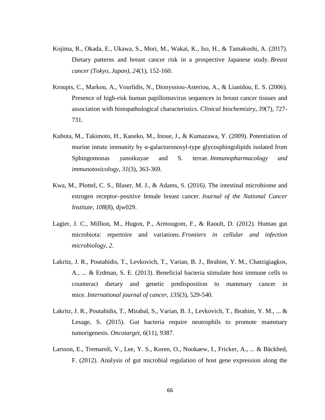- Kojima, R., Okada, E., Ukawa, S., Mori, M., Wakai, K., Iso, H., & Tamakoshi, A. (2017). Dietary patterns and breast cancer risk in a prospective Japanese study. *Breast cancer (Tokyo, Japan)*, *24*(1), 152-160.
- Kroupis, C., Markou, A., Vourlidis, N., Dionyssiou-Asteriou, A., & Lianidou, E. S. (2006). Presence of high-risk human papillomavirus sequences in breast cancer tissues and association with histopathological characteristics. *Clinical biochemistry*, *39*(7), 727- 731.
- Kubota, M., Takimoto, H., Kaneko, M., Inoue, J., & Kumazawa, Y. (2009). Potentiation of murine innate immunity by  $\alpha$ -galacturonosyl-type glycosphingolipids isolated from Sphingomonas yanoikuyae and S. terrae. *Immunopharmacology and immunotoxicology*, *31*(3), 363-369.
- Kwa, M., Plottel, C. S., Blaser, M. J., & Adams, S. (2016). The intestinal microbiome and estrogen receptor–positive female breast cancer. *Journal of the National Cancer Institute*, *108*(8), djw029.
- Lagier, J. C., Million, M., Hugon, P., Armougom, F., & Raoult, D. (2012). Human gut microbiota: repertoire and variations. *Frontiers in cellular and infection microbiology*, *2*.
- Lakritz, J. R., Poutahidis, T., Levkovich, T., Varian, B. J., Ibrahim, Y. M., Chatzigiagkos, A., ... & Erdman, S. E. (2013). Beneficial bacteria stimulate host immune cells to counteract dietary and genetic predisposition to mammary cancer in mice. *International journal of cancer*, *135*(3), 529-540.
- Lakritz, J. R., Poutahidis, T., Mirabal, S., Varian, B. J., Levkovich, T., Ibrahim, Y. M., ... & Lesage, S. (2015). Gut bacteria require neutrophils to promote mammary tumorigenesis. *Oncotarget*, *6*(11), 9387.
- Larsson, E., Tremaroli, V., Lee, Y. S., Koren, O., Nookaew, I., Fricker, A., ... & Bäckhed, F. (2012). Analysis of gut microbial regulation of host gene expression along the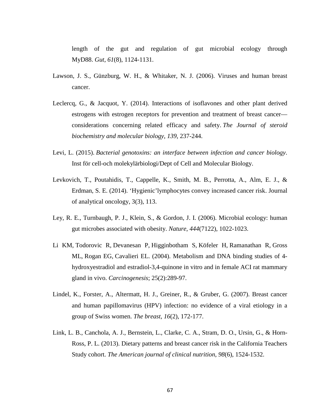length of the gut and regulation of gut microbial ecology through MyD88. *Gut*, *61*(8), 1124-1131.

- Lawson, J. S., Günzburg, W. H., & Whitaker, N. J. (2006). Viruses and human breast cancer.
- Leclercq, G., & Jacquot, Y. (2014). Interactions of isoflavones and other plant derived estrogens with estrogen receptors for prevention and treatment of breast cancer considerations concerning related efficacy and safety. *The Journal of steroid biochemistry and molecular biology*, *139*, 237-244.
- Levi, L. (2015). *Bacterial genotoxins: an interface between infection and cancer biology*. Inst för cell-och molekylärbiologi/Dept of Cell and Molecular Biology.
- Levkovich, T., Poutahidis, T., Cappelle, K., Smith, M. B., Perrotta, A., Alm, E. J., & Erdman, S. E. (2014). 'Hygienic'lymphocytes convey increased cancer risk. Journal of analytical oncology, 3(3), 113.
- Ley, R. E., Turnbaugh, P. J., Klein, S., & Gordon, J. I. (2006). Microbial ecology: human gut microbes associated with obesity. *Nature*, *444*(7122), 1022-1023.
- [Li KM,](https://www.ncbi.nlm.nih.gov/pubmed/?term=Li%20KM%5BAuthor%5D&cauthor=true&cauthor_uid=14578156) [Todorovic R,](https://www.ncbi.nlm.nih.gov/pubmed/?term=Todorovic%20R%5BAuthor%5D&cauthor=true&cauthor_uid=14578156) [Devanesan P,](https://www.ncbi.nlm.nih.gov/pubmed/?term=Devanesan%20P%5BAuthor%5D&cauthor=true&cauthor_uid=14578156) [Higginbotham S,](https://www.ncbi.nlm.nih.gov/pubmed/?term=Higginbotham%20S%5BAuthor%5D&cauthor=true&cauthor_uid=14578156) [Köfeler H,](https://www.ncbi.nlm.nih.gov/pubmed/?term=K%C3%B6feler%20H%5BAuthor%5D&cauthor=true&cauthor_uid=14578156) [Ramanathan R,](https://www.ncbi.nlm.nih.gov/pubmed/?term=Ramanathan%20R%5BAuthor%5D&cauthor=true&cauthor_uid=14578156) [Gross](https://www.ncbi.nlm.nih.gov/pubmed/?term=Gross%20ML%5BAuthor%5D&cauthor=true&cauthor_uid=14578156)  [ML,](https://www.ncbi.nlm.nih.gov/pubmed/?term=Gross%20ML%5BAuthor%5D&cauthor=true&cauthor_uid=14578156) [Rogan EG,](https://www.ncbi.nlm.nih.gov/pubmed/?term=Rogan%20EG%5BAuthor%5D&cauthor=true&cauthor_uid=14578156) [Cavalieri EL.](https://www.ncbi.nlm.nih.gov/pubmed/?term=Cavalieri%20EL%5BAuthor%5D&cauthor=true&cauthor_uid=14578156) (2004). Metabolism and DNA binding studies of 4 hydroxyestradiol and estradiol-3,4-quinone in vitro and in female ACI rat mammary gland in vivo. *Carcinogenesis*; 25(2):289-97.
- Lindel, K., Forster, A., Altermatt, H. J., Greiner, R., & Gruber, G. (2007). Breast cancer and human papillomavirus (HPV) infection: no evidence of a viral etiology in a group of Swiss women. *The breast*, *16*(2), 172-177.
- Link, L. B., Canchola, A. J., Bernstein, L., Clarke, C. A., Stram, D. O., Ursin, G., & Horn-Ross, P. L. (2013). Dietary patterns and breast cancer risk in the California Teachers Study cohort. *The American journal of clinical nutrition*, *98*(6), 1524-1532.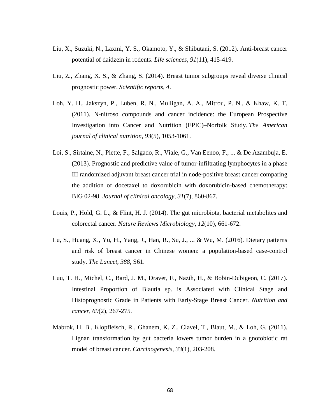- Liu, X., Suzuki, N., Laxmi, Y. S., Okamoto, Y., & Shibutani, S. (2012). Anti-breast cancer potential of daidzein in rodents. *Life sciences*, *91*(11), 415-419.
- Liu, Z., Zhang, X. S., & Zhang, S. (2014). Breast tumor subgroups reveal diverse clinical prognostic power. *Scientific reports*, *4*.
- Loh, Y. H., Jakszyn, P., Luben, R. N., Mulligan, A. A., Mitrou, P. N., & Khaw, K. T. (2011). N-nitroso compounds and cancer incidence: the European Prospective Investigation into Cancer and Nutrition (EPIC)–Norfolk Study. *The American journal of clinical nutrition*, *93*(5), 1053-1061.
- Loi, S., Sirtaine, N., Piette, F., Salgado, R., Viale, G., Van Eenoo, F., ... & De Azambuja, E. (2013). Prognostic and predictive value of tumor-infiltrating lymphocytes in a phase III randomized adjuvant breast cancer trial in node-positive breast cancer comparing the addition of docetaxel to doxorubicin with doxorubicin-based chemotherapy: BIG 02-98. *Journal of clinical oncology*, *31*(7), 860-867.
- Louis, P., Hold, G. L., & Flint, H. J. (2014). The gut microbiota, bacterial metabolites and colorectal cancer. *Nature Reviews Microbiology*, *12*(10), 661-672.
- Lu, S., Huang, X., Yu, H., Yang, J., Han, R., Su, J., ... & Wu, M. (2016). Dietary patterns and risk of breast cancer in Chinese women: a population-based case-control study. *The Lancet*, *388*, S61.
- Luu, T. H., Michel, C., Bard, J. M., Dravet, F., Nazih, H., & Bobin-Dubigeon, C. (2017). Intestinal Proportion of Blautia sp. is Associated with Clinical Stage and Histoprognostic Grade in Patients with Early-Stage Breast Cancer. *Nutrition and cancer*, *69*(2), 267-275.
- Mabrok, H. B., Klopfleisch, R., Ghanem, K. Z., Clavel, T., Blaut, M., & Loh, G. (2011). Lignan transformation by gut bacteria lowers tumor burden in a gnotobiotic rat model of breast cancer. *Carcinogenesis*, *33*(1), 203-208.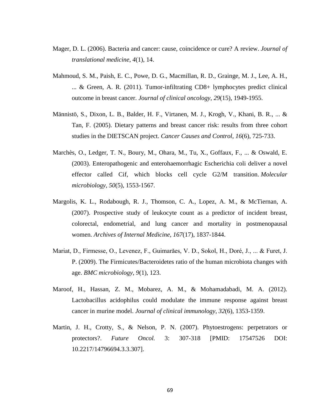- Mager, D. L. (2006). Bacteria and cancer: cause, coincidence or cure? A review. *Journal of translational medicine*, *4*(1), 14.
- Mahmoud, S. M., Paish, E. C., Powe, D. G., Macmillan, R. D., Grainge, M. J., Lee, A. H., ... & Green, A. R. (2011). Tumor-infiltrating CD8+ lymphocytes predict clinical outcome in breast cancer. *Journal of clinical oncology*, *29*(15), 1949-1955.
- Männistö, S., Dixon, L. B., Balder, H. F., Virtanen, M. J., Krogh, V., Khani, B. R., ... & Tan, F. (2005). Dietary patterns and breast cancer risk: results from three cohort studies in the DIETSCAN project. *Cancer Causes and Control*, *16*(6), 725-733.
- Marchès, O., Ledger, T. N., Boury, M., Ohara, M., Tu, X., Goffaux, F., ... & Oswald, E. (2003). Enteropathogenic and enterohaemorrhagic Escherichia coli deliver a novel effector called Cif, which blocks cell cycle G2/M transition. *Molecular microbiology*, *50*(5), 1553-1567.
- Margolis, K. L., Rodabough, R. J., Thomson, C. A., Lopez, A. M., & McTiernan, A. (2007). Prospective study of leukocyte count as a predictor of incident breast, colorectal, endometrial, and lung cancer and mortality in postmenopausal women. *Archives of Internal Medicine*, *167*(17), 1837-1844.
- Mariat, D., Firmesse, O., Levenez, F., Guimarăes, V. D., Sokol, H., Doré, J., ... & Furet, J. P. (2009). The Firmicutes/Bacteroidetes ratio of the human microbiota changes with age. *BMC microbiology*, *9*(1), 123.
- Maroof, H., Hassan, Z. M., Mobarez, A. M., & Mohamadabadi, M. A. (2012). Lactobacillus acidophilus could modulate the immune response against breast cancer in murine model. *Journal of clinical immunology*, *32*(6), 1353-1359.
- Martin, J. H., Crotty, S., & Nelson, P. N. (2007). Phytoestrogens: perpetrators or protectors?. *Future Oncol.* 3: 307-318 [PMID: 17547526 DOI: 10.2217/14796694.3.3.307].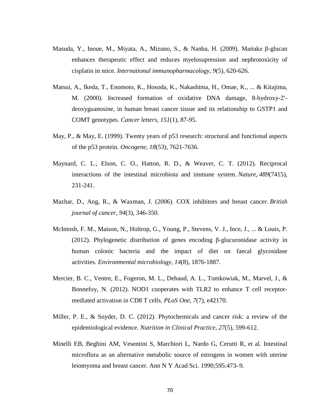- Masuda, Y., Inoue, M., Miyata, A., Mizuno, S., & Nanba, H. (2009). Maitake β-glucan enhances therapeutic effect and reduces myelosupression and nephrotoxicity of cisplatin in mice. *International immunopharmacology*, *9*(5), 620-626.
- Matsui, A., Ikeda, T., Enomoto, K., Hosoda, K., Nakashima, H., Omae, K., ... & Kitajima, M. (2000). Increased formation of oxidative DNA damage, 8-hydroxy-2′ deoxyguanosine, in human breast cancer tissue and its relationship to GSTP1 and COMT genotypes. *Cancer letters*, *151*(1), 87-95.
- May, P., & May, E. (1999). Twenty years of p53 research: structural and functional aspects of the p53 protein. *Oncogene*, *18*(53), 7621-7636.
- Maynard, C. L., Elson, C. O., Hatton, R. D., & Weaver, C. T. (2012). Reciprocal interactions of the intestinal microbiota and immune system. *Nature*, *489*(7415), 231-241.
- Mazhar, D., Ang, R., & Waxman, J. (2006). COX inhibitors and breast cancer. *British journal of cancer*, *94*(3), 346-350.
- McIntosh, F. M., Maison, N., Holtrop, G., Young, P., Stevens, V. J., Ince, J., ... & Louis, P. (2012). Phylogenetic distribution of genes encoding β-glucuronidase activity in human colonic bacteria and the impact of diet on faecal glycosidase activities. *Environmental microbiology*, *14*(8), 1876-1887.
- Mercier, B. C., Ventre, E., Fogeron, M. L., Debaud, A. L., Tomkowiak, M., Marvel, J., & Bonnefoy, N. (2012). NOD1 cooperates with TLR2 to enhance T cell receptormediated activation in CD8 T cells. *PLoS One*, *7*(7), e42170.
- Miller, P. E., & Snyder, D. C. (2012). Phytochemicals and cancer risk: a review of the epidemiological evidence. *Nutrition in Clinical Practice*, *27*(5), 599-612.
- Minelli EB, Beghini AM, Vesentini S, Marchiori L, Nardo G, Cerutti R, et al. Intestinal microflora as an alternative metabolic source of estrogens in women with uterine leiomyoma and breast cancer. Ann N Y Acad Sci. 1990;595:473–9.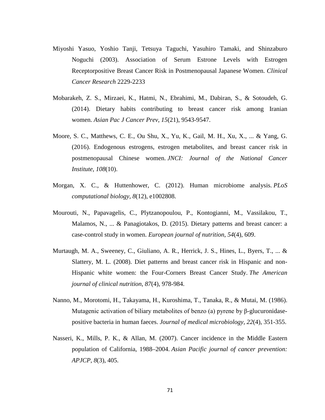- Miyoshi Yasuo, Yoshio Tanji, Tetsuya Taguchi, Yasuhiro Tamaki, and Shinzaburo Noguchi (2003). Association of Serum Estrone Levels with Estrogen Receptorpositive Breast Cancer Risk in Postmenopausal Japanese Women. *Clinical Cancer Research* 2229-2233
- Mobarakeh, Z. S., Mirzaei, K., Hatmi, N., Ebrahimi, M., Dabiran, S., & Sotoudeh, G. (2014). Dietary habits contributing to breast cancer risk among Iranian women. *Asian Pac J Cancer Prev*, *15*(21), 9543-9547.
- Moore, S. C., Matthews, C. E., Ou Shu, X., Yu, K., Gail, M. H., Xu, X., ... & Yang, G. (2016). Endogenous estrogens, estrogen metabolites, and breast cancer risk in postmenopausal Chinese women. *JNCI: Journal of the National Cancer Institute*, *108*(10).
- Morgan, X. C., & Huttenhower, C. (2012). Human microbiome analysis. *PLoS computational biology*, *8*(12), e1002808.
- Mourouti, N., Papavagelis, C., Plytzanopoulou, P., Kontogianni, M., Vassilakou, T., Malamos, N., ... & Panagiotakos, D. (2015). Dietary patterns and breast cancer: a case-control study in women. *European journal of nutrition*, *54*(4), 609.
- Murtaugh, M. A., Sweeney, C., Giuliano, A. R., Herrick, J. S., Hines, L., Byers, T., ... & Slattery, M. L. (2008). Diet patterns and breast cancer risk in Hispanic and non-Hispanic white women: the Four-Corners Breast Cancer Study. *The American journal of clinical nutrition*, *87*(4), 978-984.
- Nanno, M., Morotomi, H., Takayama, H., Kuroshima, T., Tanaka, R., & Mutai, M. (1986). Mutagenic activation of biliary metabolites of benzo (a) pyrene by β-glucuronidasepositive bacteria in human faeces. *Journal of medical microbiology*, *22*(4), 351-355.
- Nasseri, K., Mills, P. K., & Allan, M. (2007). Cancer incidence in the Middle Eastern population of California, 1988–2004. *Asian Pacific journal of cancer prevention: APJCP*, *8*(3), 405.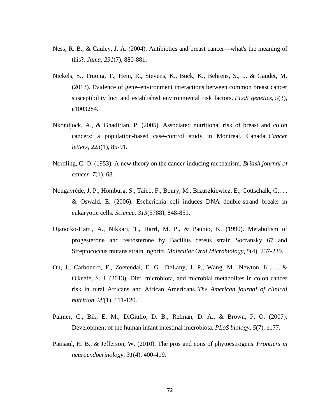- Ness, R. B., & Cauley, J. A. (2004). Antibiotics and breast cancer—what's the meaning of this?. *Jama*, *291*(7), 880-881.
- Nickels, S., Truong, T., Hein, R., Stevens, K., Buck, K., Behrens, S., ... & Gaudet, M. (2013). Evidence of gene–environment interactions between common breast cancer susceptibility loci and established environmental risk factors. *PLoS genetics*, *9*(3), e1003284.
- Nkondjock, A., & Ghadirian, P. (2005). Associated nutritional risk of breast and colon cancers: a population-based case-control study in Montreal, Canada. *Cancer letters*, *223*(1), 85-91.
- Nordling, C. O. (1953). A new theory on the cancer-inducing mechanism. *British journal of cancer*, *7*(1), 68.
- Nougayrède, J. P., Homburg, S., Taieb, F., Boury, M., Brzuszkiewicz, E., Gottschalk, G., ... & Oswald, E. (2006). Escherichia coli induces DNA double-strand breaks in eukaryotic cells. *Science*, *313*(5788), 848-851.
- Ojanotko‐Harri, A., Nikkari, T., Harrl, M. P., & Paunio, K. (1990). Metabolism of progesterone and testosterone by Bacillus cereus strain Socransky 67 and Streptococcus mutans strain Ingbritt. *Molecular Oral Microbiology*, *5*(4), 237-239.
- Ou, J., Carbonero, F., Zoetendal, E. G., DeLany, J. P., Wang, M., Newton, K., ... & O'keefe, S. J. (2013). Diet, microbiota, and microbial metabolites in colon cancer risk in rural Africans and African Americans. *The American journal of clinical nutrition*, *98*(1), 111-120.
- Palmer, C., Bik, E. M., DiGiulio, D. B., Relman, D. A., & Brown, P. O. (2007). Development of the human infant intestinal microbiota. *PLoS biology*, *5*(7), e177.
- Patisaul, H. B., & Jefferson, W. (2010). The pros and cons of phytoestrogens. *Frontiers in neuroendocrinology*, *31*(4), 400-419.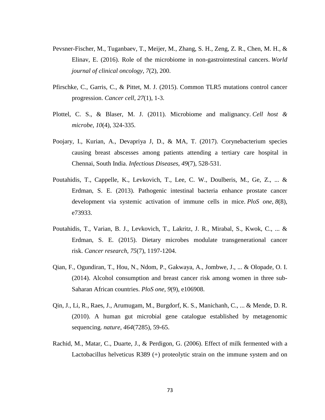- Pevsner-Fischer, M., Tuganbaev, T., Meijer, M., Zhang, S. H., Zeng, Z. R., Chen, M. H., & Elinav, E. (2016). Role of the microbiome in non-gastrointestinal cancers. *World journal of clinical oncology*, *7*(2), 200.
- Pfirschke, C., Garris, C., & Pittet, M. J. (2015). Common TLR5 mutations control cancer progression. *Cancer cell*, *27*(1), 1-3.
- Plottel, C. S., & Blaser, M. J. (2011). Microbiome and malignancy. *Cell host & microbe*, *10*(4), 324-335.
- Poojary, I., Kurian, A., Devapriya J, D., & MA, T. (2017). Corynebacterium species causing breast abscesses among patients attending a tertiary care hospital in Chennai, South India. *Infectious Diseases*, *49*(7), 528-531.
- Poutahidis, T., Cappelle, K., Levkovich, T., Lee, C. W., Doulberis, M., Ge, Z., ... & Erdman, S. E. (2013). Pathogenic intestinal bacteria enhance prostate cancer development via systemic activation of immune cells in mice. *PloS one*, *8*(8), e73933.
- Poutahidis, T., Varian, B. J., Levkovich, T., Lakritz, J. R., Mirabal, S., Kwok, C., ... & Erdman, S. E. (2015). Dietary microbes modulate transgenerational cancer risk. *Cancer research*, *75*(7), 1197-1204.
- Qian, F., Ogundiran, T., Hou, N., Ndom, P., Gakwaya, A., Jombwe, J., ... & Olopade, O. I. (2014). Alcohol consumption and breast cancer risk among women in three sub-Saharan African countries. *PloS one*, *9*(9), e106908.
- Qin, J., Li, R., Raes, J., Arumugam, M., Burgdorf, K. S., Manichanh, C., ... & Mende, D. R. (2010). A human gut microbial gene catalogue established by metagenomic sequencing. *nature*, *464*(7285), 59-65.
- Rachid, M., Matar, C., Duarte, J., & Perdigon, G. (2006). Effect of milk fermented with a Lactobacillus helveticus R389 (+) proteolytic strain on the immune system and on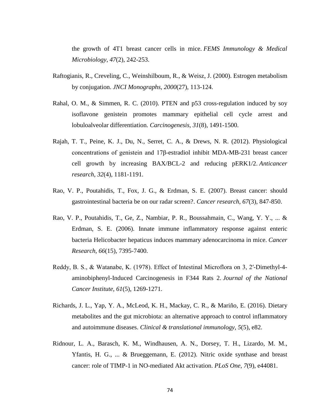the growth of 4T1 breast cancer cells in mice. *FEMS Immunology & Medical Microbiology*, *47*(2), 242-253.

- Raftogianis, R., Creveling, C., Weinshilboum, R., & Weisz, J. (2000). Estrogen metabolism by conjugation. *JNCI Monographs*, *2000*(27), 113-124.
- Rahal, O. M., & Simmen, R. C. (2010). PTEN and p53 cross-regulation induced by soy isoflavone genistein promotes mammary epithelial cell cycle arrest and lobuloalveolar differentiation. *Carcinogenesis*, *31*(8), 1491-1500.
- Rajah, T. T., Peine, K. J., Du, N., Serret, C. A., & Drews, N. R. (2012). Physiological concentrations of genistein and 17β-estradiol inhibit MDA-MB-231 breast cancer cell growth by increasing BAX/BCL-2 and reducing pERK1/2. *Anticancer research*, *32*(4), 1181-1191.
- Rao, V. P., Poutahidis, T., Fox, J. G., & Erdman, S. E. (2007). Breast cancer: should gastrointestinal bacteria be on our radar screen?. *Cancer research*, *67*(3), 847-850.
- Rao, V. P., Poutahidis, T., Ge, Z., Nambiar, P. R., Boussahmain, C., Wang, Y. Y., ... & Erdman, S. E. (2006). Innate immune inflammatory response against enteric bacteria Helicobacter hepaticus induces mammary adenocarcinoma in mice. *Cancer Research*, *66*(15), 7395-7400.
- Reddy, B. S., & Watanabe, K. (1978). Effect of Intestinal Microflora on 3, 2′-Dimethyl-4 aminobiphenyl-Induced Carcinogenesis in F344 Rats 2. *Journal of the National Cancer Institute*, *61*(5), 1269-1271.
- Richards, J. L., Yap, Y. A., McLeod, K. H., Mackay, C. R., & Mariño, E. (2016). Dietary metabolites and the gut microbiota: an alternative approach to control inflammatory and autoimmune diseases. *Clinical & translational immunology*, *5*(5), e82.
- Ridnour, L. A., Barasch, K. M., Windhausen, A. N., Dorsey, T. H., Lizardo, M. M., Yfantis, H. G., ... & Brueggemann, E. (2012). Nitric oxide synthase and breast cancer: role of TIMP-1 in NO-mediated Akt activation. *PLoS One*, *7*(9), e44081.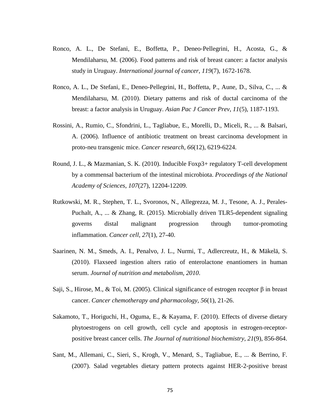- Ronco, A. L., De Stefani, E., Boffetta, P., Deneo‐Pellegrini, H., Acosta, G., & Mendilaharsu, M. (2006). Food patterns and risk of breast cancer: a factor analysis study in Uruguay. *International journal of cancer*, *119*(7), 1672-1678.
- Ronco, A. L., De Stefani, E., Deneo-Pellegrini, H., Boffetta, P., Aune, D., Silva, C., ... & Mendilaharsu, M. (2010). Dietary patterns and risk of ductal carcinoma of the breast: a factor analysis in Uruguay. *Asian Pac J Cancer Prev*, *11*(5), 1187-1193.
- Rossini, A., Rumio, C., Sfondrini, L., Tagliabue, E., Morelli, D., Miceli, R., ... & Balsari, A. (2006). Influence of antibiotic treatment on breast carcinoma development in proto-neu transgenic mice. *Cancer research*, *66*(12), 6219-6224.
- Round, J. L., & Mazmanian, S. K. (2010). Inducible Foxp3+ regulatory T-cell development by a commensal bacterium of the intestinal microbiota. *Proceedings of the National Academy of Sciences*, *107*(27), 12204-12209.
- Rutkowski, M. R., Stephen, T. L., Svoronos, N., Allegrezza, M. J., Tesone, A. J., Perales-Puchalt, A., ... & Zhang, R. (2015). Microbially driven TLR5-dependent signaling governs distal malignant progression through tumor-promoting inflammation. *Cancer cell*, *27*(1), 27-40.
- Saarinen, N. M., Smeds, A. I., Penalvo, J. L., Nurmi, T., Adlercreutz, H., & Mäkelä, S. (2010). Flaxseed ingestion alters ratio of enterolactone enantiomers in human serum. *Journal of nutrition and metabolism*, *2010*.
- Saji, S., Hirose, M., & Toi, M. (2005). Clinical significance of estrogen receptor  $\beta$  in breast cancer. *Cancer chemotherapy and pharmacology*, *56*(1), 21-26.
- Sakamoto, T., Horiguchi, H., Oguma, E., & Kayama, F. (2010). Effects of diverse dietary phytoestrogens on cell growth, cell cycle and apoptosis in estrogen-receptorpositive breast cancer cells. *The Journal of nutritional biochemistry*, *21*(9), 856-864.
- Sant, M., Allemani, C., Sieri, S., Krogh, V., Menard, S., Tagliabue, E., ... & Berrino, F. (2007). Salad vegetables dietary pattern protects against HER‐2‐positive breast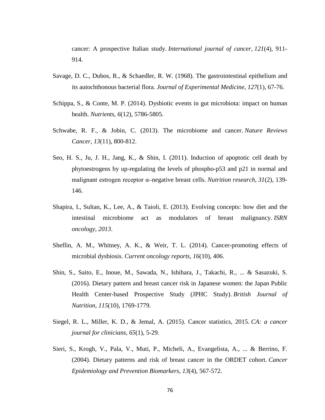cancer: A prospective Italian study. *International journal of cancer*, *121*(4), 911- 914.

- Savage, D. C., Dubos, R., & Schaedler, R. W. (1968). The gastrointestinal epithelium and its autochthonous bacterial flora. *Journal of Experimental Medicine*, *127*(1), 67-76.
- Schippa, S., & Conte, M. P. (2014). Dysbiotic events in gut microbiota: impact on human health. *Nutrients*, *6*(12), 5786-5805.
- Schwabe, R. F., & Jobin, C. (2013). The microbiome and cancer. *Nature Reviews Cancer*, *13*(11), 800-812.
- Seo, H. S., Ju, J. H., Jang, K., & Shin, I. (2011). Induction of apoptotic cell death by phytoestrogens by up-regulating the levels of phospho-p53 and p21 in normal and malignant estrogen receptor α–negative breast cells. *Nutrition research*, *31*(2), 139- 146.
- Shapira, I., Sultan, K., Lee, A., & Taioli, E. (2013). Evolving concepts: how diet and the intestinal microbiome act as modulators of breast malignancy. *ISRN oncology*, *2013*.
- Sheflin, A. M., Whitney, A. K., & Weir, T. L. (2014). Cancer-promoting effects of microbial dysbiosis. *Current oncology reports*, *16*(10), 406.
- Shin, S., Saito, E., Inoue, M., Sawada, N., Ishihara, J., Takachi, R., ... & Sasazuki, S. (2016). Dietary pattern and breast cancer risk in Japanese women: the Japan Public Health Center-based Prospective Study (JPHC Study). *British Journal of Nutrition*, *115*(10), 1769-1779.
- Siegel, R. L., Miller, K. D., & Jemal, A. (2015). Cancer statistics, 2015. *CA: a cancer journal for clinicians*, *65*(1), 5-29.
- Sieri, S., Krogh, V., Pala, V., Muti, P., Micheli, A., Evangelista, A., ... & Berrino, F. (2004). Dietary patterns and risk of breast cancer in the ORDET cohort. *Cancer Epidemiology and Prevention Biomarkers*, *13*(4), 567-572.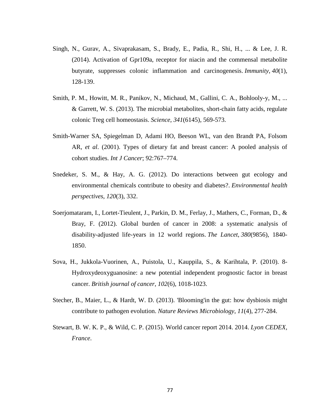- Singh, N., Gurav, A., Sivaprakasam, S., Brady, E., Padia, R., Shi, H., ... & Lee, J. R. (2014). Activation of Gpr109a, receptor for niacin and the commensal metabolite butyrate, suppresses colonic inflammation and carcinogenesis. *Immunity*, *40*(1), 128-139.
- Smith, P. M., Howitt, M. R., Panikov, N., Michaud, M., Gallini, C. A., Bohlooly-y, M., ... & Garrett, W. S. (2013). The microbial metabolites, short-chain fatty acids, regulate colonic Treg cell homeostasis. *Science*, *341*(6145), 569-573.
- Smith-Warner SA, Spiegelman D, Adami HO, Beeson WL, van den Brandt PA, Folsom AR, *et al*. (2001). Types of dietary fat and breast cancer: A pooled analysis of cohort studies. *Int J Cancer*; 92:767–774.
- Snedeker, S. M., & Hay, A. G. (2012). Do interactions between gut ecology and environmental chemicals contribute to obesity and diabetes?. *Environmental health perspectives*, *120*(3), 332.
- Soerjomataram, I., Lortet-Tieulent, J., Parkin, D. M., Ferlay, J., Mathers, C., Forman, D., & Bray, F. (2012). Global burden of cancer in 2008: a systematic analysis of disability-adjusted life-years in 12 world regions. *The Lancet*, *380*(9856), 1840- 1850.
- Sova, H., Jukkola-Vuorinen, A., Puistola, U., Kauppila, S., & Karihtala, P. (2010). 8- Hydroxydeoxyguanosine: a new potential independent prognostic factor in breast cancer. *British journal of cancer*, *102*(6), 1018-1023.
- Stecher, B., Maier, L., & Hardt, W. D. (2013). 'Blooming'in the gut: how dysbiosis might contribute to pathogen evolution. *Nature Reviews Microbiology*, *11*(4), 277-284.
- Stewart, B. W. K. P., & Wild, C. P. (2015). World cancer report 2014. 2014. *Lyon CEDEX, France*.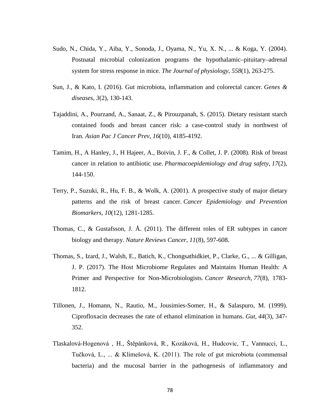- Sudo, N., Chida, Y., Aiba, Y., Sonoda, J., Oyama, N., Yu, X. N., ... & Koga, Y. (2004). Postnatal microbial colonization programs the hypothalamic–pituitary–adrenal system for stress response in mice. *The Journal of physiology*, *558*(1), 263-275.
- Sun, J., & Kato, I. (2016). Gut microbiota, inflammation and colorectal cancer. *Genes & diseases*, *3*(2), 130-143.
- Tajaddini, A., Pourzand, A., Sanaat, Z., & Pirouzpanah, S. (2015). Dietary resistant starch contained foods and breast cancer risk: a case-control study in northwest of Iran. *Asian Pac J Cancer Prev*, *16*(10), 4185-4192.
- Tamim, H., A Hanley, J., H Hajeer, A., Boivin, J. F., & Collet, J. P. (2008). Risk of breast cancer in relation to antibiotic use. *Pharmacoepidemiology and drug safety*, *17*(2), 144-150.
- Terry, P., Suzuki, R., Hu, F. B., & Wolk, A. (2001). A prospective study of major dietary patterns and the risk of breast cancer. *Cancer Epidemiology and Prevention Biomarkers*, *10*(12), 1281-1285.
- Thomas, C., & Gustafsson, J. Å. (2011). The different roles of ER subtypes in cancer biology and therapy. *Nature Reviews Cancer*, *11*(8), 597-608.
- Thomas, S., Izard, J., Walsh, E., Batich, K., Chongsathidkiet, P., Clarke, G., ... & Gilligan, J. P. (2017). The Host Microbiome Regulates and Maintains Human Health: A Primer and Perspective for Non-Microbiologists. *Cancer Research*, *77*(8), 1783- 1812.
- Tillonen, J., Homann, N., Rautio, M., Jousimies-Somer, H., & Salaspuro, M. (1999). Ciprofloxacin decreases the rate of ethanol elimination in humans. *Gut*, *44*(3), 347- 352.
- Tlaskalová-Hogenová , H., Štěpánková, R., Kozáková, H., Hudcovic, T., Vannucci, L., Tučková, L., ... & Klimešová, K. (2011). The role of gut microbiota (commensal bacteria) and the mucosal barrier in the pathogenesis of inflammatory and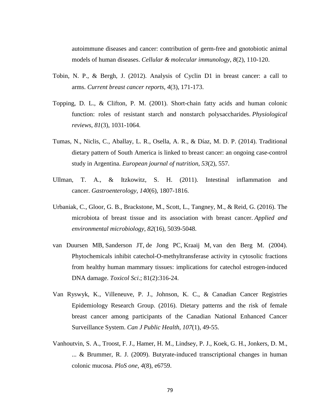autoimmune diseases and cancer: contribution of germ-free and gnotobiotic animal models of human diseases. *Cellular & molecular immunology*, *8*(2), 110-120.

- Tobin, N. P., & Bergh, J. (2012). Analysis of Cyclin D1 in breast cancer: a call to arms. *Current breast cancer reports*, *4*(3), 171-173.
- Topping, D. L., & Clifton, P. M. (2001). Short-chain fatty acids and human colonic function: roles of resistant starch and nonstarch polysaccharides. *Physiological reviews*, *81*(3), 1031-1064.
- Tumas, N., Niclis, C., Aballay, L. R., Osella, A. R., & Díaz, M. D. P. (2014). Traditional dietary pattern of South America is linked to breast cancer: an ongoing case-control study in Argentina. *European journal of nutrition*, *53*(2), 557.
- Ullman, T. A., & Itzkowitz, S. H. (2011). Intestinal inflammation and cancer. *Gastroenterology*, *140*(6), 1807-1816.
- Urbaniak, C., Gloor, G. B., Brackstone, M., Scott, L., Tangney, M., & Reid, G. (2016). The microbiota of breast tissue and its association with breast cancer. *Applied and environmental microbiology*, *82*(16), 5039-5048.
- [van Duursen MB,](https://www.ncbi.nlm.nih.gov/pubmed/?term=van%20Duursen%20MB%5BAuthor%5D&cauthor=true&cauthor_uid=15254334) [Sanderson JT,](https://www.ncbi.nlm.nih.gov/pubmed/?term=Sanderson%20JT%5BAuthor%5D&cauthor=true&cauthor_uid=15254334) [de Jong PC,](https://www.ncbi.nlm.nih.gov/pubmed/?term=de%20Jong%20PC%5BAuthor%5D&cauthor=true&cauthor_uid=15254334) [Kraaij M,](https://www.ncbi.nlm.nih.gov/pubmed/?term=Kraaij%20M%5BAuthor%5D&cauthor=true&cauthor_uid=15254334) [van den Berg M.](https://www.ncbi.nlm.nih.gov/pubmed/?term=van%20den%20Berg%20M%5BAuthor%5D&cauthor=true&cauthor_uid=15254334) (2004). Phytochemicals inhibit catechol-O-methyltransferase activity in cytosolic fractions from healthy human mammary tissues: implications for catechol estrogen-induced DNA damage. *Toxicol Sci*.; 81(2):316-24.
- Van Ryswyk, K., Villeneuve, P. J., Johnson, K. C., & Canadian Cancer Registries Epidemiology Research Group. (2016). Dietary patterns and the risk of female breast cancer among participants of the Canadian National Enhanced Cancer Surveillance System. *Can J Public Health*, *107*(1), 49-55.
- Vanhoutvin, S. A., Troost, F. J., Hamer, H. M., Lindsey, P. J., Koek, G. H., Jonkers, D. M., ... & Brummer, R. J. (2009). Butyrate-induced transcriptional changes in human colonic mucosa. *PloS one*, *4*(8), e6759.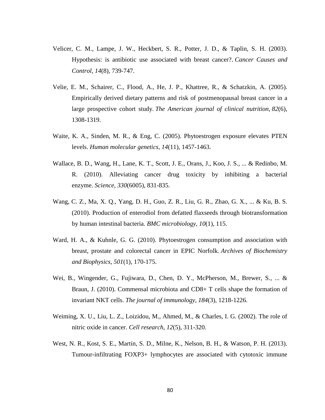- Velicer, C. M., Lampe, J. W., Heckbert, S. R., Potter, J. D., & Taplin, S. H. (2003). Hypothesis: is antibiotic use associated with breast cancer?. *Cancer Causes and Control*, *14*(8), 739-747.
- Velie, E. M., Schairer, C., Flood, A., He, J. P., Khattree, R., & Schatzkin, A. (2005). Empirically derived dietary patterns and risk of postmenopausal breast cancer in a large prospective cohort study. *The American journal of clinical nutrition*, *82*(6), 1308-1319.
- Waite, K. A., Sinden, M. R., & Eng, C. (2005). Phytoestrogen exposure elevates PTEN levels. *Human molecular genetics*, *14*(11), 1457-1463.
- Wallace, B. D., Wang, H., Lane, K. T., Scott, J. E., Orans, J., Koo, J. S., ... & Redinbo, M. R. (2010). Alleviating cancer drug toxicity by inhibiting a bacterial enzyme. *Science*, *330*(6005), 831-835.
- Wang, C. Z., Ma, X. Q., Yang, D. H., Guo, Z. R., Liu, G. R., Zhao, G. X., ... & Ku, B. S. (2010). Production of enterodiol from defatted flaxseeds through biotransformation by human intestinal bacteria. *BMC microbiology*, *10*(1), 115.
- Ward, H. A., & Kuhnle, G. G. (2010). Phytoestrogen consumption and association with breast, prostate and colorectal cancer in EPIC Norfolk. *Archives of Biochemistry and Biophysics*, *501*(1), 170-175.
- Wei, B., Wingender, G., Fujiwara, D., Chen, D. Y., McPherson, M., Brewer, S., ... & Braun, J. (2010). Commensal microbiota and CD8+ T cells shape the formation of invariant NKT cells. *The journal of immunology*, *184*(3), 1218-1226.
- Weiming, X. U., Liu, L. Z., Loizidou, M., Ahmed, M., & Charles, I. G. (2002). The role of nitric oxide in cancer. *Cell research*, *12*(5), 311-320.
- West, N. R., Kost, S. E., Martin, S. D., Milne, K., Nelson, B. H., & Watson, P. H. (2013). Tumour-infiltrating FOXP3+ lymphocytes are associated with cytotoxic immune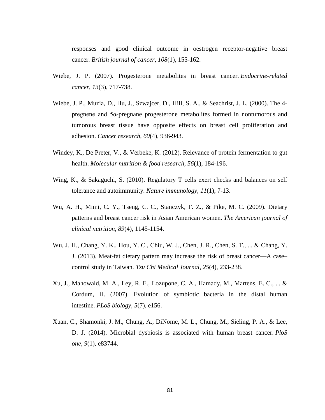responses and good clinical outcome in oestrogen receptor-negative breast cancer. *British journal of cancer*, *108*(1), 155-162.

- Wiebe, J. P. (2007). Progesterone metabolites in breast cancer. *Endocrine-related cancer*, *13*(3), 717-738.
- Wiebe, J. P., Muzia, D., Hu, J., Szwajcer, D., Hill, S. A., & Seachrist, J. L. (2000). The 4 pregnene and 5α-pregnane progesterone metabolites formed in nontumorous and tumorous breast tissue have opposite effects on breast cell proliferation and adhesion. *Cancer research*, *60*(4), 936-943.
- Windey, K., De Preter, V., & Verbeke, K. (2012). Relevance of protein fermentation to gut health. *Molecular nutrition & food research*, *56*(1), 184-196.
- Wing, K., & Sakaguchi, S. (2010). Regulatory T cells exert checks and balances on self tolerance and autoimmunity. *Nature immunology*, *11*(1), 7-13.
- Wu, A. H., Mimi, C. Y., Tseng, C. C., Stanczyk, F. Z., & Pike, M. C. (2009). Dietary patterns and breast cancer risk in Asian American women. *The American journal of clinical nutrition*, *89*(4), 1145-1154.
- Wu, J. H., Chang, Y. K., Hou, Y. C., Chiu, W. J., Chen, J. R., Chen, S. T., ... & Chang, Y. J. (2013). Meat-fat dietary pattern may increase the risk of breast cancer—A case– control study in Taiwan. *Tzu Chi Medical Journal*, *25*(4), 233-238.
- Xu, J., Mahowald, M. A., Ley, R. E., Lozupone, C. A., Hamady, M., Martens, E. C., ... & Cordum, H. (2007). Evolution of symbiotic bacteria in the distal human intestine. *PLoS biology*, *5*(7), e156.
- Xuan, C., Shamonki, J. M., Chung, A., DiNome, M. L., Chung, M., Sieling, P. A., & Lee, D. J. (2014). Microbial dysbiosis is associated with human breast cancer. *PloS one*, *9*(1), e83744.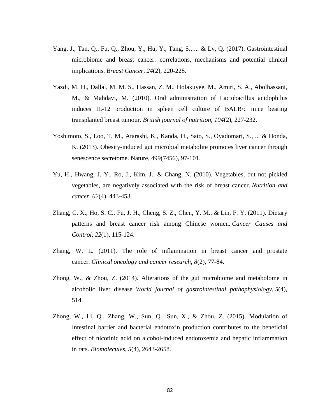- Yang, J., Tan, Q., Fu, Q., Zhou, Y., Hu, Y., Tang, S., ... & Lv, Q. (2017). Gastrointestinal microbiome and breast cancer: correlations, mechanisms and potential clinical implications. *Breast Cancer*, *24*(2), 220-228.
- Yazdi, M. H., Dallal, M. M. S., Hassan, Z. M., Holakuyee, M., Amiri, S. A., Abolhassani, M., & Mahdavi, M. (2010). Oral administration of Lactobacillus acidophilus induces IL-12 production in spleen cell culture of BALB/c mice bearing transplanted breast tumour. *British journal of nutrition*, *104*(2), 227-232.
- Yoshimoto, S., Loo, T. M., Atarashi, K., Kanda, H., Sato, S., Oyadomari, S., ... & Honda, K. (2013). Obesity-induced gut microbial metabolite promotes liver cancer through senescence secretome. Nature, 499(7456), 97-101.
- Yu, H., Hwang, J. Y., Ro, J., Kim, J., & Chang, N. (2010). Vegetables, but not pickled vegetables, are negatively associated with the risk of breast cancer. *Nutrition and cancer*, *62*(4), 443-453.
- Zhang, C. X., Ho, S. C., Fu, J. H., Cheng, S. Z., Chen, Y. M., & Lin, F. Y. (2011). Dietary patterns and breast cancer risk among Chinese women. *Cancer Causes and Control*, *22*(1), 115-124.
- Zhang, W. L. (2011). The role of inflammation in breast cancer and prostate cancer. *Clinical oncology and cancer research*, *8*(2), 77-84.
- Zhong, W., & Zhou, Z. (2014). Alterations of the gut microbiome and metabolome in alcoholic liver disease. *World journal of gastrointestinal pathophysiology*, *5*(4), 514.
- Zhong, W., Li, Q., Zhang, W., Sun, Q., Sun, X., & Zhou, Z. (2015). Modulation of Intestinal barrier and bacterial endotoxin production contributes to the beneficial effect of nicotinic acid on alcohol-induced endotoxemia and hepatic inflammation in rats. *Biomolecules*, *5*(4), 2643-2658.